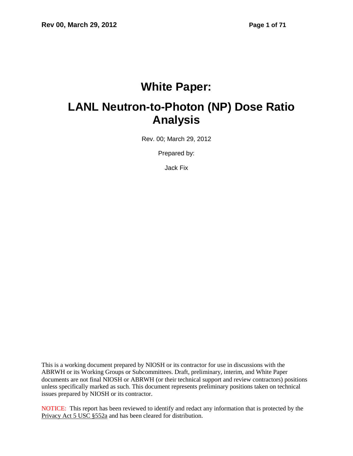# **White Paper:**

# **LANL Neutron-to-Photon (NP) Dose Ratio Analysis**

Rev. 00; March 29, 2012

Prepared by:

Jack Fix

This is a working document prepared by NIOSH or its contractor for use in discussions with the ABRWH or its Working Groups or Subcommittees. Draft, preliminary, interim, and White Paper documents are not final NIOSH or ABRWH (or their technical support and review contractors) positions unless specifically marked as such. This document represents preliminary positions taken on technical issues prepared by NIOSH or its contractor.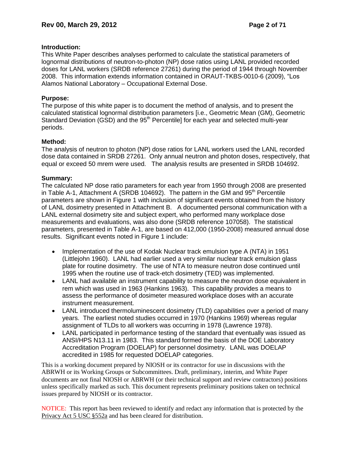# **Introduction:**

This White Paper describes analyses performed to calculate the statistical parameters of lognormal distributions of neutron-to-photon (NP) dose ratios using LANL provided recorded doses for LANL workers (SRDB reference 27261) during the period of 1944 through November 2008. This information extends information contained in ORAUT-TKBS-0010-6 (2009), "Los Alamos National Laboratory – Occupational External Dose.

# **Purpose:**

The purpose of this white paper is to document the method of analysis, and to present the calculated statistical lognormal distribution parameters [i.e., Geometric Mean (GM), Geometric Standard Deviation (GSD) and the 95<sup>th</sup> Percentile] for each year and selected multi-year periods.

# **Method:**

The analysis of neutron to photon (NP) dose ratios for LANL workers used the LANL recorded dose data contained in SRDB 27261. Only annual neutron and photon doses, respectively, that equal or exceed 50 mrem were used. The analysis results are presented in SRDB 104692.

# **Summary:**

The calculated NP dose ratio parameters for each year from 1950 through 2008 are presented in Table A-1, Attachment A (SRDB 104692). The pattern in the GM and 95<sup>th</sup> Percentile parameters are shown in Figure 1 with inclusion of significant events obtained from the history of LANL dosimetry presented in Attachment B. A documented personal communication with a LANL external dosimetry site and subject expert, who performed many workplace dose measurements and evaluations, was also done (SRDB reference 107058). The statistical parameters, presented in Table A-1, are based on 412,000 (1950-2008) measured annual dose results. Significant events noted in Figure 1 include:

- Implementation of the use of Kodak Nuclear track emulsion type A (NTA) in 1951 (Littlejohn 1960). LANL had earlier used a very similar nuclear track emulsion glass plate for routine dosimetry. The use of NTA to measure neutron dose continued until 1995 when the routine use of track-etch dosimetry (TED) was implemented.
- LANL had available an instrument capability to measure the neutron dose equivalent in rem which was used in 1963 (Hankins 1963). This capability provides a means to assess the performance of dosimeter measured workplace doses with an accurate instrument measurement.
- LANL introduced thermoluminescent dosimetry (TLD) capabilities over a period of many years. The earliest noted studies occurred in 1970 (Hankins 1969) whereas regular assignment of TLDs to all workers was occurring in 1978 (Lawrence 1978).
- LANL participated in performance testing of the standard that eventually was issued as ANSI/HPS N13.11 in 1983. This standard formed the basis of the DOE Laboratory Accreditation Program (DOELAP) for personnel dosimetry. LANL was DOELAP accredited in 1985 for requested DOELAP categories.

This is a working document prepared by NIOSH or its contractor for use in discussions with the ABRWH or its Working Groups or Subcommittees. Draft, preliminary, interim, and White Paper documents are not final NIOSH or ABRWH (or their technical support and review contractors) positions unless specifically marked as such. This document represents preliminary positions taken on technical issues prepared by NIOSH or its contractor.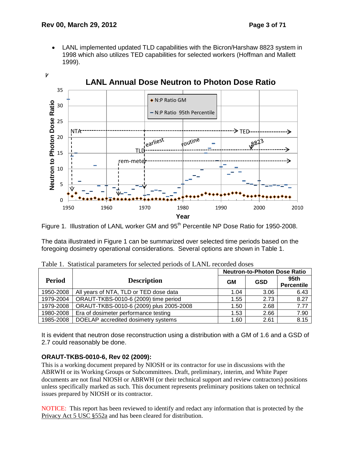LANL implemented updated TLD capabilities with the Bicron/Harshaw 8823 system in 1998 which also utilizes TED capabilities for selected workers (Hoffman and Mallett 1999).





The data illustrated in Figure 1 can be summarized over selected time periods based on the foregoing dosimetry operational considerations. Several options are shown in Table 1.

|           |                                         | <b>Neutron-to-Photon Dose Ratio</b> |            |                           |  |
|-----------|-----------------------------------------|-------------------------------------|------------|---------------------------|--|
| Period    | <b>Description</b>                      | <b>GM</b>                           | <b>GSD</b> | 95th<br><b>Percentile</b> |  |
| 1950-2008 | All years of NTA, TLD or TED dose data  | 1.04                                | 3.06       | 6.43                      |  |
| 1979-2004 | ORAUT-TKBS-0010-6 (2009) time period    | 1.55                                | 2.73       | 8.27                      |  |
| 1979-2008 | ORAUT-TKBS-0010-6 (2009) plus 2005-2008 | 1.50                                | 2.68       | $\overline{7.77}$         |  |
| 1980-2008 | Era of dosimeter performance testing    | 1.53                                | 2.66       | 7.90                      |  |
| 1985-2008 | DOELAP accredited dosimetry systems     | 1.60                                | 2.61       | 8.15                      |  |

Table 1. Statistical parameters for selected periods of LANL recorded doses

It is evident that neutron dose reconstruction using a distribution with a GM of 1.6 and a GSD of 2.7 could reasonably be done.

### **ORAUT-TKBS-0010-6, Rev 02 (2009):**

This is a working document prepared by NIOSH or its contractor for use in discussions with the ABRWH or its Working Groups or Subcommittees. Draft, preliminary, interim, and White Paper documents are not final NIOSH or ABRWH (or their technical support and review contractors) positions unless specifically marked as such. This document represents preliminary positions taken on technical issues prepared by NIOSH or its contractor.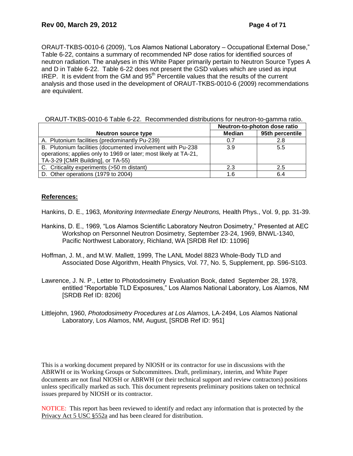ORAUT-TKBS-0010-6 (2009), "Los Alamos National Laboratory – Occupational External Dose," Table 6-22, contains a summary of recommended NP dose ratios for identified sources of neutron radiation. The analyses in this White Paper primarily pertain to Neutron Source Types A and D in Table 6-22. Table 6-22 does not present the GSD values which are used as input IREP. It is evident from the GM and  $95<sup>th</sup>$  Percentile values that the results of the current analysis and those used in the development of ORAUT-TKBS-0010-6 (2009) recommendations are equivalent.

|                                                                  | Neutron-to-photon dose ratio |                 |  |
|------------------------------------------------------------------|------------------------------|-----------------|--|
| <b>Neutron source type</b>                                       | <b>Median</b>                | 95th percentile |  |
| A. Plutonium facilities (predominantly Pu-239)                   | 0.7                          | 2.8             |  |
| B. Plutonium facilities (documented involvement with Pu-238      | 3.9                          | 5.5             |  |
| operations; applies only to 1969 or later; most likely at TA-21, |                              |                 |  |
| TA-3-29 [CMR Building], or TA-55)                                |                              |                 |  |
| C. Criticality experiments (>50 m distant)                       | 2.3                          | 2.5             |  |
| D. Other operations (1979 to 2004)                               | 1.6                          | 6.4             |  |

### **References:**

Hankins, D. E., 1963, *Monitoring Intermediate Energy Neutrons,* Health Phys., Vol. 9, pp. 31-39.

- Hankins, D. E., 1969, "Los Alamos Scientific Laboratory Neutron Dosimetry," Presented at AEC Workshop on Personnel Neutron Dosimetry, September 23-24, 1969, BNWL-1340, Pacific Northwest Laboratory, Richland, WA [SRDB Ref ID: 11096]
- Hoffman, J. M., and M.W. Mallett, 1999, The LANL Model 8823 Whole-Body TLD and Associated Dose Algorithm, Health Physics, Vol. 77, No. 5, Supplement, pp. S96-S103.
- Lawrence, J. N. P., Letter to Photodosimetry Evaluation Book, dated September 28, 1978, entitled "Reportable TLD Exposures," Los Alamos National Laboratory, Los Alamos, NM [SRDB Ref ID: 8206]
- Littlejohn, 1960, *Photodosimetry Procedures at Los Alamos*, LA-2494, Los Alamos National Laboratory, Los Alamos, NM, August, [SRDB Ref ID: 951]

This is a working document prepared by NIOSH or its contractor for use in discussions with the ABRWH or its Working Groups or Subcommittees. Draft, preliminary, interim, and White Paper documents are not final NIOSH or ABRWH (or their technical support and review contractors) positions unless specifically marked as such. This document represents preliminary positions taken on technical issues prepared by NIOSH or its contractor.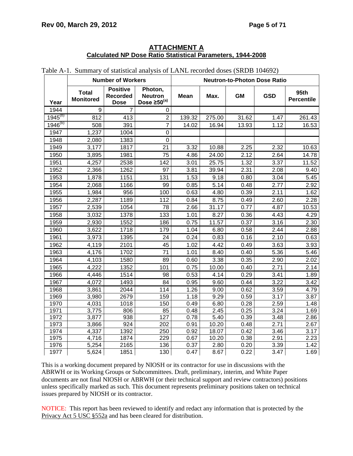### **ATTACHMENT A Calculated NP Dose Ratio Statistical Parameters, 1944-2008**

|              | <b>Number of Workers</b>         |                                            |                                                   | <b>Neutron-to-Photon Dose Ratio</b> |        |           |            |                           |
|--------------|----------------------------------|--------------------------------------------|---------------------------------------------------|-------------------------------------|--------|-----------|------------|---------------------------|
| Year         | <b>Total</b><br><b>Monitored</b> | <b>Positive</b><br>Recorded<br><b>Dose</b> | Photon,<br><b>Neutron</b><br>Dose $\geq 50^{(a)}$ | <b>Mean</b>                         | Max.   | <b>GM</b> | <b>GSD</b> | 95th<br><b>Percentile</b> |
| 1944         | 9                                | $\overline{7}$                             | 0                                                 |                                     |        |           |            |                           |
| $1945^{(b)}$ | 812                              | 413                                        | $\overline{2}$                                    | 139.32                              | 275.00 | 31.62     | 1.47       | 261.43                    |
| $1946^{(b)}$ | 508                              | 391                                        | $\overline{7}$                                    | 14.02                               | 16.94  | 13.93     | 1.12       | 16.53                     |
| 1947         | 1,237                            | 1004                                       | $\mathbf 0$                                       |                                     |        |           |            |                           |
| 1948         | 2,080                            | 1383                                       | $\mathbf 0$                                       |                                     |        |           |            |                           |
| 1949         | 3,177                            | 1817                                       | 21                                                | 3.32                                | 10.88  | 2.25      | 2.32       | 10.63                     |
| 1950         | 3,895                            | 1981                                       | 75                                                | 4.86                                | 24.00  | 2.12      | 2.64       | 14.78                     |
| 1951         | 4,257                            | 2538                                       | 142                                               | 3.01                                | 25.75  | 1.32      | 3.37       | 11.52                     |
| 1952         | 2,366                            | 1262                                       | 97                                                | 3.81                                | 39.94  | 2.31      | 2.08       | 9.40                      |
| 1953         | 1,878                            | 1151                                       | 131                                               | 1.53                                | 9.18   | 0.80      | 3.04       | 5.45                      |
| 1954         | 2,068                            | 1166                                       | 99                                                | 0.85                                | 5.14   | 0.48      | 2.77       | 2.92                      |
| 1955         | 1,984                            | 956                                        | 100                                               | 0.63                                | 4.80   | 0.39      | 2.11       | 1.62                      |
| 1956         | 2,287                            | 1189                                       | 112                                               | 0.84                                | 8.75   | 0.49      | 2.60       | 2.28                      |
| 1957         | 2,539                            | 1054                                       | 78                                                | 2.66                                | 31.17  | 0.77      | 4.87       | 10.53                     |
| 1958         | 3,032                            | 1378                                       | 133                                               | 1.01                                | 8.27   | 0.36      | 4.43       | 4.29                      |
| 1959         | 2,930                            | 1552                                       | 186                                               | 0.75                                | 11.57  | 0.37      | 3.16       | 2.30                      |
| 1960         | 3,622                            | 1718                                       | 179                                               | 1.04                                | 6.80   | 0.58      | 2.44       | 2.88                      |
| 1961         | 3,973                            | 1395                                       | 24                                                | 0.24                                | 0.83   | 0.16      | 2.10       | 0.63                      |
| 1962         | 4,119                            | 2101                                       | 45                                                | 1.02                                | 4.42   | 0.49      | 3.63       | 3.93                      |
| 1963         | 4,176                            | 1702                                       | 71                                                | 1.01                                | 8.40   | 0.40      | 5.36       | 5.46                      |
| 1964         | 4,103                            | 1580                                       | 89                                                | 0.60                                | 3.38   | 0.35      | 2.90       | 2.02                      |
| 1965         | 4,222                            | 1352                                       | 101                                               | 0.75                                | 10.00  | 0.40      | 2.71       | 2.14                      |
| 1966         | 4,446                            | 1514                                       | 98                                                | 0.53                                | 4.14   | 0.29      | 3.41       | 1.89                      |
| 1967         | 4,072                            | 1493                                       | 84                                                | 0.95                                | 9.60   | 0.44      | 3.22       | 3.42                      |
| 1968         | 3,861                            | 2044                                       | 114                                               | 1.26                                | 9.00   | 0.62      | 3.59       | 4.79                      |
| 1969         | 3,980                            | 2679                                       | 159                                               | 1.18                                | 9.29   | 0.59      | 3.17       | 3.87                      |
| 1970         | 4,031                            | 1018                                       | 150                                               | 0.49                                | 6.80   | 0.28      | 2.59       | 1.48                      |
| 1971         | 3,775                            | 806                                        | 85                                                | 0.48                                | 2.45   | 0.25      | 3.24       | 1.69                      |
| 1972         | 3,877                            | 938                                        | 127                                               | 0.78                                | 5.40   | 0.39      | 3.48       | 2.86                      |
| 1973         | 3,866                            | 924                                        | 202                                               | 0.91                                | 10.20  | 0.48      | 2.71       | 2.67                      |
| 1974         | 4,337                            | 1392                                       | 250                                               | 0.92                                | 18.07  | 0.42      | 3.46       | 3.17                      |
| 1975         | 4,716                            | 1874                                       | 229                                               | 0.67                                | 10.20  | 0.38      | 2.91       | 2.23                      |
| 1976         | 5,254                            | 2165                                       | 136                                               | 0.37                                | 2.80   | 0.20      | 3.39       | 1.42                      |
| 1977         | 5,624                            | 1851                                       | 130                                               | 0.47                                | 8.67   | 0.22      | 3.47       | 1.69                      |

Table A-1. Summary of statistical analysis of LANL recorded doses (SRDB 104692)

This is a working document prepared by NIOSH or its contractor for use in discussions with the ABRWH or its Working Groups or Subcommittees. Draft, preliminary, interim, and White Paper documents are not final NIOSH or ABRWH (or their technical support and review contractors) positions unless specifically marked as such. This document represents preliminary positions taken on technical issues prepared by NIOSH or its contractor.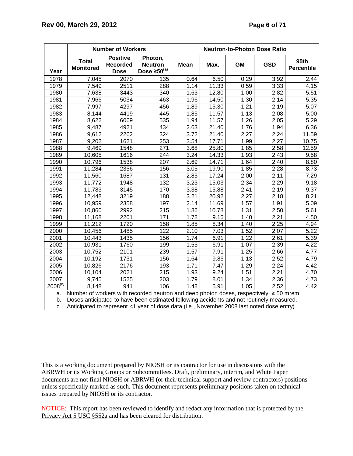|                   |                                                                                          | <b>Number of Workers</b>                          | <b>Neutron-to-Photon Dose Ratio</b>                                                          |             |       |      |            |                           |  |  |
|-------------------|------------------------------------------------------------------------------------------|---------------------------------------------------|----------------------------------------------------------------------------------------------|-------------|-------|------|------------|---------------------------|--|--|
| Year              | <b>Total</b><br><b>Monitored</b>                                                         | <b>Positive</b><br><b>Recorded</b><br><b>Dose</b> | Photon,<br><b>Neutron</b><br>Dose $\geq 50^{(a)}$                                            | <b>Mean</b> | Max.  | GM   | <b>GSD</b> | 95th<br><b>Percentile</b> |  |  |
| 1978              | 7,045                                                                                    | 2070                                              | 135                                                                                          | 0.64        | 6.50  | 0.29 | 3.92       | 2.44                      |  |  |
| 1979              | 7,549                                                                                    | 2511                                              | 288                                                                                          | 1.14        | 11.33 | 0.59 | 3.33       | 4.15                      |  |  |
| 1980              | 7,638                                                                                    | 3443                                              | 340                                                                                          | 1.63        | 12.80 | 1.00 | 2.82       | 5.51                      |  |  |
| 1981              | 7,966                                                                                    | 5034                                              | 463                                                                                          | 1.96        | 14.50 | 1.30 | 2.14       | 5.35                      |  |  |
| 1982              | 7,997                                                                                    | 4297                                              | 456                                                                                          | 1.89        | 15.30 | 1.21 | 2.19       | 5.07                      |  |  |
| 1983              | 8,144                                                                                    | 4419                                              | 445                                                                                          | 1.85        | 11.57 | 1.13 | 2.08       | 5.00                      |  |  |
| 1984              | 8,622                                                                                    | 6069                                              | 535                                                                                          | 1.94        | 11.57 | 1.26 | 2.05       | 5.29                      |  |  |
| 1985              | 9,487                                                                                    | 4921                                              | 434                                                                                          | 2.63        | 21.40 | 1.76 | 1.94       | 6.36                      |  |  |
| 1986              | 9,612                                                                                    | 2262                                              | 324                                                                                          | 3.72        | 21.40 | 2.27 | 2.24       | 11.59                     |  |  |
| 1987              | 9,202                                                                                    | 1621                                              | 253                                                                                          | 3.54        | 17.71 | 1.99 | 2.27       | 10.75                     |  |  |
| 1988              | 9,469                                                                                    | 1548                                              | 271                                                                                          | 3.68        | 25.80 | 1.85 | 2.58       | 12.59                     |  |  |
| 1989              | 10,605                                                                                   | 1616                                              | 244                                                                                          | 3.24        | 14.33 | 1.93 | 2.43       | 9.58                      |  |  |
| 1990              | 10,796                                                                                   | 1538                                              | 207                                                                                          | 2.69        | 14.71 | 1.64 | 2.40       | 8.80                      |  |  |
| 1991              | 11,284                                                                                   | 2356                                              | 156                                                                                          | 3.05        | 19.90 | 1.85 | 2.28       | 8.73                      |  |  |
| 1992              | 11,560                                                                                   | 1687                                              | 131                                                                                          | 2.85        | 17.24 | 2.00 | 2.11       | 7.29                      |  |  |
| 1993              | 11,772                                                                                   | 1948                                              | 132                                                                                          | 3.23        | 15.03 | 2.34 | 2.29       | 9.18                      |  |  |
| 1994              | 11,783                                                                                   | 3145                                              | 170                                                                                          | 3.38        | 15.88 | 2.41 | 2.19       | 9.37                      |  |  |
| 1995              | 12,448                                                                                   | 3219                                              | 188                                                                                          | 3.21        | 20.92 | 2.27 | 2.18       | 8.21                      |  |  |
| 1996              | 10,959                                                                                   | 2358                                              | 197                                                                                          | 2.14        | 11.69 | 1.57 | 1.91       | 5.09                      |  |  |
| 1997              | 10,860                                                                                   | 2992                                              | 215                                                                                          | 1.86        | 10.78 | 1.31 | 2.50       | 5.61                      |  |  |
| 1998              | 11,168                                                                                   | 2201                                              | 171                                                                                          | 1.78        | 9.16  | 1.40 | 2.21       | 4.50                      |  |  |
| 1999              | 11,212                                                                                   | 1720                                              | 158                                                                                          | 1.85        | 8.34  | 1.40 | 2.25       | 4.94                      |  |  |
| 2000              | 10,456                                                                                   | 1485                                              | 122                                                                                          | 2.10        | 7.03  | 1.52 | 2.07       | 5.22                      |  |  |
| 2001              | 10,443                                                                                   | 1435                                              | 156                                                                                          | 1.74        | 6.91  | 1.22 | 2.61       | 5.39                      |  |  |
| 2002              | 10,931                                                                                   | 1760                                              | 199                                                                                          | 1.55        | 6.91  | 1.07 | 2.39       | 4.22                      |  |  |
| 2003              | 10,752                                                                                   | 2101                                              | 239                                                                                          | 1.57        | 7.91  | 1.25 | 2.66       | 4.77                      |  |  |
| 2004              | 10,192                                                                                   | 1731                                              | 156                                                                                          | 1.64        | 9.86  | 1.13 | 2.52       | 4.79                      |  |  |
| 2005              | 10,826                                                                                   | 2176                                              | 193                                                                                          | 1.71        | 7.47  | 1.29 | 2.24       | 4.42                      |  |  |
| 2006              | 10,104                                                                                   | 2021                                              | 215                                                                                          | 1.93        | 9.24  | 1.51 | 2.21       | 4.70                      |  |  |
| $200\overline{7}$ | 9,745                                                                                    | 1525                                              | 203                                                                                          | 1.79        | 8.01  | 1.34 | 2.36       | 4.73                      |  |  |
| $2008^{(c)}$      | 8,148                                                                                    | 941                                               | 106                                                                                          | 1.48        | 5.91  | 1.05 | 2.52       | 4.42                      |  |  |
| a.                |                                                                                          |                                                   | Number of workers with recorded neutron and deep photon doses, respectively, $\geq 50$ mrem. |             |       |      |            |                           |  |  |
| b.                | Doses anticipated to have been estimated following accidents and not routinely measured. |                                                   |                                                                                              |             |       |      |            |                           |  |  |

c. Anticipated to represent <1 year of dose data (i.e., November 2008 last noted dose entry).

This is a working document prepared by NIOSH or its contractor for use in discussions with the ABRWH or its Working Groups or Subcommittees. Draft, preliminary, interim, and White Paper documents are not final NIOSH or ABRWH (or their technical support and review contractors) positions unless specifically marked as such. This document represents preliminary positions taken on technical issues prepared by NIOSH or its contractor.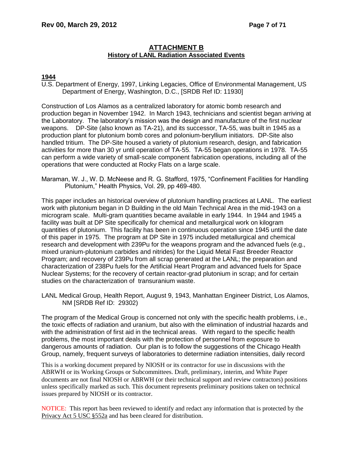# **ATTACHMENT B History of LANL Radiation Associated Events**

### **1944**

U.S. Department of Energy, 1997, Linking Legacies, Office of Environmental Management, US Department of Energy, Washington, D.C., [SRDB Ref ID: 11930]

Construction of Los Alamos as a centralized laboratory for atomic bomb research and production began in November 1942. In March 1943, technicians and scientist began arriving at the Laboratory. The laboratory's mission was the design and manufacture of the first nuclear weapons. DP-Site (also known as TA-21), and its successor, TA-55, was built in 1945 as a production plant for plutonium bomb cores and polonium-beryllium initiators. DP-Site also handled tritium. The DP-Site housed a variety of plutonium research, design, and fabrication activities for more than 30 yr until operation of TA-55. TA-55 began operations in 1978. TA-55 can perform a wide variety of small-scale component fabrication operations, including all of the operations that were conducted at Rocky Flats on a large scale.

Maraman, W. J., W. D. McNeese and R. G. Stafford, 1975, "Confinement Facilities for Handling Plutonium," Health Physics, Vol. 29, pp 469-480.

This paper includes an historical overview of plutonium handling practices at LANL. The earliest work with plutonium began in D Building in the old Main Technical Area in the mid-1943 on a microgram scale. Multi-gram quantities became available in early 1944. In 1944 and 1945 a facility was built at DP Site specifically for chemical and metallurgical work on kilogram quantities of plutonium. This facility has been in continuous operation since 1945 until the date of this paper in 1975. The program at DP Site in 1975 included metallurgical and chemical research and development with 239Pu for the weapons program and the advanced fuels (e.g., mixed uranium-plutonium carbides and nitrides) for the Liquid Metal Fast Breeder Reactor Program; and recovery of 239Pu from all scrap generated at the LANL; the preparation and characterization of 238Pu fuels for the Artificial Heart Program and advanced fuels for Space Nuclear Systems; for the recovery of certain reactor-grad plutonium in scrap; and for certain studies on the characterization of transuranium waste.

LANL Medical Group, Health Report, August 9, 1943, Manhattan Engineer District, Los Alamos, NM [SRDB Ref ID: 29302)

The program of the Medical Group is concerned not only with the specific health problems, i.e., the toxic effects of radiation and uranium, but also with the elimination of industrial hazards and with the administration of first aid in the technical areas. With regard to the specific health problems, the most important deals with the protection of personnel from exposure to dangerous amounts of radiation. Our plan is to follow the suggestions of the Chicago Health Group, namely, frequent surveys of laboratories to determine radiation intensities, daily record

This is a working document prepared by NIOSH or its contractor for use in discussions with the ABRWH or its Working Groups or Subcommittees. Draft, preliminary, interim, and White Paper documents are not final NIOSH or ABRWH (or their technical support and review contractors) positions unless specifically marked as such. This document represents preliminary positions taken on technical issues prepared by NIOSH or its contractor.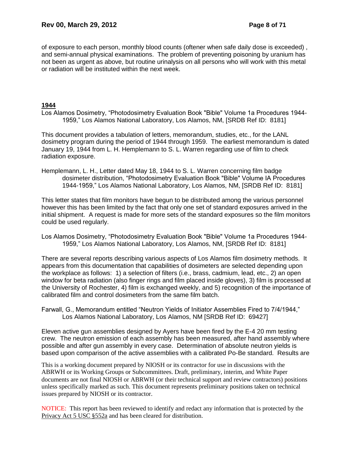of exposure to each person, monthly blood counts (oftener when safe daily dose is exceeded) , and semi-annual physical examinations. The problem of preventing poisoning by uranium has not been as urgent as above, but routine urinalysis on all persons who will work with this metal or radiation will be instituted within the next week.

#### **1944**

Los Alamos Dosimetry, "Photodosimetry Evaluation Book "Bible" Volume 1a Procedures 1944- 1959," Los Alamos National Laboratory, Los Alamos, NM, [SRDB Ref ID: 8181]

This document provides a tabulation of letters, memorandum, studies, etc., for the LANL dosimetry program during the period of 1944 through 1959. The earliest memorandum is dated January 19, 1944 from L. H. Hemplemann to S. L. Warren regarding use of film to check radiation exposure.

Hemplemann, L. H., Letter dated May 18, 1944 to S. L. Warren concerning film badge dosimeter distribution, "Photodosimetry Evaluation Book "Bible" Volume IA Procedures 1944-1959," Los Alamos National Laboratory, Los Alamos, NM, [SRDB Ref ID: 8181]

This letter states that film monitors have begun to be distributed among the various personnel however this has been limited by the fact that only one set of standard exposures arrived in the initial shipment. A request is made for more sets of the standard exposures so the film monitors could be used regularly.

Los Alamos Dosimetry, "Photodosimetry Evaluation Book "Bible" Volume 1a Procedures 1944- 1959," Los Alamos National Laboratory, Los Alamos, NM, [SRDB Ref ID: 8181]

There are several reports describing various aspects of Los Alamos film dosimetry methods. It appears from this documentation that capabilities of dosimeters are selected depending upon the workplace as follows: 1) a selection of filters (i.e., brass, cadmium, lead, etc., 2) an open window for beta radiation (also finger rings and film placed inside gloves), 3) film is processed at the University of Rochester, 4) film is exchanged weekly, and 5) recognition of the importance of calibrated film and control dosimeters from the same film batch.

Farwall, G., Memorandum entitled "Neutron Yields of Initiator Assemblies Fired to 7/4/1944," Los Alamos National Laboratory, Los Alamos, NM [SRDB Ref ID: 69427]

Eleven active gun assemblies designed by Ayers have been fired by the E-4 20 mm testing crew. The neutron emission of each assembly has been measured, after hand assembly where possible and after gun assembly in every case. Determination of absolute neutron yields is based upon comparison of the active assemblies with a calibrated Po-Be standard. Results are

This is a working document prepared by NIOSH or its contractor for use in discussions with the ABRWH or its Working Groups or Subcommittees. Draft, preliminary, interim, and White Paper documents are not final NIOSH or ABRWH (or their technical support and review contractors) positions unless specifically marked as such. This document represents preliminary positions taken on technical issues prepared by NIOSH or its contractor.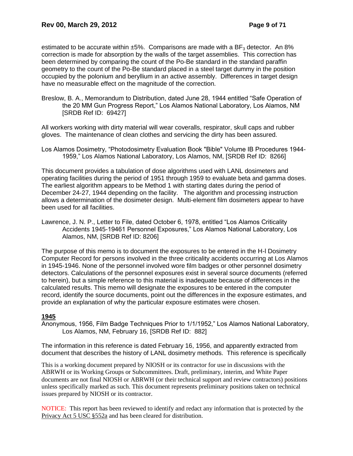estimated to be accurate within  $\pm 5\%$ . Comparisons are made with a BF<sub>3</sub> detector. An 8% correction is made for absorption by the walls of the target assemblies. This correction has been determined by comparing the count of the Po-Be standard in the standard paraffin geometry to the count of the Po-Be standard placed in a steel target dummy in the position occupied by the polonium and beryllium in an active assembly. Differences in target design have no measurable effect on the magnitude of the correction.

Breslow, B. A., Memorandum to Distribution, dated June 28, 1944 entitled "Safe Operation of the 20 MM Gun Progress Report," Los Alamos National Laboratory, Los Alamos, NM [SRDB Ref ID: 69427]

All workers working with dirty material will wear coveralls, respirator, skull caps and rubber gloves. The maintenance of clean clothes and servicing the dirty has been assured.

Los Alamos Dosimetry, "Photodosimetry Evaluation Book "Bible" Volume IB Procedures 1944- 1959," Los Alamos National Laboratory, Los Alamos, NM, [SRDB Ref ID: 8266]

This document provides a tabulation of dose algorithms used with LANL dosimeters and operating facilities during the period of 1951 through 1959 to evaluate beta and gamma doses. The earliest algorithm appears to be Method 1 with starting dates during the period of December 24-27, 1944 depending on the facility. The algorithm and processing instruction allows a determination of the dosimeter design. Multi-element film dosimeters appear to have been used for all facilities.

Lawrence, J. N. P., Letter to File, dated October 6, 1978, entitled "Los Alamos Criticality Accidents 1945-19461 Personnel Exposures," Los Alamos National Laboratory, Los Alamos, NM, [SRDB Ref ID: 8206]

The purpose of this memo is to document the exposures to be entered in the H-l Dosimetry Computer Record for persons involved in the three criticality accidents occurring at Los Alamos in 1945-1946. None of the personnel involved wore film badges or other personnel dosimetry detectors. Calculations of the personnel exposures exist in several source documents (referred to herein), but a simple reference to this material is inadequate because of differences in the calculated results. This memo will designate the exposures to be entered in the computer record, identify the source documents, point out the differences in the exposure estimates, and provide an explanation of why the particular exposure estimates were chosen.

# **1945**

Anonymous, 1956, Film Badge Techniques Prior to 1/1/1952," Los Alamos National Laboratory, Los Alamos, NM, February 16, [SRDB Ref ID: 882]

The information in this reference is dated February 16, 1956, and apparently extracted from document that describes the history of LANL dosimetry methods. This reference is specifically

This is a working document prepared by NIOSH or its contractor for use in discussions with the ABRWH or its Working Groups or Subcommittees. Draft, preliminary, interim, and White Paper documents are not final NIOSH or ABRWH (or their technical support and review contractors) positions unless specifically marked as such. This document represents preliminary positions taken on technical issues prepared by NIOSH or its contractor.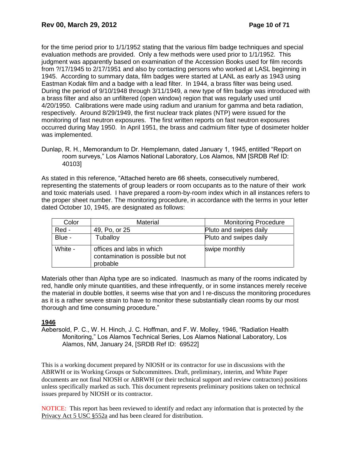for the time period prior to 1/1/1952 stating that the various film badge techniques and special evaluation methods are provided. Only a few methods were used prior to 1/1/1952. This judgment was apparently based on examination of the Accession Books used for film records from ?/17/1945 to 2/17/1951 and also by contacting persons who worked at LASL beginning in 1945. According to summary data, film badges were started at LANL as early as 1943 using Eastman Kodak film and a badge with a lead filter. In 1944, a brass filter was being used. During the period of 9/10/1948 through 3/11/1949, a new type of film badge was introduced with a brass filter and also an unfiltered (open window) region that was regularly used until 4/20/1950. Calibrations were made using radium and uranium for gamma and beta radiation, respectively. Around 8/29/1949, the first nuclear track plates (NTP) were issued for the monitoring of fast neutron exposures. The first written reports on fast neutron exposures occurred during May 1950. In April 1951, the brass and cadmium filter type of dosimeter holder was implemented.

As stated in this reference, "Attached hereto are 66 sheets, consecutively numbered, representing the statements of group leaders or room occupants as to the nature of their work and toxic materials used. I have prepared a room-by-room index which in all instances refers to the proper sheet number. The monitoring procedure, in accordance with the terms in your letter dated October 10, 1945, are designated as follows:

| Color   | Material                                                                   | <b>Monitoring Procedure</b> |
|---------|----------------------------------------------------------------------------|-----------------------------|
| Red -   | 49, Po, or 25                                                              | Pluto and swipes daily      |
| Blue -  | Tuballoy                                                                   | Pluto and swipes daily      |
| White - | offices and labs in which<br>contamination is possible but not<br>probable | swipe monthly               |

Materials other than Alpha type are so indicated. Inasmuch as many of the rooms indicated by red, handle only minute quantities, and these infrequently, or in some instances merely receive the material in double bottles, it seems wise that yon and I re-discuss the monitoring procedures as it is a rather severe strain to have to monitor these substantially clean rooms by our most thorough and time consuming procedure."

# **1946**

Aebersold, P. C., W. H. Hinch, J. C. Hoffman, and F. W. Molley, 1946, "Radiation Health Monitoring," Los Alamos Technical Series, Los Alamos National Laboratory, Los Alamos, NM, January 24, [SRDB Ref ID: 69522]

This is a working document prepared by NIOSH or its contractor for use in discussions with the ABRWH or its Working Groups or Subcommittees. Draft, preliminary, interim, and White Paper documents are not final NIOSH or ABRWH (or their technical support and review contractors) positions unless specifically marked as such. This document represents preliminary positions taken on technical issues prepared by NIOSH or its contractor.

Dunlap, R. H., Memorandum to Dr. Hemplemann, dated January 1, 1945, entitled "Report on room surveys," Los Alamos National Laboratory, Los Alamos, NM [SRDB Ref ID: 40103]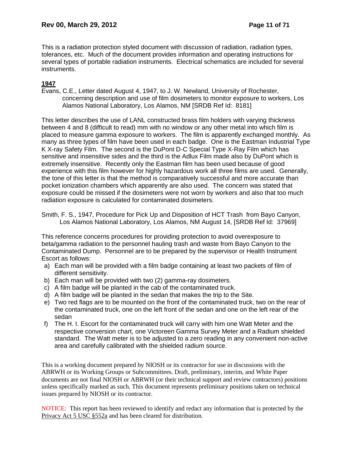This is a radiation protection styled document with discussion of radiation, radiation types, tolerances, etc. Much of the document provides information and operating instructions for several types of portable radiation instruments. Electrical schematics are included for several instruments.

# **1947**

Evans, C.E., Letter dated August 4, 1947, to J. W. Newland, University of Rochester, concerning description and use of film dosimeters to monitor exposure to workers, Los Alamos National Laboratory, Los Alamos, NM [SRDB Ref Id: 8181]

This letter describes the use of LANL constructed brass film holders with varying thickness between 4 and 8 (difficult to read) mm with no window or any other metal into which film is placed to measure gamma exposure to workers. The film is apparently exchanged monthly. As many as three types of film have been used in each badge. One is the Eastman Industrial Type K X-ray Safety Film. The second is the DuPont D-C Special Type X-Ray Film which has sensitive and insensitive sides and the third is the Adlux Film made also by DuPont which is extremely insensitive. Recently only the Eastman film has been used because of good experience with this film however for highly hazardous work all three films are used. Generally, the tone of this letter is that the method is comparatively successful and more accurate than pocket ionization chambers which apparently are also used. The concern was stated that exposure could be missed if the dosimeters were not worn by workers and also that too much radiation exposure is calculated for contaminated dosimeters.

Smith, F. S., 1947, Procedure for Pick Up and Disposition of HCT Trash from Bayo Canyon, Los Alamos National Laboratory, Los Alamos, NM August 14, [SRDB Ref Id: 37969]

This reference concerns procedures for providing protection to avoid overexposure to beta/gamma radiation to the personnel hauling trash and waste from Bayo Canyon to the Contaminated Dump. Personnel are to be prepared by the supervisor or Health Instrument Escort as follows:

- a) Each man will be provided with a film badge containing at least two packets of film of different sensitivity.
- b) Each man will be provided with two (2) gamma-ray dosimeters.
- c) A film badge will be planted in the cab of the contaminated truck.
- d) A film badge will be planted in the sedan that makes the trip to the Site.
- e) Two red flags are to be mounted on the front of the contaminated truck, two on the rear of the contaminated truck, one on the left front of the sedan and one on the left rear of the sedan
- f) The H. I. Escort for the contaminated truck will carry with him one Watt Meter and the respective conversion chart, one Victoreen Gamma Survey Meter and a Radium shielded standard. The Watt meter is to be adjusted to a zero reading in any convenient non-active area and carefully calibrated with the shielded radium source.

This is a working document prepared by NIOSH or its contractor for use in discussions with the ABRWH or its Working Groups or Subcommittees. Draft, preliminary, interim, and White Paper documents are not final NIOSH or ABRWH (or their technical support and review contractors) positions unless specifically marked as such. This document represents preliminary positions taken on technical issues prepared by NIOSH or its contractor.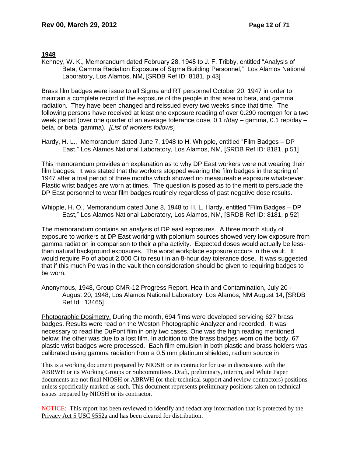#### **1948**

Kenney, W. K., Memorandum dated February 28, 1948 to J. F. Tribby, entitled "Analysis of Beta, Gamma Radiation Exposure of Sigma Building Personnel," Los Alamos National Laboratory, Los Alamos, NM, [SRDB Ref ID: 8181, p 43]

Brass film badges were issue to all Sigma and RT personnel October 20, 1947 in order to maintain a complete record of the exposure of the people in that area to beta, and gamma radiation. They have been changed and reissued every two weeks since that time. The following persons have received at least one exposure reading of over 0.290 roentgen for a two week period (over one quarter of an average tolerance dose, 0.1 r/day – gamma, 0.1 rep/day – beta, or beta, gamma). *[List of workers follows*]

Hardy, H. L., Memorandum dated June 7, 1948 to H. Whipple, entitled "Film Badges – DP East," Los Alamos National Laboratory, Los Alamos, NM, [SRDB Ref ID: 8181, p 51]

This memorandum provides an explanation as to why DP East workers were not wearing their film badges. It was stated that the workers stopped wearing the film badges in the spring of 1947 after a trial period of three months which showed no measureable exposure whatsoever. Plastic wrist badges are worn at times. The question is posed as to the merit to persuade the DP East personnel to wear film badges routinely regardless of past negative dose results.

Whipple, H. O., Memorandum dated June 8, 1948 to H. L. Hardy, entitled "Film Badges – DP East," Los Alamos National Laboratory, Los Alamos, NM, [SRDB Ref ID: 8181, p 52]

The memorandum contains an analysis of DP east exposures. A three month study of exposure to workers at DP East working with polonium sources showed very low exposure from gamma radiation in comparison to their alpha activity. Expected doses would actually be lessthan natural background exposures. The worst workplace exposure occurs in the vault. It would require Po of about 2,000 Ci to result in an 8-hour day tolerance dose. It was suggested that if this much Po was in the vault then consideration should be given to requiring badges to be worn.

Anonymous, 1948, Group CMR-12 Progress Report, Health and Contamination, July 20 - August 20, 1948, Los Alamos National Laboratory, Los Alamos, NM August 14, [SRDB Ref Id: 13465]

Photographic Dosimetry. During the month, 694 films were developed servicing 627 brass badges. Results were read on the Weston Photographic Analyzer and recorded. It was necessary to read the DuPont film in only two cases. One was the high reading mentioned below; the other was due to a lost film. In addition to the brass badges worn on the body, 67 plastic wrist badges were processed. Each film emulsion in both plastic and brass holders was calibrated using gamma radiation from a 0.5 mm platinum shielded, radium source in

This is a working document prepared by NIOSH or its contractor for use in discussions with the ABRWH or its Working Groups or Subcommittees. Draft, preliminary, interim, and White Paper documents are not final NIOSH or ABRWH (or their technical support and review contractors) positions unless specifically marked as such. This document represents preliminary positions taken on technical issues prepared by NIOSH or its contractor.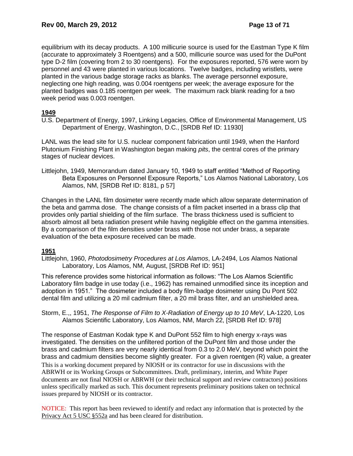equilibrium with its decay products. A 100 millicurie source is used for the Eastman Type K film (accurate to approximately 3 Roentgens) and a 500, millicurie source was used for the DuPont type D-2 film (covering from 2 to 30 roentgens). For the exposures reported, 576 were worn by personnel and 43 were planted in various locations. Twelve badges, including wristlets, were planted in the various badge storage racks as blanks. The average personnel exposure, neglecting one high reading, was 0.004 roentgens per week; the average exposure for the planted badges was 0.185 roentgen per week. The maximum rack blank reading for a two week period was 0.003 roentgen.

# **1949**

U.S. Department of Energy, 1997, Linking Legacies, Office of Environmental Management, US Department of Energy, Washington, D.C., [SRDB Ref ID: 11930]

LANL was the lead site for U.S. nuclear component fabrication until 1949, when the Hanford Plutonium Finishing Plant in Washington began making *pits*, the central cores of the primary stages of nuclear devices.

Littlejohn, 1949, Memorandum dated January 10, 1949 to staff entitled "Method of Reporting Beta Exposures on Personnel Exposure Reports," Los Alamos National Laboratory, Los Alamos, NM, [SRDB Ref ID: 8181, p 57]

Changes in the LANL film dosimeter were recently made which allow separate determination of the beta and gamma dose. The change consists of a film packet inserted in a brass clip that provides only partial shielding of the film surface. The brass thickness used is sufficient to absorb almost all beta radiation present while having negligible effect on the gamma intensities. By a comparison of the film densities under brass with those not under brass, a separate evaluation of the beta exposure received can be made.

# **1951**

Littlejohn, 1960, *Photodosimetry Procedures at Los Alamos*, LA-2494, Los Alamos National Laboratory, Los Alamos, NM, August, [SRDB Ref ID: 951]

This reference provides some historical information as follows: "The Los Alamos Scientific Laboratory film badge in use today (i.e., 1962) has remained unmodified since its inception and adoption in 1951." The dosimeter included a body film-badge dosimeter using Du Pont 502 dental film and utilizing a 20 mil cadmium filter, a 20 mil brass filter, and an unshielded area.

Storm, E.,, 1951, *The Response of Film to X-Radiation of Energy up to 10 MeV*, LA-1220, Los Alamos Scientific Laboratory, Los Alamos, NM, March 22, [SRDB Ref ID: 978]

This is a working document prepared by NIOSH or its contractor for use in discussions with the ABRWH or its Working Groups or Subcommittees. Draft, preliminary, interim, and White Paper documents are not final NIOSH or ABRWH (or their technical support and review contractors) positions unless specifically marked as such. This document represents preliminary positions taken on technical issues prepared by NIOSH or its contractor. The response of Eastman Kodak type K and DuPont 552 film to high energy x-rays was investigated. The densities on the unfiltered portion of the DuPont film and those under the brass and cadmium filters are very nearly identical from 0.3 to 2.0 MeV, beyond which point the brass and cadmium densities become slightly greater. For a given roentgen (R) value, a greater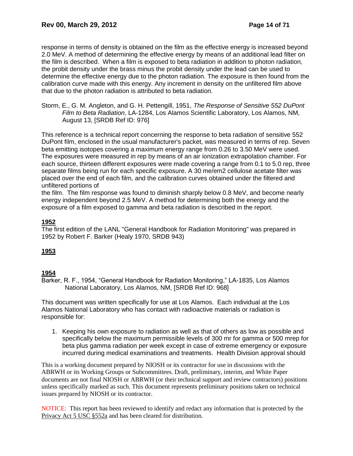response in terms of density is obtained on the film as the effective energy is increased beyond 2.0 MeV. A method of determining the effective energy by means of an additional lead filter on the film is described. When a film is exposed to beta radiation in addition to photon radiation, the probit density under the brass minus the probit density under the lead can be used to determine the effective energy due to the photon radiation. The exposure is then found from the calibration curve made with this energy. Any increment in density on the unfiltered film above that due to the photon radiation is attributed to beta radiation.

Storm, E., G. M. Angleton, and G. H. Pettengill, 1951, *The Response of Sensitive 552 DuPont Film to Beta Radiation*, LA-1284, Los Alamos Scientific Laboratory, Los Alamos, NM, August 13, [SRDB Ref ID: 976]

This reference is a technical report concerning the response to beta radiation of sensitive 552 DuPont film, enclosed in the usual manufacturer's packet, was measured in terms of rep. Seven beta emitting isotopes covering a maximum energy range from 0.26 to 3.50 MeV were used. The exposures were measured in rep by means of an air ionization extrapolation chamber. For each source, thirteen different exposures were made covering a range from 0.1 to 5.0 rep, three separate films being run for each specific exposure. A 30 me/em2 cellulose acetate filter was placed over the end of each film, and the calibration curves obtained under the filtered and unfiltered portions of

the film. The film response was found to diminish sharply below 0.8 MeV, and become nearly energy independent beyond 2.5 MeV. A method for determining both the energy and the exposure of a film exposed to gamma and beta radiation is described in the report.

# **1952**

The first edition of the LANL "General Handbook for Radiation Monitoring" was prepared in 1952 by Robert F. Barker (Healy 1970, SRDB 943)

# **1953**

### **1954**

Barker, R. F., 1954, "General Handbook for Radiation Monitoring," LA-1835, Los Alamos National Laboratory, Los Alamos, NM, [SRDB Ref ID: 968]

This document was written specifically for use at Los Alamos. Each individual at the Los Alamos National Laboratory who has contact with radioactive materials or radiation is responsible for:

1. Keeping his own exposure to radiation as well as that of others as low as possible and specifically below the maximum permissible levels of 300 mr for gamma or 500 mrep for beta plus gamma radiation per week except in case of extreme emergency or exposure incurred during medical examinations and treatments. Health Division approval should

This is a working document prepared by NIOSH or its contractor for use in discussions with the ABRWH or its Working Groups or Subcommittees. Draft, preliminary, interim, and White Paper documents are not final NIOSH or ABRWH (or their technical support and review contractors) positions unless specifically marked as such. This document represents preliminary positions taken on technical issues prepared by NIOSH or its contractor.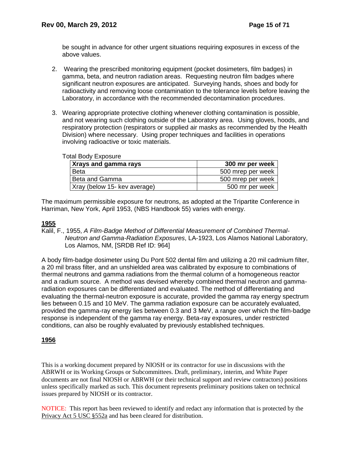be sought in advance for other urgent situations requiring exposures in excess of the above values.

- 2. Wearing the prescribed monitoring equipment (pocket dosimeters, film badges) in gamma, beta, and neutron radiation areas. Requesting neutron film badges where significant neutron exposures are anticipated. Surveying hands, shoes and body for radioactivity and removing loose contamination to the tolerance levels before leaving the Laboratory, in accordance with the recommended decontamination procedures.
- 3. Wearing appropriate protective clothing whenever clothing contamination is possible, and not wearing such clothing outside of the Laboratory area. Using gloves, hoods, and respiratory protection (respirators or supplied air masks as recommended by the Health Division) where necessary. Using proper techniques and facilities in operations involving radioactive or toxic materials.

| iai Douy Lipoouio            |                   |
|------------------------------|-------------------|
| Xrays and gamma rays         | 300 mr per week   |
| Beta                         | 500 mrep per week |
| Beta and Gamma               | 500 mrep per week |
| Xray (below 15- key average) | 500 mr per week   |

#### Total Body Exposure

The maximum permissible exposure for neutrons, as adopted at the Tripartite Conference in Harriman, New York, April 1953, (NBS Handbook 55) varies with energy.

# **1955**

Kalil, F., 1955, *A Film-Badge Method of Differential Measurement of Combined Thermal-Neutron and Gamma-Radiation Exposures*, LA-1923, Los Alamos National Laboratory, Los Alamos, NM, [SRDB Ref ID: 964]

A body film-badge dosimeter using Du Pont 502 dental film and utilizing a 20 mil cadmium filter, a 20 mil brass filter, and an unshielded area was calibrated by exposure to combinations of thermal neutrons and gamma radiations from the thermal column of a homogeneous reactor and a radium source. A method was devised whereby combined thermal neutron and gammaradiation exposures can be differentiated and evaluated. The method of differentiating and evaluating the thermal-neutron exposure is accurate, provided the gamma ray energy spectrum lies between 0.15 and 10 MeV. The gamma radiation exposure can be accurately evaluated, provided the gamma-ray energy lies between 0.3 and 3 MeV, a range over which the film-badge response is independent of the gamma ray energy. Beta-ray exposures, under restricted conditions, can also be roughly evaluated by previously established techniques.

### **1956**

This is a working document prepared by NIOSH or its contractor for use in discussions with the ABRWH or its Working Groups or Subcommittees. Draft, preliminary, interim, and White Paper documents are not final NIOSH or ABRWH (or their technical support and review contractors) positions unless specifically marked as such. This document represents preliminary positions taken on technical issues prepared by NIOSH or its contractor.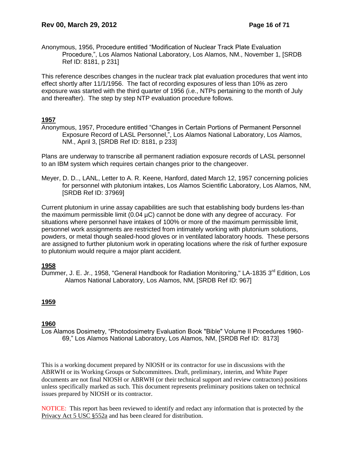Anonymous, 1956, Procedure entitled "Modification of Nuclear Track Plate Evaluation Procedure,", Los Alamos National Laboratory, Los Alamos, NM., November 1, [SRDB Ref ID: 8181, p 231]

This reference describes changes in the nuclear track plat evaluation procedures that went into effect shortly after 11/1/1956. The fact of recording exposures of less than 10% as zero exposure was started with the third quarter of 1956 (i.e., NTPs pertaining to the month of July and thereafter). The step by step NTP evaluation procedure follows.

# **1957**

Anonymous, 1957, Procedure entitled "Changes in Certain Portions of Permanent Personnel Exposure Record of LASL Personnel,", Los Alamos National Laboratory, Los Alamos, NM., April 3, [SRDB Ref ID: 8181, p 233]

Plans are underway to transcribe all permanent radiation exposure records of LASL personnel to an IBM system which requires certain changes prior to the changeover.

Meyer, D. D.., LANL, Letter to A. R. Keene, Hanford, dated March 12, 1957 concerning policies for personnel with plutonium intakes, Los Alamos Scientific Laboratory, Los Alamos, NM, [SRDB Ref ID: 37969]

Current plutonium in urine assay capabilities are such that establishing body burdens les-than the maximum permissible limit (0.04 µC) cannot be done with any degree of accuracy. For situations where personnel have intakes of 100% or more of the maximum permissible limit, personnel work assignments are restricted from intimately working with plutonium solutions, powders, or metal though sealed-hood gloves or in ventilated laboratory hoods. These persons are assigned to further plutonium work in operating locations where the risk of further exposure to plutonium would require a major plant accident.

### **1958**

Dummer, J. E. Jr., 1958, "General Handbook for Radiation Monitoring." LA-1835 3<sup>rd</sup> Edition. Los Alamos National Laboratory, Los Alamos, NM, [SRDB Ref ID: 967]

### **1959**

### **1960**

Los Alamos Dosimetry, "Photodosimetry Evaluation Book "Bible" Volume II Procedures 1960- 69," Los Alamos National Laboratory, Los Alamos, NM, [SRDB Ref ID: 8173]

This is a working document prepared by NIOSH or its contractor for use in discussions with the ABRWH or its Working Groups or Subcommittees. Draft, preliminary, interim, and White Paper documents are not final NIOSH or ABRWH (or their technical support and review contractors) positions unless specifically marked as such. This document represents preliminary positions taken on technical issues prepared by NIOSH or its contractor.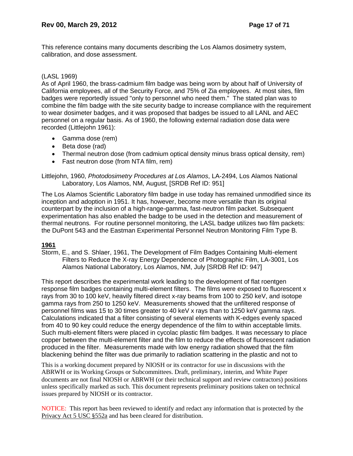This reference contains many documents describing the Los Alamos dosimetry system, calibration, and dose assessment.

# (LASL 1969)

As of April 1960, the brass-cadmium film badge was being worn by about half of University of California employees, all of the Security Force, and 75% of Zia employees. At most sites, film badges were reportedly issued "only to personnel who need them." The stated plan was to combine the film badge with the site security badge to increase compliance with the requirement to wear dosimeter badges, and it was proposed that badges be issued to all LANL and AEC personnel on a regular basis. As of 1960, the following external radiation dose data were recorded (Littlejohn 1961):

- Gamma dose (rem)
- Beta dose (rad)
- Thermal neutron dose (from cadmium optical density minus brass optical density, rem)
- Fast neutron dose (from NTA film, rem)

Littlejohn, 1960, *Photodosimetry Procedures at Los Alamos*, LA-2494, Los Alamos National Laboratory, Los Alamos, NM, August, [SRDB Ref ID: 951]

The Los Alamos Scientific Laboratory film badge in use today has remained unmodified since its inception and adoption in 1951. It has, however, become more versatile than its original counterpart by the inclusion of a high-range-gamma, fast-neutron film packet. Subsequent experimentation has also enabled the badge to be used in the detection and measurement of thermal neutrons. For routine personnel monitoring, the LASL badge utilizes two film packets: the DuPont 543 and the Eastman Experimental Personnel Neutron Monitoring Film Type B.

# **1961**

Storm, E., and S. Shlaer, 1961, The Development of Film Badges Containing Multi-element Filters to Reduce the X-ray Energy Dependence of Photographic Film, LA-3001, Los Alamos National Laboratory, Los Alamos, NM, July [SRDB Ref ID: 947]

This report describes the experimental work leading to the development of flat roentgen response film badges containing multi-element filters. The films were exposed to fluorescent x rays from 30 to 100 keV, heavily filtered direct x-ray beams from 100 to 250 keV, and isotope gamma rays from 250 to 1250 keV. Measurements showed that the unfiltered response of personnel films was 15 to 30 times greater to 40 keV x rays than to 1250 keV gamma rays. Calculations indicated that a filter consisting of several elements with K-edges evenly spaced from 40 to 90 key could reduce the energy dependence of the film to within acceptable limits. Such multi-element filters were placed in cycolac plastic film badges. It was necessary to place copper between the multi-element filter and the film to reduce the effects of fluorescent radiation produced in the filter. Measurements made with low energy radiation showed that the film blackening behind the filter was due primarily to radiation scattering in the plastic and not to

This is a working document prepared by NIOSH or its contractor for use in discussions with the ABRWH or its Working Groups or Subcommittees. Draft, preliminary, interim, and White Paper documents are not final NIOSH or ABRWH (or their technical support and review contractors) positions unless specifically marked as such. This document represents preliminary positions taken on technical issues prepared by NIOSH or its contractor.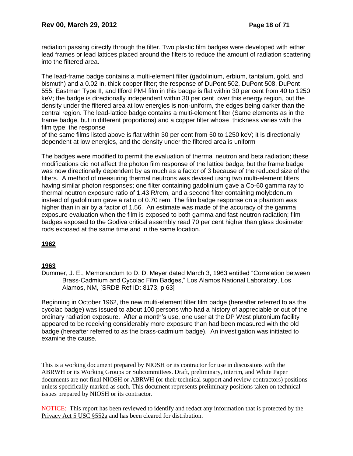radiation passing directly through the filter. Two plastic film badges were developed with either lead frames or lead lattices placed around the filters to reduce the amount of radiation scattering into the filtered area.

The lead-frame badge contains a multi-element filter (gadolinium, erbium, tantalum, gold, and bismuth) and a 0.02 in. thick copper filter; the response of DuPont 502, DuPont 508, DuPont 555, Eastman Type II, and Ilford PM-l film in this badge is flat within 30 per cent from 40 to 1250 keV; the badge is directionally independent within 30 per cent over this energy region, but the density under the filtered area at low energies is non-uniform, the edges being darker than the central region. The lead-lattice badge contains a multi-element filter (Same elements as in the frame badge, but in different proportions) and a copper filter whose thickness varies with the film type; the response

of the same films listed above is flat within 30 per cent from 50 to 1250 keV; it is directionally dependent at low energies, and the density under the filtered area is uniform

The badges were modified to permit the evaluation of thermal neutron and beta radiation; these modifications did not affect the photon film response of the lattice badge, but the frame badge was now directionally dependent by as much as a factor of 3 because of the reduced size of the filters. A method of measuring thermal neutrons was devised using two multi-element filters having similar photon responses; one filter containing gadolinium gave a Co-60 gamma ray to thermal neutron exposure ratio of 1.43 R/rem, and a second filter containing molybdenum instead of gadolinium gave a ratio of 0.70 rem. The film badge response on a phantom was higher than in air by a factor of 1.56. An estimate was made of the accuracy of the gamma exposure evaluation when the film is exposed to both gamma and fast neutron radiation; film badges exposed to the Godiva critical assembly read 70 per cent higher than glass dosimeter rods exposed at the same time and in the same location.

# **1962**

### **1963**

Dummer, J. E., Memorandum to D. D. Meyer dated March 3, 1963 entitled "Correlation between Brass-Cadmium and Cycolac Film Badges," Los Alamos National Laboratory, Los Alamos, NM, [SRDB Ref ID: 8173, p 63]

Beginning in October 1962, the new multi-element filter film badge (hereafter referred to as the cycolac badge) was issued to about 100 persons who had a history of appreciable or out of the ordinary radiation exposure. After a month's use, one user at the DP West plutonium facility appeared to be receiving considerably more exposure than had been measured with the old badge (hereafter referred to as the brass-cadmium badge). An investigation was initiated to examine the cause.

This is a working document prepared by NIOSH or its contractor for use in discussions with the ABRWH or its Working Groups or Subcommittees. Draft, preliminary, interim, and White Paper documents are not final NIOSH or ABRWH (or their technical support and review contractors) positions unless specifically marked as such. This document represents preliminary positions taken on technical issues prepared by NIOSH or its contractor.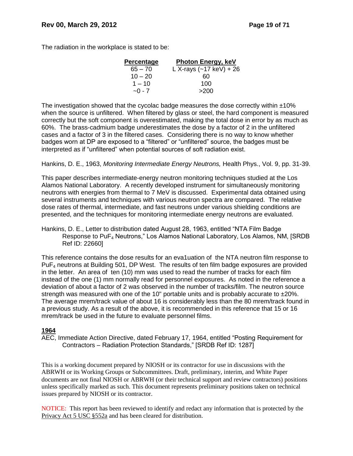The radiation in the workplace is stated to be:

| Percentage   | <b>Photon Energy, keV</b>         |
|--------------|-----------------------------------|
| $65 - 70$    | L X-rays $(-17 \text{ keV}) + 26$ |
| $10 - 20$    | 60                                |
| $1 - 10$     | 100                               |
| $\sim$ 0 - 7 | >200                              |

The investigation showed that the cycolac badge measures the dose correctly within  $±10\%$ when the source is unfiltered. When filtered by glass or steel, the hard component is measured correctly but the soft component is overestimated, making the total dose in error by as much as 60%. The brass-cadmium badge underestimates the dose by a factor of 2 in the unfiltered cases and a factor of 3 in the filtered cases. Considering there is no way to know whether badges worn at DP are exposed to a "filtered" or "unfiltered" source, the badges must be interpreted as if "unfiltered" when potential sources of soft radiation exist.

Hankins, D. E., 1963, *Monitoring Intermediate Energy Neutrons,* Health Phys., Vol. 9, pp. 31-39.

This paper describes intermediate-energy neutron monitoring techniques studied at the Los Alamos National Laboratory. A recently developed instrument for simultaneously monitoring neutrons with energies from thermal to 7 MeV is discussed. Experimental data obtained using several instruments and techniques with various neutron spectra are compared. The relative dose rates of thermal, intermediate, and fast neutrons under various shielding conditions are presented, and the techniques for monitoring intermediate energy neutrons are evaluated.

Hankins, D. E., Letter to distribution dated August 28, 1963, entitled "NTA Film Badge Response to PuF<sup>4</sup> Neutrons," Los Alamos National Laboratory, Los Alamos, NM, [SRDB Ref ID: 22660]

This reference contains the dose results for an eva1uation of the NTA neutron film response to PuF<sup>4</sup> neutrons at Building 501, DP West. The results of ten film badge exposures are provided in the letter. An area of ten (10) mm was used to read the number of tracks for each film instead of the one (1) mm normally read for personnel exposures. As noted in the reference a deviation of about a factor of 2 was observed in the number of tracks/film. The neutron source strength was measured with one of the 10" portable units and is probably accurate to ±20%. The average mrem/track value of about 16 is considerably less than the 80 mrem/track found in a previous study. As a result of the above, it is recommended in this reference that 15 or 16 mrem/track be used in the future to evaluate personnel films.

### **1964**

AEC, Immediate Action Directive, dated February 17, 1964, entitled "Posting Requirement for Contractors – Radiation Protection Standards," [SRDB Ref ID: 1287]

This is a working document prepared by NIOSH or its contractor for use in discussions with the ABRWH or its Working Groups or Subcommittees. Draft, preliminary, interim, and White Paper documents are not final NIOSH or ABRWH (or their technical support and review contractors) positions unless specifically marked as such. This document represents preliminary positions taken on technical issues prepared by NIOSH or its contractor.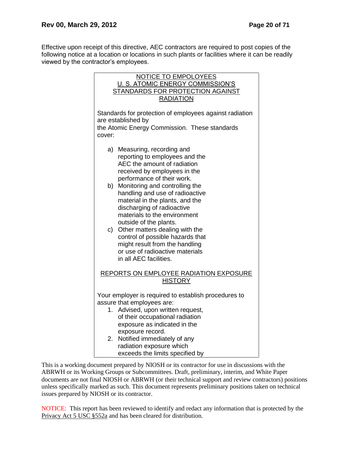Effective upon receipt of this directive, AEC contractors are required to post copies of the following notice at a location or locations in such plants or facilities where it can be readily viewed by the contractor's employees.



This is a working document prepared by NIOSH or its contractor for use in discussions with the ABRWH or its Working Groups or Subcommittees. Draft, preliminary, interim, and White Paper documents are not final NIOSH or ABRWH (or their technical support and review contractors) positions unless specifically marked as such. This document represents preliminary positions taken on technical issues prepared by NIOSH or its contractor.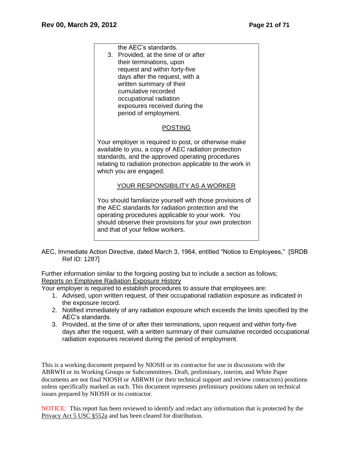| the AEC's standards.<br>3. Provided, at the time of or after<br>their terminations, upon<br>request and within forty-five<br>days after the request, with a<br>written summary of their<br>cumulative recorded<br>occupational radiation<br>exposures received during the<br>period of employment. |
|----------------------------------------------------------------------------------------------------------------------------------------------------------------------------------------------------------------------------------------------------------------------------------------------------|
| <b>POSTING</b>                                                                                                                                                                                                                                                                                     |
| Your employer is required to post, or otherwise make<br>available to you, a copy of AEC radiation protection<br>standards, and the approved operating procedures<br>relating to radiation protection applicable to the work in<br>which you are engaged.                                           |
| YOUR RESPONSIBILITY AS A WORKER                                                                                                                                                                                                                                                                    |
| You should familiarize yourself with those provisions of<br>the AEC standards for radiation protection and the<br>operating procedures applicable to your work. You<br>should observe their provisions for your own protection<br>and that of your fellow workers.                                 |

AEC, Immediate Action Directive, dated March 3, 1964, entitled "Notice to Employees," [SRDB Ref ID: 1287]

Further information similar to the forgoing posting but to include a section as follows; Reports on Employee Radiation Exposure History

Your employer is required to establish procedures to assure that employees are:

- 1. Advised, upon written request, of their occupational radiation exposure as indicated in the exposure record.
- 2. Notified immediately of any radiation exposure which exceeds the limits specified by the AEC's standards.
- 3. Provided, at the time of or after their terminations, upon request and within forty-five days after the request, with a written summary of their cumulative recorded occupational radiation exposures received during the period of employment.

This is a working document prepared by NIOSH or its contractor for use in discussions with the ABRWH or its Working Groups or Subcommittees. Draft, preliminary, interim, and White Paper documents are not final NIOSH or ABRWH (or their technical support and review contractors) positions unless specifically marked as such. This document represents preliminary positions taken on technical issues prepared by NIOSH or its contractor.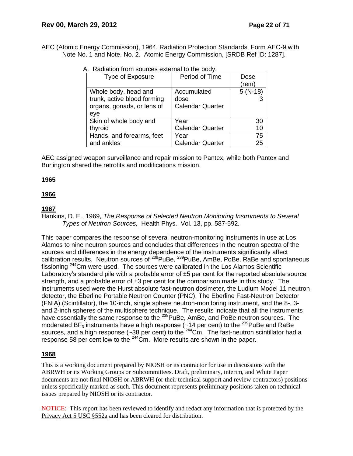AEC (Atomic Energy Commission), 1964, Radiation Protection Standards, Form AEC-9 with Note No. 1 and Note. No. 2. Atomic Energy Commission, [SRDB Ref ID: 1287].

| Type of Exposure            | Period of Time          | Dose       |
|-----------------------------|-------------------------|------------|
|                             |                         | (rem)      |
| Whole body, head and        | Accumulated             | $5 (N-18)$ |
| trunk, active blood forming | dose                    |            |
| organs, gonads, or lens of  | <b>Calendar Quarter</b> |            |
| eye                         |                         |            |
| Skin of whole body and      | Year                    | 30         |
| thyroid                     | <b>Calendar Quarter</b> | 10         |
| Hands, and forearms, feet   | Year                    | 75         |
| and ankles                  | <b>Calendar Quarter</b> | 25         |

A. Radiation from sources external to the body.

AEC assigned weapon surveillance and repair mission to Pantex, while both Pantex and Burlington shared the retrofits and modifications mission.

### **1965**

# **1966**

# **1967**

Hankins, D. E., 1969, *The Response of Selected Neutron Monitoring Instruments to Several Types of Neutron Sources,* Health Phys., Vol. 13, pp. 587-592.

This paper compares the response of several neutron-monitoring instruments in use at Los Alamos to nine neutron sources and concludes that differences in the neutron spectra of the sources and differences in the energy dependence of the instruments significantly affect calibration results. Neutron sources of <sup>238</sup>PuBe, <sup>239</sup>PuBe, AmBe, PoBe, RaBe and spontaneous fissioning <sup>244</sup>Cm were used. The sources were calibrated in the Los Alamos Scientific Laboratory's standard pile with a probable error of  $\pm 5$  per cent for the reported absolute source strength, and a probable error of  $\pm 3$  per cent for the comparison made in this study. The instruments used were the Hurst absolute fast-neutron dosimeter, the Ludlum Model 11 neutron detector, the Eberline Portable Neutron Counter (PNC), The Eberline Fast-Neutron Detector (FNIA) (Scintillator), the 10-inch, single sphere neutron-monitoring instrument, and the 8-, 3 and 2-inch spheres of the multisphere technique. The results indicate that all the instruments have essentially the same response to the <sup>238</sup>PuBe, AmBe, and PoBe neutron sources. The moderated BF<sub>3</sub> instruments have a high response ( $\sim$ 14 per cent) to the <sup>239</sup>PuBe and RaBe sources, and a high response ( $-38$  per cent) to the <sup>244</sup>Cm. The fast-neutron scintillator had a response 58 per cent low to the <sup>244</sup>Cm. More results are shown in the paper.

# **1968**

This is a working document prepared by NIOSH or its contractor for use in discussions with the ABRWH or its Working Groups or Subcommittees. Draft, preliminary, interim, and White Paper documents are not final NIOSH or ABRWH (or their technical support and review contractors) positions unless specifically marked as such. This document represents preliminary positions taken on technical issues prepared by NIOSH or its contractor.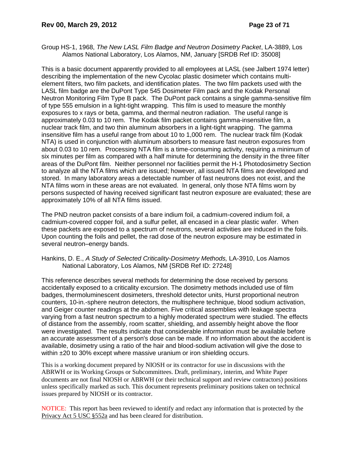Group HS-1, 1968, *The New LASL Film Badge and Neutron Dosimetry Packet*, LA-3889, Los Alamos National Laboratory, Los Alamos, NM, January [SRDB Ref ID: 35008]

This is a basic document apparently provided to all employees at LASL (see Jalbert 1974 letter) describing the implementation of the new Cycolac plastic dosimeter which contains multielement filters, two film packets, and identification plates. The two film packets used with the LASL film badge are the DuPont Type 545 Dosimeter Film pack and the Kodak Personal Neutron Monitoring Film Type B pack. The DuPont pack contains a single gamma-sensitive film of type 555 emulsion in a light-tight wrapping. This film is used to measure the monthly exposures to x rays or beta, gamma, and thermal neutron radiation. The useful range is approximately 0.03 to 10 rem. The Kodak film packet contains gamma-insensitive film, a nuclear track film, and two thin aluminum absorbers in a light-tight wrapping. The gamma insensitive film has a useful range from about 10 to 1,000 rem. The nuclear track film (Kodak NTA) is used in conjunction with aluminum absorbers to measure fast neutron exposures from about 0.03 to 10 rem. Processing NTA film is a time-consuming activity, requiring a minimum of six minutes per film as compared with a half minute for determining the density in the three filter areas of the DuPont film. Neither personnel nor facilities permit the H-1 Photodosimetry Section to analyze all the NTA films which are issued; however, all issued NTA films are developed and stored. In many laboratory areas a detectable number of fast neutrons does not exist, and the NTA films worn in these areas are not evaluated. In general, only those NTA films worn by persons suspected of having received significant fast neutron exposure are evaluated; these are approximately 10% of all NTA films issued.

The PND neutron packet consists of a bare indium foil, a cadmium-covered indium foil, a cadmium-covered copper foil, and a sulfur pellet, all encased in a clear plastic wafer. When these packets are exposed to a spectrum of neutrons, several activities are induced in the foils. Upon counting the foils and pellet, the rad dose of the neutron exposure may be estimated in several neutron–energy bands.

#### Hankins, D. E., *A Study of Selected Criticality-Dosimetry Methods,* LA-3910, Los Alamos National Laboratory, Los Alamos, NM {SRDB Ref ID: 27248]

This reference describes several methods for determining the dose received by persons accidentally exposed to a criticality excursion. The dosimetry methods included use of film badges, thermoluminescent dosimeters, threshold detector units, Hurst proportional neutron counters, 10-in.-sphere neutron detectors, the multisphere technique, blood sodium activation, and Geiger counter readings at the abdomen. Five critical assemblies with leakage spectra varying from a fast neutron spectrum to a highly moderated spectrum were studied. The effects of distance from the assembly, room scatter, shielding, and assembly height above the floor were investigated. The results indicate that considerable information must be available before an accurate assessment of a person's dose can be made. If no information about the accident is available, dosimetry using a ratio of the hair and blood-sodium activation will give the dose to within  $\pm 20$  to 30% except where massive uranium or iron shielding occurs.

This is a working document prepared by NIOSH or its contractor for use in discussions with the ABRWH or its Working Groups or Subcommittees. Draft, preliminary, interim, and White Paper documents are not final NIOSH or ABRWH (or their technical support and review contractors) positions unless specifically marked as such. This document represents preliminary positions taken on technical issues prepared by NIOSH or its contractor.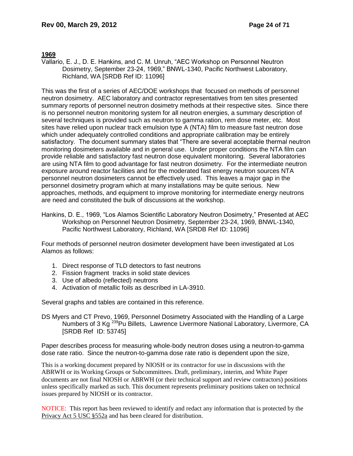#### **1969**

Vallario, E. J., D. E. Hankins, and C. M. Unruh, "AEC Workshop on Personnel Neutron Dosimetry, September 23-24, 1969," BNWL-1340, Pacific Northwest Laboratory, Richland, WA [SRDB Ref ID: 11096]

This was the first of a series of AEC/DOE workshops that focused on methods of personnel neutron dosimetry. AEC laboratory and contractor representatives from ten sites presented summary reports of personnel neutron dosimetry methods at their respective sites. Since there is no personnel neutron monitoring system for all neutron energies, a summary description of several techniques is provided such as neutron to gamma ration, rem dose meter, etc. Most sites have relied upon nuclear track emulsion type A (NTA) film to measure fast neutron dose which under adequately controlled conditions and appropriate calibration may be entirely satisfactory. The document summary states that "There are several acceptable thermal neutron monitoring dosimeters available and in general use. Under proper conditions the NTA film can provide reliable and satisfactory fast neutron dose equivalent monitoring. Several laboratories are using NTA film to good advantage for fast neutron dosimetry. For the intermediate neutron exposure around reactor facilities and for the moderated fast energy neutron sources NTA personnel neutron dosimeters cannot be effectively used. This leaves a major gap in the personnel dosimetry program which at many installations may be quite serious. New approaches, methods, and equipment to improve monitoring for intermediate energy neutrons are need and constituted the bulk of discussions at the workshop.

Hankins, D. E., 1969, "Los Alamos Scientific Laboratory Neutron Dosimetry," Presented at AEC Workshop on Personnel Neutron Dosimetry, September 23-24, 1969, BNWL-1340, Pacific Northwest Laboratory, Richland, WA [SRDB Ref ID: 11096]

Four methods of personnel neutron dosimeter development have been investigated at Los Alamos as follows:

- 1. Direct response of TLD detectors to fast neutrons
- 2. Fission fragment tracks in solid state devices
- 3. Use of albedo (reflected) neutrons
- 4. Activation of metallic foils as described in LA-3910.

Several graphs and tables are contained in this reference.

DS Myers and CT Prevo, 1969, Personnel Dosimetry Associated with the Handling of a Large Numbers of 3 Kg<sup>239</sup>Pu Billets, Lawrence Livermore National Laboratory, Livermore, CA [SRDB Ref ID: 53745]

Paper describes process for measuring whole-body neutron doses using a neutron-to-gamma dose rate ratio. Since the neutron-to-gamma dose rate ratio is dependent upon the size,

This is a working document prepared by NIOSH or its contractor for use in discussions with the ABRWH or its Working Groups or Subcommittees. Draft, preliminary, interim, and White Paper documents are not final NIOSH or ABRWH (or their technical support and review contractors) positions unless specifically marked as such. This document represents preliminary positions taken on technical issues prepared by NIOSH or its contractor.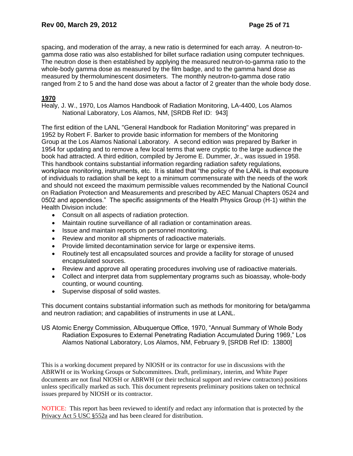spacing, and moderation of the array, a new ratio is determined for each array. A neutron-togamma dose ratio was also established for billet surface radiation using computer techniques. The neutron dose is then established by applying the measured neutron-to-gamma ratio to the whole-body gamma dose as measured by the film badge, and to the gamma hand dose as measured by thermoluminescent dosimeters. The monthly neutron-to-gamma dose ratio ranged from 2 to 5 and the hand dose was about a factor of 2 greater than the whole body dose.

# **1970**

Healy, J. W., 1970, Los Alamos Handbook of Radiation Monitoring, LA-4400, Los Alamos National Laboratory, Los Alamos, NM, [SRDB Ref ID: 943]

The first edition of the LANL "General Handbook for Radiation Monitoring" was prepared in 1952 by Robert F. Barker to provide basic information for members of the Monitoring Group at the Los Alamos National Laboratory. A second edition was prepared by Barker in 1954 for updating and to remove a few local terms that were cryptic to the large audience the book had attracted. A third edition, compiled by Jerome E. Dummer, Jr., was issued in 1958. This handbook contains substantial information regarding radiation safety regulations, workplace monitoring, instruments, etc. It is stated that "the policy of the LANL is that exposure of individuals to radiation shall be kept to a minimum commensurate with the needs of the work and should not exceed the maximum permissible values recommended by the National Council on Radiation Protection and Measurements and prescribed by AEC Manual Chapters 0524 and 0502 and appendices." The specific assignments of the Health Physics Group (H-1) within the Health Division include:

- Consult on all aspects of radiation protection.
- Maintain routine surveillance of all radiation or contamination areas.
- Issue and maintain reports on personnel monitoring.
- Review and monitor all shipments of radioactive materials.
- Provide limited decontamination service for large or expensive items.
- Routinely test all encapsulated sources and provide a facility for storage of unused encapsulated sources.
- Review and approve all operating procedures involving use of radioactive materials.
- Collect and interpret data from supplementary programs such as bioassay, whole-body counting, or wound counting.
- Supervise disposal of solid wastes.

This document contains substantial information such as methods for monitoring for beta/gamma and neutron radiation; and capabilities of instruments in use at LANL.

US Atomic Energy Commission, Albuquerque Office, 1970, "Annual Summary of Whole Body Radiation Exposures to External Penetrating Radiation Accumulated During 1969," Los Alamos National Laboratory, Los Alamos, NM, February 9, [SRDB Ref ID: 13800]

This is a working document prepared by NIOSH or its contractor for use in discussions with the ABRWH or its Working Groups or Subcommittees. Draft, preliminary, interim, and White Paper documents are not final NIOSH or ABRWH (or their technical support and review contractors) positions unless specifically marked as such. This document represents preliminary positions taken on technical issues prepared by NIOSH or its contractor.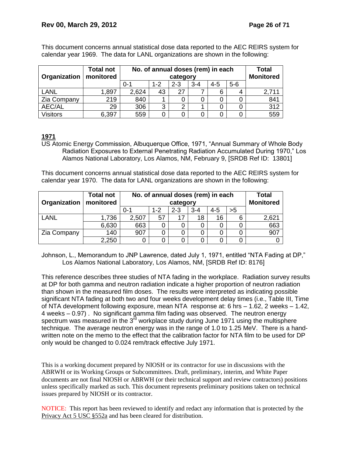| <b>Total not</b><br>No. of annual doses (rem) in each<br>monitored<br>Organization<br>category |       |         |     |         | Total<br><b>Monitored</b> |     |       |       |
|------------------------------------------------------------------------------------------------|-------|---------|-----|---------|---------------------------|-----|-------|-------|
|                                                                                                |       | $0 - 7$ | 1-2 | $2 - 3$ | 3-4                       | 4-5 | $5-6$ |       |
| LANL                                                                                           | 1,897 | 2,624   | 43  | 27      |                           |     |       | 2,711 |
| Zia Company                                                                                    | 219   | 840     |     |         |                           |     |       | 841   |
| AEC/AL                                                                                         | 29    | 306     | ົ   | ົ       |                           |     |       | 312   |
| Visitors                                                                                       | 6,397 | 559     |     |         |                           |     |       | 559   |

This document concerns annual statistical dose data reported to the AEC REIRS system for calendar year 1969. The data for LANL organizations are shown in the following:

# **1971**

US Atomic Energy Commission, Albuquerque Office, 1971, "Annual Summary of Whole Body Radiation Exposures to External Penetrating Radiation Accumulated During 1970," Los Alamos National Laboratory, Los Alamos, NM, February 9, [SRDB Ref ID: 13801]

This document concerns annual statistical dose data reported to the AEC REIRS system for calendar year 1970. The data for LANL organizations are shown in the following:

| <b>Total not</b><br>No. of annual doses (rem) in each |                       |         |         |         | <b>Total</b>     |         |    |       |
|-------------------------------------------------------|-----------------------|---------|---------|---------|------------------|---------|----|-------|
| Organization                                          | monitored<br>category |         |         |         | <b>Monitored</b> |         |    |       |
|                                                       |                       | $0 - 1$ | $1 - 2$ | $2 - 3$ | $3 - 4$          | $4 - 5$ | >5 |       |
| LANL                                                  | 1,736                 | 2,507   | 57      | 17      | 18               | 16      | 6  | 2,621 |
|                                                       | 6,630                 | 663     |         |         |                  |         |    | 663   |
| Zia Company                                           | 140                   | 907     |         |         |                  |         |    | 907   |
|                                                       | 2,250                 |         |         |         |                  |         |    |       |

Johnson, L., Memorandum to JNP Lawrence, dated July 1, 1971, entitled "NTA Fading at DP," Los Alamos National Laboratory, Los Alamos, NM, [SRDB Ref ID: 8176]

This reference describes three studies of NTA fading in the workplace. Radiation survey results at DP for both gamma and neutron radiation indicate a higher proportion of neutron radiation than shown in the measured film doses. The results were interpreted as indicating possible significant NTA fading at both two and four weeks development delay times (i.e., Table III, Time of NTA development following exposure, mean NTA response at: 6 hrs – 1.62, 2 weeks – 1.42, 4 weeks – 0.97) . No significant gamma film fading was observed. The neutron energy spectrum was measured in the  $3^{\overline{r}d}$  workplace study during June 1971 using the multisphere technique. The average neutron energy was in the range of 1.0 to 1.25 MeV. There is a handwritten note on the memo to the effect that the calibration factor for NTA film to be used for DP only would be changed to 0.024 rem/track effective July 1971.

This is a working document prepared by NIOSH or its contractor for use in discussions with the ABRWH or its Working Groups or Subcommittees. Draft, preliminary, interim, and White Paper documents are not final NIOSH or ABRWH (or their technical support and review contractors) positions unless specifically marked as such. This document represents preliminary positions taken on technical issues prepared by NIOSH or its contractor.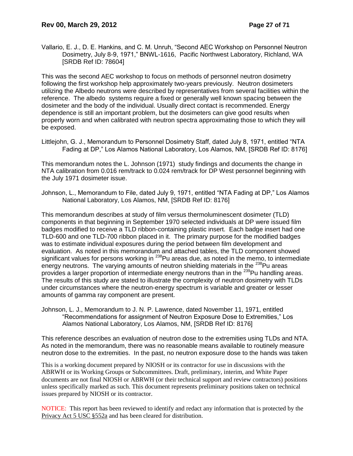Vallario, E. J., D. E. Hankins, and C. M. Unruh, "Second AEC Workshop on Personnel Neutron Dosimetry, July 8-9, 1971," BNWL-1616, Pacific Northwest Laboratory, Richland, WA [SRDB Ref ID: 78604]

This was the second AEC workshop to focus on methods of personnel neutron dosimetry following the first workshop help approximately two-years previously. Neutron dosimeters utilizing the Albedo neutrons were described by representatives from several facilities within the reference. The albedo systems require a fixed or generally well known spacing between the dosimeter and the body of the individual. Usually direct contact is recommended. Energy dependence is still an important problem, but the dosimeters can give good results when properly worn and when calibrated with neutron spectra approximating those to which they will be exposed.

Littlejohn, G. J., Memorandum to Personnel Dosimetry Staff, dated July 8, 1971, entitled "NTA Fading at DP," Los Alamos National Laboratory, Los Alamos, NM, [SRDB Ref ID: 8176]

This memorandum notes the L. Johnson (1971) study findings and documents the change in NTA calibration from 0.016 rem/track to 0.024 rem/track for DP West personnel beginning with the July 1971 dosimeter issue.

Johnson, L., Memorandum to File, dated July 9, 1971, entitled "NTA Fading at DP," Los Alamos National Laboratory, Los Alamos, NM, [SRDB Ref ID: 8176]

This memorandum describes at study of film versus thermoluminescent dosimeter (TLD) components in that beginning in September 1970 selected individuals at DP were issued film badges modified to receive a TLD ribbon-containing plastic insert. Each badge insert had one TLD-600 and one TLD-700 ribbon placed in it. The primary purpose for the modified badges was to estimate individual exposures during the period between film development and evaluation. As noted in this memorandum and attached tables, the TLD component showed significant values for persons working in <sup>238</sup>Pu areas due, as noted in the memo, to intermediate energy neutrons. The varying amounts of neutron shielding materials in the <sup>238</sup>Pu areas provides a larger proportion of intermediate energy neutrons than in the <sup>239</sup>Pu handling areas. The results of this study are stated to illustrate the complexity of neutron dosimetry with TLDs under circumstances where the neutron-energy spectrum is variable and greater or lesser amounts of gamma ray component are present.

Johnson, L. J., Memorandum to J. N. P. Lawrence, dated November 11, 1971, entitled "Recommendations for assignment of Neutron Exposure Dose to Extremities," Los Alamos National Laboratory, Los Alamos, NM, [SRDB Ref ID: 8176]

This reference describes an evaluation of neutron dose to the extremities using TLDs and NTA. As noted in the memorandum, there was no reasonable means available to routinely measure neutron dose to the extremities. In the past, no neutron exposure dose to the hands was taken

This is a working document prepared by NIOSH or its contractor for use in discussions with the ABRWH or its Working Groups or Subcommittees. Draft, preliminary, interim, and White Paper documents are not final NIOSH or ABRWH (or their technical support and review contractors) positions unless specifically marked as such. This document represents preliminary positions taken on technical issues prepared by NIOSH or its contractor.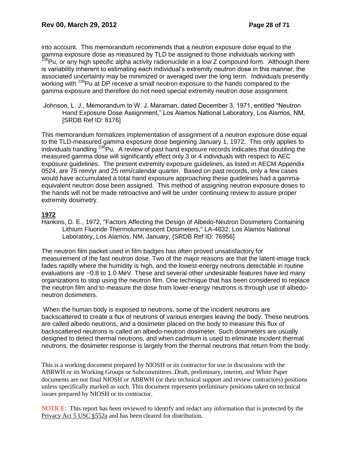into account. This memorandum recommends that a neutron exposure dose equal to the gamma exposure dose as measured by TLD be assigned to those individuals working with <sup>238</sup>Pu, or any high specific alpha activity radionuclide in a low Z compound form. Although there is variability inherent to estimating each individual's extremity neutron dose in this manner, the associated uncertainty may be minimized or averaged over the long term. Individuals presently working with <sup>239</sup>Pu at DP receive a small neutron exposure to the hands compared to the gamma exposure and therefore do not need special extremity neutron dose assignment.

Johnson, L. J., Memorandum to W. J. Maraman, dated December 3, 1971, entitled "Neutron Hand Exposure Dose Assignment," Los Alamos National Laboratory, Los Alamos, NM, [SRDB Ref ID: 8176]

This memorandum formalizes implementation of assignment of a neutron exposure dose equal to the TLD-measured gamma exposure dose beginning January 1, 1972. This only applies to individuals handling  $^{238}$ Pu. A review of past hand exposure records indicates that doubling the measured gamma dose will significantly effect only 3 or 4 individuals with respect to AEC exposure guidelines. The present extremity exposure guidelines, as listed in AECM Appendix 0524, are 75 rem/yr and 25 rem/calendar quarter. Based on past records, only a few cases would have accumulated a total hand exposure approaching these guidelines had a gammaequivalent neutron dose been assigned. This method of assigning neutron exposure doses to the hands will not be made retroactive and will be under continuing review to assure proper extremity dosimetry.

# **1972**

Hankins, D. E., 1972, "Factors Affecting the Design of Albedo-Neutron Dosimeters Containing Lithium Fluoride Thermoluminescent Dosimeters," LA-4832, Los Alamos National Laboratory, Los Alamos, NM, January, {SRDB Ref ID: 76956]

The neutron film packet used in film badges has often proved unsatisfactory for measurement of the fast neutron dose. Two of the major reasons are that the latent-image track fades rapidly where the humidity is high, and the lowest-energy neutrons detectable in routine evaluations are ~0.8 to 1.0 MeV. These and several other undesirable features have led many organizations to stop using the neutron film. One technique that has been considered to replace the neutron film and to measure the dose from lower-energy neutrons is through use of albedoneutron dosimeters.

When the human body is exposed to neutrons, some of the incident neutrons are backscattered to create a flux of neutrons of various energies leaving the body. These neutrons are called albedo neutrons, and a dosimeter placed on the body to measure this flux of backscattered neutrons is called an albedo-neutron dosimeter. Such dosimeters are usually designed to detect thermal neutrons, and when cadmium is used to eliminate incident thermal neutrons, the dosimeter response is largely from the thermal neutrons that return from the body.

This is a working document prepared by NIOSH or its contractor for use in discussions with the ABRWH or its Working Groups or Subcommittees. Draft, preliminary, interim, and White Paper documents are not final NIOSH or ABRWH (or their technical support and review contractors) positions unless specifically marked as such. This document represents preliminary positions taken on technical issues prepared by NIOSH or its contractor.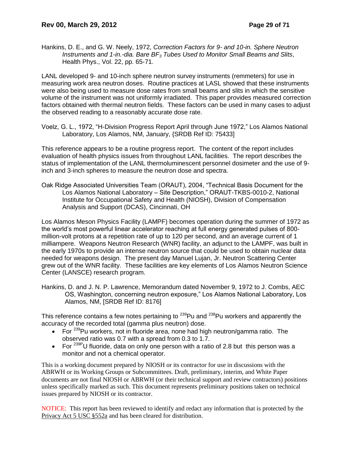Hankins, D. E., and G. W. Neely, 1972, *Correction Factors for 9- and 10-in. Sphere Neutron Instruments and 1-in.-dia. Bare BF<sup>3</sup> Tubes Used to Monitor Small Beams and Slits*, Health Phys., Vol. 22, pp. 65-71.

LANL developed 9- and 10-inch sphere neutron survey instruments (remmeters) for use in measuring work area neutron doses. Routine practices at LASL showed that these instruments were also being used to measure dose rates from small beams and slits in which the sensitive volume of the instrument was not uniformly irradiated. This paper provides measured correction factors obtained with thermal neutron fields. These factors can be used in many cases to adjust the observed reading to a reasonably accurate dose rate.

Voelz, G. L., 1972, "H-Division Progress Report April through June 1972," Los Alamos National Laboratory, Los Alamos, NM, January, {SRDB Ref ID: 75433]

This reference appears to be a routine progress report. The content of the report includes evaluation of health physics issues from throughout LANL facilities. The report describes the status of implementation of the LANL thermoluminescent personnel dosimeter and the use of 9 inch and 3-inch spheres to measure the neutron dose and spectra.

Oak Ridge Associated Universities Team (ORAUT), 2004, "Technical Basis Document for the Los Alamos National Laboratory – Site Description," ORAUT-TKBS-0010-2, National Institute for Occupational Safety and Health (NIOSH), Division of Compensation Analysis and Support (DCAS), Cincinnati, OH

Los Alamos Meson Physics Facility (LAMPF) becomes operation during the summer of 1972 as the world's most powerful linear accelerator reaching at full energy generated pulses of 800 million-volt protons at a repetition rate of up to 120 per second, and an average current of 1 milliampere. Weapons Neutron Research (WNR) facility, an adjunct to the LAMPF, was built in the early 1970s to provide an intense neutron source that could be used to obtain nuclear data needed for weapons design. The present day Manuel Lujan, Jr. Neutron Scattering Center grew out of the WNR facility. These facilities are key elements of Los Alamos Neutron Science Center (LANSCE) research program.

Hankins, D. and J. N. P. Lawrence, Memorandum dated November 9, 1972 to J. Combs, AEC OS, Washington, concerning neutron exposure," Los Alamos National Laboratory, Los Alamos, NM, [SRDB Ref ID: 8176]

This reference contains a few notes pertaining to <sup>239</sup>Pu and <sup>238</sup>Pu workers and apparently the accuracy of the recorded total (gamma plus neutron) dose.

- For  $239$ Pu workers, not in fluoride area, none had high neutron/gamma ratio. The observed ratio was 0.7 with a spread from 0.3 to 1.7.
- For  $239P$ U fluoride, data on only one person with a ratio of 2.8 but this person was a monitor and not a chemical operator.

This is a working document prepared by NIOSH or its contractor for use in discussions with the ABRWH or its Working Groups or Subcommittees. Draft, preliminary, interim, and White Paper documents are not final NIOSH or ABRWH (or their technical support and review contractors) positions unless specifically marked as such. This document represents preliminary positions taken on technical issues prepared by NIOSH or its contractor.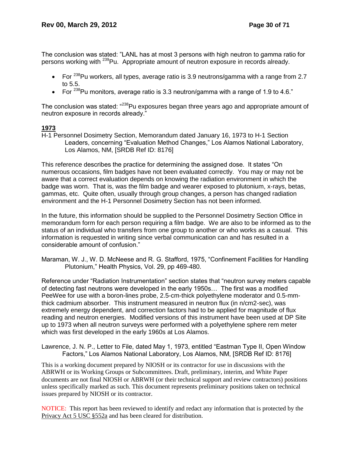The conclusion was stated: "LANL has at most 3 persons with high neutron to gamma ratio for persons working with <sup>239</sup>Pu. Appropriate amount of neutron exposure in records already.

- For  $^{238}$ Pu workers, all types, average ratio is 3.9 neutrons/gamma with a range from 2.7 to 5.5.
- For  $^{238}$ Pu monitors, average ratio is 3.3 neutron/gamma with a range of 1.9 to 4.6."

The conclusion was stated: "<sup>238</sup>Pu exposures began three years ago and appropriate amount of neutron exposure in records already."

# **1973**

H-1 Personnel Dosimetry Section, Memorandum dated January 16, 1973 to H-1 Section Leaders, concerning "Evaluation Method Changes," Los Alamos National Laboratory, Los Alamos, NM, [SRDB Ref ID: 8176]

This reference describes the practice for determining the assigned dose. It states "On numerous occasions, film badges have not been evaluated correctly. You may or may not be aware that a correct evaluation depends on knowing the radiation environment in which the badge was worn. That is, was the film badge and wearer exposed to plutonium, x-rays, betas, gammas, etc. Quite often, usually through group changes, a person has changed radiation environment and the H-1 Personnel Dosimetry Section has not been informed.

In the future, this information should be supplied to the Personnel Dosimetry Section Office in memorandum form for each person requiring a film badge. We are also to be informed as to the status of an individual who transfers from one group to another or who works as a casual. This information is requested in writing since verbal communication can and has resulted in a considerable amount of confusion."

Maraman, W. J., W. D. McNeese and R. G. Stafford, 1975, "Confinement Facilities for Handling Plutonium," Health Physics, Vol. 29, pp 469-480.

Reference under "Radiation Instrumentation" section states that "neutron survey meters capable of detecting fast neutrons were developed in the early 1950s… The first was a modified PeeWee for use with a boron-lines probe, 2.5-cm-thick polyethylene moderator and 0.5-mmthick cadmium absorber. This instrument measured in neutron flux (in n/cm2-sec), was extremely energy dependent, and correction factors had to be applied for magnitude of flux reading and neutron energies. Modified versions of this instrument have been used at DP Site up to 1973 when all neutron surveys were performed with a polyethylene sphere rem meter which was first developed in the early 1960s at Los Alamos.

Lawrence, J. N. P., Letter to File, dated May 1, 1973, entitled "Eastman Type II, Open Window Factors," Los Alamos National Laboratory, Los Alamos, NM, [SRDB Ref ID: 8176]

This is a working document prepared by NIOSH or its contractor for use in discussions with the ABRWH or its Working Groups or Subcommittees. Draft, preliminary, interim, and White Paper documents are not final NIOSH or ABRWH (or their technical support and review contractors) positions unless specifically marked as such. This document represents preliminary positions taken on technical issues prepared by NIOSH or its contractor.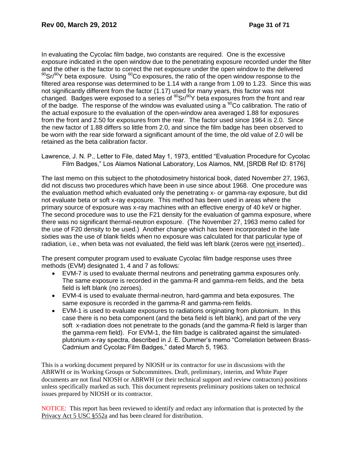In evaluating the Cycolac film badge, two constants are required. One is the excessive exposure indicated in the open window due to the penetrating exposure recorded under the filter and the other is the factor to correct the net exposure under the open window to the delivered  $90$ Sr/ $90$ Y beta exposure. Using  $60$ Co exposures, the ratio of the open window response to the filtered area response was determined to be 1.14 with a range from 1.09 to 1.23. Since this was not significantly different from the factor (1.17) used for many years, this factor was not changed. Badges were exposed to a series of  $^{90}Sr/^{90}Y$  beta exposures from the front and rear of the badge. The response of the window was evaluated using a  ${}^{60}$ Co calibration. The ratio of the actual exposure to the evaluation of the open-window area averaged 1.88 for exposures from the front and 2.50 for exposures from the rear. The factor used since 1964 is 2.0. Since the new factor of 1.88 differs so little from 2.0, and since the film badge has been observed to be worn with the rear side forward a significant amount of the time, the old value of 2.0 will be retained as the beta calibration factor.

Lawrence, J. N. P., Letter to File, dated May 1, 1973, entitled "Evaluation Procedure for Cycolac Film Badges," Los Alamos National Laboratory, Los Alamos, NM, [SRDB Ref ID: 8176]

The last memo on this subject to the photodosimetry historical book, dated November 27, 1963, did not discuss two procedures which have been in use since about 1968. One procedure was the evaluation method which evaluated only the penetrating x- or gamma-ray exposure, but did not evaluate beta or soft x-ray exposure. This method has been used in areas where the primary source of exposure was x-ray machines with an effective energy of 40 keV or higher. The second procedure was to use the F21 density for the evaluation of gamma exposure, where there was no significant thermal-neutron exposure. (The November 27, 1963 memo called for the use of F20 density to be used.) Another change which has been incorporated in the late sixties was the use of blank fields when no exposure was calculated for that particular type of radiation, i.e., when beta was not evaluated, the field was left blank (zeros were not inserted)..

The present computer program used to evaluate Cycolac film badge response uses three methods (EVM) designated 1, 4 and 7 as follows:

- EVM-7 is used to evaluate thermal neutrons and penetrating gamma exposures only. The same exposure is recorded in the gamma-R and gamma-rem fields, and the beta field is left blank (no zeroes).
- EVM-4 is used to evaluate thermal-neutron, hard-gamma and beta exposures. The same exposure is recorded in the gamma-R and gamma-rem fields.
- EVM-1 is used to evaluate exposures to radiations originating from plutonium. In this case there is no beta component (and the beta field is left blank), and part of the very soft x-radiation does not penetrate to the gonads (and the gamma-R field is larger than the gamma-rem field). For EVM-1, the film badge is calibrated against the simulatedplutonium x-ray spectra, described in J. E. Dummer's memo "Correlation between Brass-Cadmium and Cycolac Film Badges," dated March 5, 1963.

This is a working document prepared by NIOSH or its contractor for use in discussions with the ABRWH or its Working Groups or Subcommittees. Draft, preliminary, interim, and White Paper documents are not final NIOSH or ABRWH (or their technical support and review contractors) positions unless specifically marked as such. This document represents preliminary positions taken on technical issues prepared by NIOSH or its contractor.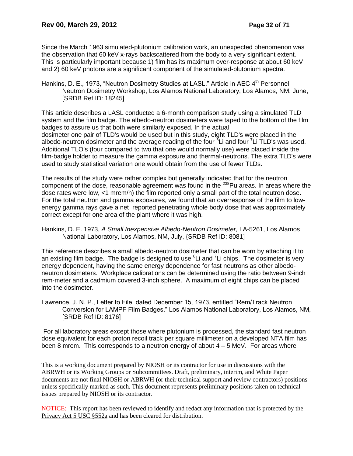Since the March 1963 simulated-plutonium calibration work, an unexpected phenomenon was the observation that 60 keV x-rays backscattered from the body to a very significant extent. This is particularly important because 1) film has its maximum over-response at about 60 keV and 2) 60 keV photons are a significant component of the simulated-plutonium spectra.

Hankins, D. E., 1973, "Neutron Dosimetry Studies at LASL," Article in AEC 4<sup>th</sup> Personnel Neutron Dosimetry Workshop, Los Alamos National Laboratory, Los Alamos, NM, June, [SRDB Ref ID: 18245]

This article describes a LASL conducted a 6-month comparison study using a simulated TLD system and the film badge. The albedo-neutron dosimeters were taped to the bottom of the film badges to assure us that both were similarly exposed. In the actual dosimeter one pair of TLD's would be used but in this study, eight TLD's were placed in the albedo-neutron dosimeter and the average reading of the four <sup>8</sup>Li and four <sup>7</sup>Li TLD's was used. Additional TLO's (four compared to two that one would normally use) were placed inside the film-badge holder to measure the gamma exposure and thermal-neutrons. The extra TLD's were used to study statistical variation one would obtain from the use of fewer TLDs.

The results of the study were rather complex but generally indicated that for the neutron component of the dose, reasonable agreement was found in the  $^{238}$ Pu areas. In areas where the dose rates were low, <1 mrem/h) the film reported only a small part of the total neutron dose. For the total neutron and gamma exposures, we found that an overresponse of the film to lowenergy gamma rays gave a net reported penetrating whole body dose that was approximately correct except for one area of the plant where it was high.

Hankins, D. E. 1973, *A Small Inexpensive Albedo-Neutron Dosimeter*, LA-5261, Los Alamos National Laboratory, Los Alamos, NM, July, {SRDB Ref ID: 8081]

This reference describes a small albedo-neutron dosimeter that can be worn by attaching it to an existing film badge. The badge is designed to use  $6$ Li and  $7$ Li chips. The dosimeter is very energy dependent, having the same energy dependence for fast neutrons as other albedoneutron dosimeters. Workplace calibrations can be determined using the ratio between 9-inch rem-meter and a cadmium covered 3-inch sphere. A maximum of eight chips can be placed into the dosimeter.

Lawrence, J. N. P., Letter to File, dated December 15, 1973, entitled "Rem/Track Neutron Conversion for LAMPF Film Badges," Los Alamos National Laboratory, Los Alamos, NM, [SRDB Ref ID: 8176]

For all laboratory areas except those where plutonium is processed, the standard fast neutron dose equivalent for each proton recoil track per square millimeter on a developed NTA film has been 8 mrem. This corresponds to a neutron energy of about  $4 - 5$  MeV. For areas where

This is a working document prepared by NIOSH or its contractor for use in discussions with the ABRWH or its Working Groups or Subcommittees. Draft, preliminary, interim, and White Paper documents are not final NIOSH or ABRWH (or their technical support and review contractors) positions unless specifically marked as such. This document represents preliminary positions taken on technical issues prepared by NIOSH or its contractor.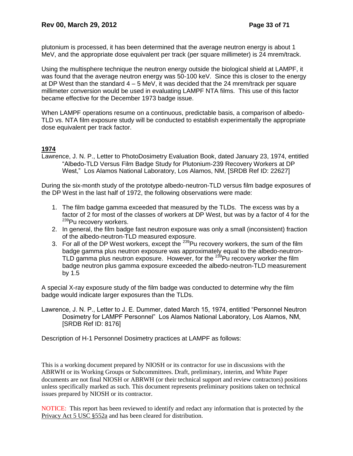plutonium is processed, it has been determined that the average neutron energy is about 1 MeV, and the appropriate dose equivalent per track (per square millimeter) is 24 mrem/track.

Using the multisphere technique the neutron energy outside the biological shield at LAMPF, it was found that the average neutron energy was 50-100 keV. Since this is closer to the energy at DP West than the standard  $4 - 5$  MeV, it was decided that the 24 mrem/track per square millimeter conversion would be used in evaluating LAMPF NTA films. This use of this factor became effective for the December 1973 badge issue.

When LAMPF operations resume on a continuous, predictable basis, a comparison of albedo-TLD vs. NTA film exposure study will be conducted to establish experimentally the appropriate dose equivalent per track factor.

# **1974**

Lawrence, J. N. P., Letter to PhotoDosimetry Evaluation Book, dated January 23, 1974, entitled "Albedo-TLD Versus Film Badge Study for Plutonium-239 Recovery Workers at DP West," Los Alamos National Laboratory, Los Alamos, NM, [SRDB Ref ID: 22627]

During the six-month study of the prototype albedo-neutron-TLD versus film badge exposures of the DP West in the last half of 1972, the following observations were made:

- 1. The film badge gamma exceeded that measured by the TLDs. The excess was by a factor of 2 for most of the classes of workers at DP West, but was by a factor of 4 for the <sup>239</sup>Pu recovery workers.
- 2. In general, the film badge fast neutron exposure was only a small (inconsistent) fraction of the albedo-neutron-TLD measured exposure.
- 3. For all of the DP West workers, except the  $^{239}$ Pu recovery workers, the sum of the film badge gamma plus neutron exposure was approximately equal to the albedo-neutron-TLD gamma plus neutron exposure. However, for the  $^{239}$ Pu recovery worker the film badge neutron plus gamma exposure exceeded the albedo-neutron-TLD measurement by 1.5

A special X-ray exposure study of the film badge was conducted to determine why the film badge would indicate larger exposures than the TLDs.

Lawrence, J. N. P., Letter to J. E. Dummer, dated March 15, 1974, entitled "Personnel Neutron Dosimetry for LAMPF Personnel" Los Alamos National Laboratory, Los Alamos, NM, [SRDB Ref ID: 8176]

Description of H-1 Personnel Dosimetry practices at LAMPF as follows:

This is a working document prepared by NIOSH or its contractor for use in discussions with the ABRWH or its Working Groups or Subcommittees. Draft, preliminary, interim, and White Paper documents are not final NIOSH or ABRWH (or their technical support and review contractors) positions unless specifically marked as such. This document represents preliminary positions taken on technical issues prepared by NIOSH or its contractor.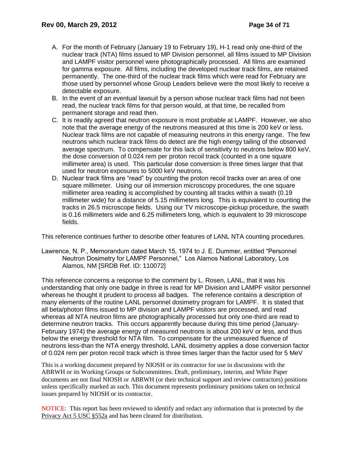- A. For the month of February (January 19 to February 19), H-1 read only one-third of the nuclear track (NTA) films issued to MP Division personnel, all films issued to MP Division and LAMPF visitor personnel were photographically processed. All films are examined for gamma exposure. All films, including the developed nuclear track films, are retained permanently. The one-third of the nuclear track films which were read for February are those used by personnel whose Group Leaders believe were the most likely to receive a detectable exposure.
- B. In the event of an eventual lawsuit by a person whose nuclear track films had not been read, the nuclear track films for that person would, at that time, be recalled from permanent storage and read then.
- C. It is readily agreed that neutron exposure is most probable at LAMPF. However, we also note that the average energy of the neutrons measured at this time is 200 keV or less. Nuclear track films are not capable of measuring neutrons in this energy range. The few neutrons which nuclear track films do detect are the high energy tailing of the observed average spectrum. To compensate for this lack of sensitivity to neutrons below 800 keV, the dose conversion of 0.024 rem per proton recoil track (counted in a one square millimeter area) is used. This particular dose conversion is three times larger that that used for neutron exposures to 5000 keV neutrons.
- D. Nuclear track films are "read" by counting the proton recoil tracks over an area of one square millimeter. Using our oil immersion microscopy procedures, the one square millimeter area reading is accomplished by counting all tracks within a swath (0.19 millimeter wide) for a distance of 5.15 millimeters long. This is equivalent to counting the tracks in 26.5 microscope fields. Using our TV microscope-pickup procedure, the swath is 0.16 millimeters wide and 6.25 millimeters long, which is equivalent to 39 microscope fields.

This reference continues further to describe other features of LANL NTA counting procedures.

Lawrence, N. P., Memorandum dated March 15, 1974 to J. E. Dummer, entitled "Personnel Neutron Dosimetry for LAMPF Personnel," Los Alamos National Laboratory, Los Alamos, NM [SRDB Ref. ID: 110072]

This reference concerns a response to the comment by L. Rosen, LANL, that it was his understanding that only one badge in three is read for MP Division and LAMPF visitor personnel whereas he thought it prudent to process all badges. The reference contains a description of many elements of the routine LANL personnel dosimetry program for LAMPF. It is stated that all beta/photon films issued to MP division and LAMPF visitors are processed, and read whereas all NTA neutron films are photographically processed but only one-third are read to determine neutron tracks. This occurs apparently because during this time period (January-February 1974) the average energy of measured neutrons is about 200 keV or less, and thus below the energy threshold for NTA film. To compensate for the unmeasured fluence of neutrons less-than the NTA energy threshold, LANL dosimetry applies a dose conversion factor of 0.024 rem per proton recoil track which is three times larger than the factor used for 5 MeV

This is a working document prepared by NIOSH or its contractor for use in discussions with the ABRWH or its Working Groups or Subcommittees. Draft, preliminary, interim, and White Paper documents are not final NIOSH or ABRWH (or their technical support and review contractors) positions unless specifically marked as such. This document represents preliminary positions taken on technical issues prepared by NIOSH or its contractor.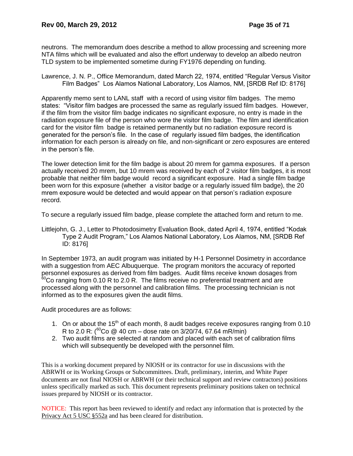neutrons. The memorandum does describe a method to allow processing and screening more NTA films which will be evaluated and also the effort underway to develop an albedo neutron TLD system to be implemented sometime during FY1976 depending on funding.

Lawrence, J. N. P., Office Memorandum, dated March 22, 1974, entitled "Regular Versus Visitor Film Badges" Los Alamos National Laboratory, Los Alamos, NM, [SRDB Ref ID: 8176]

Apparently memo sent to LANL staff with a record of using visitor film badges. The memo states: "Visitor film badges are processed the same as regularly issued film badges. However, if the film from the visitor film badge indicates no significant exposure, no entry is made in the radiation exposure file of the person who wore the visitor film badge. The film and identification card for the visitor film badge is retained permanently but no radiation exposure record is generated for the person's file. In the case of regularly issued film badges, the identification information for each person is already on file, and non-significant or zero exposures are entered in the person's file.

The lower detection limit for the film badge is about 20 mrem for gamma exposures. If a person actually received 20 mrem, but 10 mrem was received by each of 2 visitor film badges, it is most probable that neither film badge would record a significant exposure. Had a single film badge been worn for this exposure (whether a visitor badge or a regularly issued film badge), the 20 mrem exposure would be detected and would appear on that person's radiation exposure record.

To secure a regularly issued film badge, please complete the attached form and return to me.

Littlejohn, G. J., Letter to Photodosimetry Evaluation Book, dated April 4, 1974, entitled "Kodak Type 2 Audit Program," Los Alamos National Laboratory, Los Alamos, NM, [SRDB Ref ID: 8176]

In September 1973, an audit program was initiated by H-1 Personnel Dosimetry in accordance with a suggestion from AEC Albuquerque. The program monitors the accuracy of reported personnel exposures as derived from film badges. Audit films receive known dosages from <sup>60</sup>Co ranging from 0.10 R to 2.0 R. The films receive no preferential treatment and are processed along with the personnel and calibration films. The processing technician is not informed as to the exposures given the audit films.

Audit procedures are as follows:

- 1. On or about the  $15<sup>th</sup>$  of each month, 8 audit badges receive exposures ranging from 0.10 R to 2.0 R: ( ${}^{60}$ Co @ 40 cm – dose rate on 3/20/74, 67.64 mR/min)
- 2. Two audit films are selected at random and placed with each set of calibration films which will subsequently be developed with the personnel film.

This is a working document prepared by NIOSH or its contractor for use in discussions with the ABRWH or its Working Groups or Subcommittees. Draft, preliminary, interim, and White Paper documents are not final NIOSH or ABRWH (or their technical support and review contractors) positions unless specifically marked as such. This document represents preliminary positions taken on technical issues prepared by NIOSH or its contractor.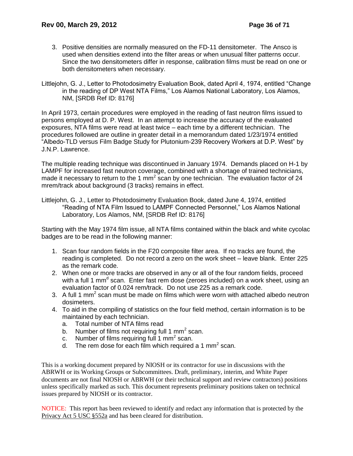- 3. Positive densities are normally measured on the FD-11 densitometer. The Ansco is used when densities extend into the filter areas or when unusual filter patterns occur. Since the two densitometers differ in response, calibration films must be read on one or both densitometers when necessary.
- Littlejohn, G. J., Letter to Photodosimetry Evaluation Book, dated April 4, 1974, entitled "Change in the reading of DP West NTA Films," Los Alamos National Laboratory, Los Alamos, NM, [SRDB Ref ID: 8176]

In April 1973, certain procedures were employed in the reading of fast neutron films issued to persons employed at D. P. West. In an attempt to increase the accuracy of the evaluated exposures, NTA films were read at least twice – each time by a different technician. The procedures followed are outline in greater detail in a memorandum dated 1/23/1974 entitled "Albedo-TLD versus Film Badge Study for Plutonium-239 Recovery Workers at D.P. West" by J.N.P. Lawrence.

The multiple reading technique was discontinued in January 1974. Demands placed on H-1 by LAMPF for increased fast neutron coverage, combined with a shortage of trained technicians, made it necessary to return to the 1 mm<sup>2</sup> scan by one technician. The evaluation factor of 24 mrem/track about background (3 tracks) remains in effect.

Littlejohn, G. J., Letter to Photodosimetry Evaluation Book, dated June 4, 1974, entitled "Reading of NTA Film Issued to LAMPF Connected Personnel," Los Alamos National Laboratory, Los Alamos, NM, [SRDB Ref ID: 8176]

Starting with the May 1974 film issue, all NTA films contained within the black and white cycolac badges are to be read in the following manner:

- 1. Scan four random fields in the F20 composite filter area. If no tracks are found, the reading is completed. Do not record a zero on the work sheet – leave blank. Enter 225 as the remark code.
- 2. When one or more tracks are observed in any or all of the four random fields, proceed with a full 1 mm<sup>d</sup> scan. Enter fast rem dose (zeroes included) on a work sheet, using an evaluation factor of 0.024 rem/track. Do not use 225 as a remark code.
- 3. A full 1 mm<sup>2</sup> scan must be made on films which were worn with attached albedo neutron dosimeters.
- 4. To aid in the compiling of statistics on the four field method, certain information is to be maintained by each technician.
	- a. Total number of NTA films read
	- b. Number of films not requiring full 1 mm<sup>2</sup> scan.
	- c. Number of films requiring full 1 mm<sup>2</sup> scan.
	- d. The rem dose for each film which required a 1 mm<sup>2</sup> scan.

This is a working document prepared by NIOSH or its contractor for use in discussions with the ABRWH or its Working Groups or Subcommittees. Draft, preliminary, interim, and White Paper documents are not final NIOSH or ABRWH (or their technical support and review contractors) positions unless specifically marked as such. This document represents preliminary positions taken on technical issues prepared by NIOSH or its contractor.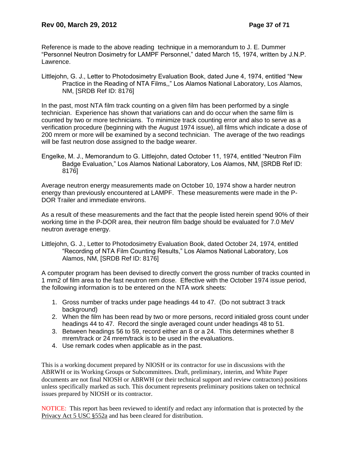Reference is made to the above reading technique in a memorandum to J. E. Dummer "Personnel Neutron Dosimetry for LAMPF Personnel," dated March 15, 1974, written by J.N.P. Lawrence.

Littlejohn, G. J., Letter to Photodosimetry Evaluation Book, dated June 4, 1974, entitled "New Practice in the Reading of NTA Films,," Los Alamos National Laboratory, Los Alamos, NM, [SRDB Ref ID: 8176]

In the past, most NTA film track counting on a given film has been performed by a single technician. Experience has shown that variations can and do occur when the same film is counted by two or more technicians. To minimize track counting error and also to serve as a verification procedure (beginning with the August 1974 issue), all films which indicate a dose of 200 mrem or more will be examined by a second technician. The average of the two readings will be fast neutron dose assigned to the badge wearer.

Engelke, M. J., Memorandum to G. Littlejohn, dated October 11, 1974, entitled "Neutron Film Badge Evaluation," Los Alamos National Laboratory, Los Alamos, NM, [SRDB Ref ID: 8176]

Average neutron energy measurements made on October 10, 1974 show a harder neutron energy than previously encountered at LAMPF. These measurements were made in the P-DOR Trailer and immediate environs.

As a result of these measurements and the fact that the people listed herein spend 90% of their working time in the P-DOR area, their neutron film badge should be evaluated for 7.0 MeV neutron average energy.

Littlejohn, G. J., Letter to Photodosimetry Evaluation Book, dated October 24, 1974, entitled "Recording of NTA Film Counting Results," Los Alamos National Laboratory, Los Alamos, NM, [SRDB Ref ID: 8176]

A computer program has been devised to directly convert the gross number of tracks counted in 1 mm2 of film area to the fast neutron rem dose. Effective with the October 1974 issue period, the following information is to be entered on the NTA work sheets:

- 1. Gross number of tracks under page headings 44 to 47. (Do not subtract 3 track background)
- 2. When the film has been read by two or more persons, record initialed gross count under headings 44 to 47. Record the single averaged count under headings 48 to 51.
- 3. Between headings 56 to 59, record either an 8 or a 24. This determines whether 8 mrem/track or 24 mrem/track is to be used in the evaluations.
- 4. Use remark codes when applicable as in the past.

This is a working document prepared by NIOSH or its contractor for use in discussions with the ABRWH or its Working Groups or Subcommittees. Draft, preliminary, interim, and White Paper documents are not final NIOSH or ABRWH (or their technical support and review contractors) positions unless specifically marked as such. This document represents preliminary positions taken on technical issues prepared by NIOSH or its contractor.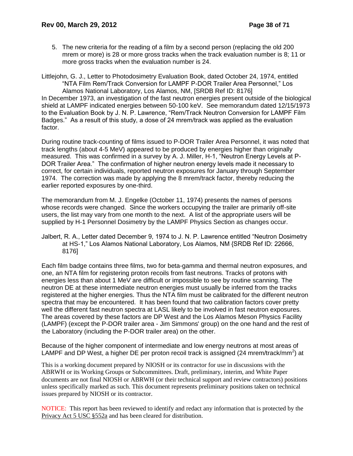5. The new criteria for the reading of a film by a second person (replacing the old 200 mrem or more) is 28 or more gross tracks when the track evaluation number is 8; 11 or more gross tracks when the evaluation number is 24.

Littlejohn, G. J., Letter to Photodosimetry Evaluation Book, dated October 24, 1974, entitled "NTA Film Rem/Track Conversion for LAMPF P-DOR Trailer Area Personnel," Los Alamos National Laboratory, Los Alamos, NM, [SRDB Ref ID: 8176] In December 1973, an investigation of the fast neutron energies present outside of the biological shield at LAMPF indicated energies between 50-100 keV. See memorandum dated 12/15/1973 to the Evaluation Book by J. N. P. Lawrence, "Rem/Track Neutron Conversion for LAMPF Film Badges." As a result of this study, a dose of 24 mrem/track was applied as the evaluation factor.

During routine track-counting of films issued to P-DOR Trailer Area Personnel, it was noted that track lengths (about 4-5 MeV) appeared to be produced by energies higher than originally measured. This was confirmed in a survey by A. J. Miller, H-1, "Neutron Energy Levels at P-DOR Trailer Area." The confirmation of higher neutron energy levels made it necessary to correct, for certain individuals, reported neutron exposures for January through September 1974. The correction was made by applying the 8 mrem/track factor, thereby reducing the earlier reported exposures by one-third.

The memorandum from M. J. Engelke (October 11, 1974) presents the names of persons whose records were changed. Since the workers occupying the trailer are primarily off-site users, the list may vary from one month to the next. A list of the appropriate users will be supplied by H-1 Personnel Dosimetry by the LAMPF Physics Section as changes occur.

Jalbert, R. A., Letter dated December 9, 1974 to J. N. P. Lawrence entitled "Neutron Dosimetry at HS-1," Los Alamos National Laboratory, Los Alamos, NM {SRDB Ref ID: 22666, 8176]

Each film badge contains three films, two for beta-gamma and thermal neutron exposures, and one, an NTA film for registering proton recoils from fast neutrons. Tracks of protons with energies less than about 1 MeV are difficult or impossible to see by routine scanning. The neutron DE at these intermediate neutron energies must usually be inferred from the tracks registered at the higher energies. Thus the NTA film must be calibrated for the different neutron spectra that may be encountered. It has been found that two calibration factors cover pretty well the different fast neutron spectra at LASL likely to be involved in fast neutron exposures. The areas covered by these factors are DP West and the Los Alamos Meson Physics Facility (LAMPF) (except the P-DOR trailer area - Jim Simmons' group) on the one hand and the rest of the Laboratory (including the P-DOR trailer area) on the other.

Because of the higher component of intermediate and low energy neutrons at most areas of LAMPF and DP West, a higher DE per proton recoil track is assigned (24 mrem/track/mm<sup>2</sup>) at

This is a working document prepared by NIOSH or its contractor for use in discussions with the ABRWH or its Working Groups or Subcommittees. Draft, preliminary, interim, and White Paper documents are not final NIOSH or ABRWH (or their technical support and review contractors) positions unless specifically marked as such. This document represents preliminary positions taken on technical issues prepared by NIOSH or its contractor.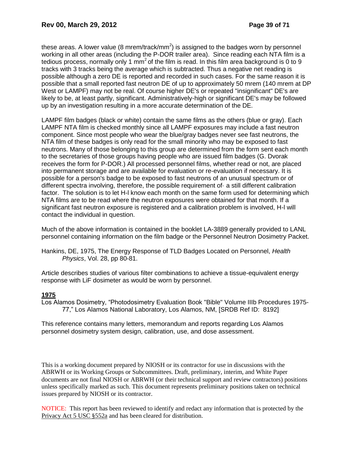these areas. A lower value (8 mrem/track/mm<sup>2</sup>) is assigned to the badges worn by personnel working in all other areas (including the P-DOR trailer area). Since reading each NTA film is a tedious process, normally only 1  $mm<sup>2</sup>$  of the film is read. In this film area background is 0 to 9 tracks with 3 tracks being the average which is subtracted. Thus a negative net reading is possible although a zero DE is reported and recorded in such cases. For the same reason it is possible that a small reported fast neutron DE of up to approximately 50 mrem (140 mrem at DP West or LAMPF) may not be real. Of course higher DE's or repeated "insignificant" DE's are likely to be, at least partly, significant. Administratively-high or significant DE's may be followed up by an investigation resulting in a more accurate determination of the DE.

LAMPF film badges (black or white) contain the same films as the others (blue or gray). Each LAMPF NTA film is checked monthly since all LAMPF exposures may include a fast neutron component. Since most people who wear the blue/gray badges never see fast neutrons, the NTA film of these badges is only read for the small minority who may be exposed to fast neutrons. Many of those belonging to this group are determined from the form sent each month to the secretaries of those groups having people who are issued film badges (G. Dvorak receives the form for P-DOR.) All processed personnel films, whether read or not, are placed into permanent storage and are available for evaluation or re-evaluation if necessary. It is possible for a person's badge to be exposed to fast neutrons of an unusual spectrum or of different spectra involving, therefore, the possible requirement of· a still different calibration factor. The solution is to let H-l know each month on the same form used for determining which NTA films are to be read where the neutron exposures were obtained for that month. If a significant fast neutron exposure is registered and a calibration problem is involved, H-l will contact the individual in question.

Much of the above information is contained in the booklet LA-3889 generally provided to LANL personnel containing information on the film badge or the Personnel Neutron Dosimetry Packet.

Hankins, DE, 1975, The Energy Response of TLD Badges Located on Personnel, *Health Physics*, Vol. 28, pp 80-81.

Article describes studies of various filter combinations to achieve a tissue-equivalent energy response with LiF dosimeter as would be worn by personnel.

# **1975**

Los Alamos Dosimetry, "Photodosimetry Evaluation Book "Bible" Volume IIIb Procedures 1975- 77," Los Alamos National Laboratory, Los Alamos, NM, [SRDB Ref ID: 8192]

This reference contains many letters, memorandum and reports regarding Los Alamos personnel dosimetry system design, calibration, use, and dose assessment.

This is a working document prepared by NIOSH or its contractor for use in discussions with the ABRWH or its Working Groups or Subcommittees. Draft, preliminary, interim, and White Paper documents are not final NIOSH or ABRWH (or their technical support and review contractors) positions unless specifically marked as such. This document represents preliminary positions taken on technical issues prepared by NIOSH or its contractor.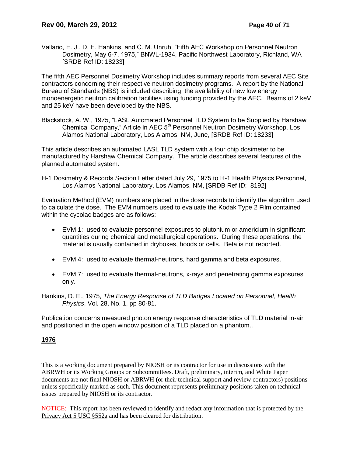Vallario, E. J., D. E. Hankins, and C. M. Unruh, "Fifth AEC Workshop on Personnel Neutron Dosimetry, May 6-7, 1975," BNWL-1934, Pacific Northwest Laboratory, Richland, WA [SRDB Ref ID: 18233]

The fifth AEC Personnel Dosimetry Workshop includes summary reports from several AEC Site contractors concerning their respective neutron dosimetry programs. A report by the National Bureau of Standards (NBS) is included describing the availability of new low energy monoenergetic neutron calibration facilities using funding provided by the AEC. Beams of 2 keV and 25 keV have been developed by the NBS.

Blackstock, A. W., 1975, "LASL Automated Personnel TLD System to be Supplied by Harshaw Chemical Company," Article in AEC 5<sup>th</sup> Personnel Neutron Dosimetry Workshop, Los Alamos National Laboratory, Los Alamos, NM, June, [SRDB Ref ID: 18233]

This article describes an automated LASL TLD system with a four chip dosimeter to be manufactured by Harshaw Chemical Company. The article describes several features of the planned automated system.

H-1 Dosimetry & Records Section Letter dated July 29, 1975 to H-1 Health Physics Personnel, Los Alamos National Laboratory, Los Alamos, NM, [SRDB Ref ID: 8192]

Evaluation Method (EVM) numbers are placed in the dose records to identify the algorithm used to calculate the dose. The EVM numbers used to evaluate the Kodak Type 2 Film contained within the cycolac badges are as follows:

- EVM 1: used to evaluate personnel exposures to plutonium or americium in significant quantities during chemical and metallurgical operations. During these operations, the material is usually contained in dryboxes, hoods or cells. Beta is not reported.
- EVM 4: used to evaluate thermal-neutrons, hard gamma and beta exposures.
- EVM 7: used to evaluate thermal-neutrons, x-rays and penetrating gamma exposures only.
- Hankins, D. E., 1975, *The Energy Response of TLD Badges Located on Personnel*, *Health Physics*, Vol. 28, No. 1, pp 80-81.

Publication concerns measured photon energy response characteristics of TLD material in-air and positioned in the open window position of a TLD placed on a phantom..

### **1976**

This is a working document prepared by NIOSH or its contractor for use in discussions with the ABRWH or its Working Groups or Subcommittees. Draft, preliminary, interim, and White Paper documents are not final NIOSH or ABRWH (or their technical support and review contractors) positions unless specifically marked as such. This document represents preliminary positions taken on technical issues prepared by NIOSH or its contractor.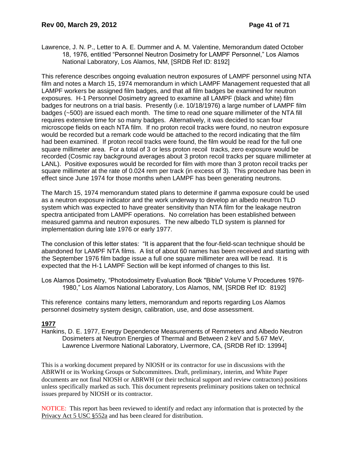Lawrence, J. N. P., Letter to A. E. Dummer and A. M. Valentine, Memorandum dated October 18, 1976, entitled "Personnel Neutron Dosimetry for LAMPF Personnel," Los Alamos National Laboratory, Los Alamos, NM, [SRDB Ref ID: 8192]

This reference describes ongoing evaluation neutron exposures of LAMPF personnel using NTA film and notes a March 15, 1974 memorandum in which LAMPF Management requested that all LAMPF workers be assigned film badges, and that all film badges be examined for neutron exposures. H-1 Personnel Dosimetry agreed to examine all LAMPF (black and white) film badges for neutrons on a trial basis. Presently (i.e. 10/18/1976) a large number of LAMPF film badges (~500) are issued each month. The time to read one square millimeter of the NTA fill requires extensive time for so many badges. Alternatively, it was decided to scan four microscope fields on each NTA film. If no proton recoil tracks were found, no neutron exposure would be recorded but a remark code would be attached to the record indicating that the film had been examined. If proton recoil tracks were found, the film would be read for the full one square millimeter area. For a total of 3 or less proton recoil tracks, zero exposure would be recorded (Cosmic ray background averages about 3 proton recoil tracks per square millimeter at LANL). Positive exposures would be recorded for film with more than 3 proton recoil tracks per square millimeter at the rate of 0.024 rem per track (in excess of 3). This procedure has been in effect since June 1974 for those months when LAMPF has been generating neutrons.

The March 15, 1974 memorandum stated plans to determine if gamma exposure could be used as a neutron exposure indicator and the work underway to develop an albedo neutron TLD system which was expected to have greater sensitivity than NTA film for the leakage neutron spectra anticipated from LAMPF operations. No correlation has been established between measured gamma and neutron exposures. The new albedo TLD system is planned for implementation during late 1976 or early 1977.

The conclusion of this letter states: "It is apparent that the four-field-scan technique should be abandoned for LAMPF NTA films. A list of about 60 names has been received and starting with the September 1976 film badge issue a full one square millimeter area will be read. It is expected that the H-1 LAMPF Section will be kept informed of changes to this list.

Los Alamos Dosimetry, "Photodosimetry Evaluation Book "Bible" Volume V Procedures 1976- 1980," Los Alamos National Laboratory, Los Alamos, NM, [SRDB Ref ID: 8192]

This reference contains many letters, memorandum and reports regarding Los Alamos personnel dosimetry system design, calibration, use, and dose assessment.

### **1977**

Hankins, D. E. 1977, Energy Dependence Measurements of Remmeters and Albedo Neutron Dosimeters at Neutron Energies of Thermal and Between 2 keV and 5.67 MeV, Lawrence Livermore National Laboratory, Livermore, CA, {SRDB Ref ID: 13994]

This is a working document prepared by NIOSH or its contractor for use in discussions with the ABRWH or its Working Groups or Subcommittees. Draft, preliminary, interim, and White Paper documents are not final NIOSH or ABRWH (or their technical support and review contractors) positions unless specifically marked as such. This document represents preliminary positions taken on technical issues prepared by NIOSH or its contractor.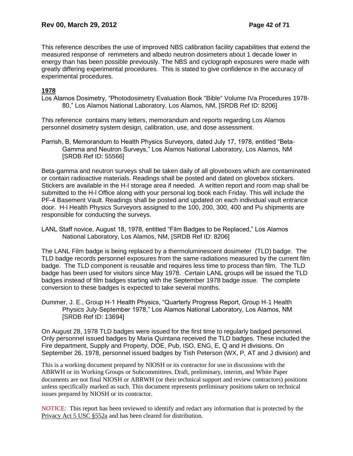This reference describes the use of improved NBS calibration facility capabilities that extend the measured response of remmeters and albedo neutron dosimeters about 1 decade lower in energy than has been possible previously. The NBS and cyclograph exposures were made with greatly differing experimental procedures. This is stated to give confidence in the accuracy of experimental procedures.

# **1978**

Los Alamos Dosimetry, "Photodosimetry Evaluation Book "Bible" Volume IVa Procedures 1978- 80," Los Alamos National Laboratory, Los Alamos, NM, [SRDB Ref ID: 8206]

This reference contains many letters, memorandum and reports regarding Los Alamos personnel dosimetry system design, calibration, use, and dose assessment.

Parrish, B, Memorandum to Health Physics Surveyors, dated July 17, 1978, entitled "Beta-Gamma and Neutron Surveys," Los Alamos National Laboratory, Los Alamos, NM [SRDB Ref ID: 55566]

Beta-gamma and neutron surveys shall be taken daily of all gloveboxes which are contaminated or contain radioactive materials. Readings shall be posted and dated on glovebox stickers. Stickers are available in the H-l storage area if needed. A written report and room map shall be submitted to the H-l Office along with your personal log book each Friday. This will include the PF-4 Basement Vault. Readings shall be posted and updated on each individual vault entrance door. H-l Health Physics Surveyors assigned to the 100, 200, 300, 400 and Pu shipments are responsible for conducting the surveys.

LANL Staff novice, August 18, 1978, entitled "Film Badges to be Replaced," Los Alamos National Laboratory, Los Alamos, NM, [SRDB Ref ID: 8206]

The LANL Film badge is being replaced by a thermoluminescent dosimeter (TLD) badge. The TLD badge records personnel exposures from the same radiations measured by the current film badge. The TLD component is reusable and requires less time to process than film. The TLD badge has been used for visitors since May 1978. Certain LANL groups will be issued the TLD badges instead of film badges starting with the September 1978 badge issue. The complete conversion to these badges is expected to take several months.

Dummer, J. E., Group H-1 Health Physics, "Quarterly Progress Report, Group H-1 Health Physics July-September 1978," Los Alamos National Laboratory, Los Alamos, NM [SRDB Ref ID: 13694]

On August 28, 1978 TLD badges were issued for the first time to regularly badged personnel. Only personnel issued badges by Maria Quintana received the TLD badges. These included the Fire department, Supply and Property, DOE, Pub, ISO, ENG, E, Q and H divisions. On September 26, 1978, personnel issued badges by Tish Peterson (WX, P, AT and J division) and

This is a working document prepared by NIOSH or its contractor for use in discussions with the ABRWH or its Working Groups or Subcommittees. Draft, preliminary, interim, and White Paper documents are not final NIOSH or ABRWH (or their technical support and review contractors) positions unless specifically marked as such. This document represents preliminary positions taken on technical issues prepared by NIOSH or its contractor.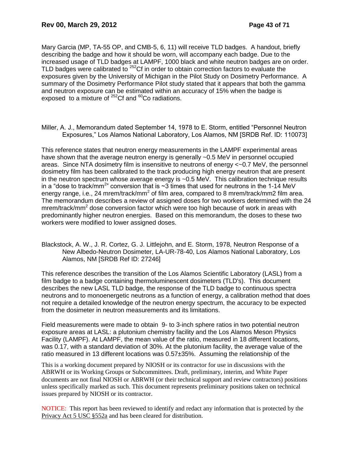Mary Garcia (MP, TA-55 OP, and CMB-5, 6, 11) will receive TLD badges. A handout, briefly describing the badge and how it should be worn, will accompany each badge. Due to the increased usage of TLD badges at LAMPF, 1000 black and white neutron badges are on order. TLD badges were calibrated to <sup>252</sup>Cf in order to obtain correction factors to evaluate the exposures given by the University of Michigan in the Pilot Study on Dosimetry Performance. A summary of the Dosimetry Performance Pilot study stated that it appears that both the gamma and neutron exposure can be estimated within an accuracy of 15% when the badge is exposed to a mixture of  $^{252}$ Cf and  $^{60}$ Co radiations.

Miller, A. J., Memorandum dated September 14, 1978 to E. Storm, entitled "Personnel Neutron Exposures," Los Alamos National Laboratory, Los Alamos, NM [SRDB Ref. ID: 110073]

This reference states that neutron energy measurements in the LAMPF experimental areas have shown that the average neutron energy is generally ~0.5 MeV in personnel occupied areas. Since NTA dosimetry film is insensitive to neutrons of energy <~0.7 MeV, the personnel dosimetry film has been calibrated to the track producing high energy neutron that are present in the neutron spectrum whose average energy is ~0.5 MeV. This calibration technique results in a "dose to track/mm<sup>2</sup>" conversion that is  $\sim$ 3 times that used for neutrons in the 1-14 MeV energy range, i.e., 24 mrem/track/mm<sup>2</sup> of film area, compared to 8 mrem/track/mm2 film area. The memorandum describes a review of assigned doses for two workers determined with the 24 mrem/track/mm<sup>2</sup> dose conversion factor which were too high because of work in areas with predominantly higher neutron energies. Based on this memorandum, the doses to these two workers were modified to lower assigned doses.

Blackstock, A. W., J. R. Cortez, G. J. Littlejohn, and E. Storm, 1978, Neutron Response of a New Albedo-Neutron Dosimeter, LA-UR-78-40, Los Alamos National Laboratory, Los Alamos, NM [SRDB Ref ID: 27246]

This reference describes the transition of the Los Alamos Scientific Laboratory (LASL) from a film badge to a badge containing thermoluminescent dosimeters (TLD's). This document describes the new LASL TLD badge, the response of the TLD badge to continuous spectra neutrons and to monoenergetic neutrons as a function of energy, a calibration method that does not require a detailed knowledge of the neutron energy spectrum, the accuracy to be expected from the dosimeter in neutron measurements and its limitations.

Field measurements were made to obtain 9- to 3-inch sphere ratios in two potential neutron exposure areas at LASL: a plutonium chemistry facility and the Los Alamos Meson Physics Facility (LAMPF). At LAMPF, the mean value of the ratio, measured in 18 different locations, was 0.17, with a standard deviation of 30%. At the plutonium facility, the average value of the ratio measured in 13 different locations was 0.57±35%. Assuming the relationship of the

This is a working document prepared by NIOSH or its contractor for use in discussions with the ABRWH or its Working Groups or Subcommittees. Draft, preliminary, interim, and White Paper documents are not final NIOSH or ABRWH (or their technical support and review contractors) positions unless specifically marked as such. This document represents preliminary positions taken on technical issues prepared by NIOSH or its contractor.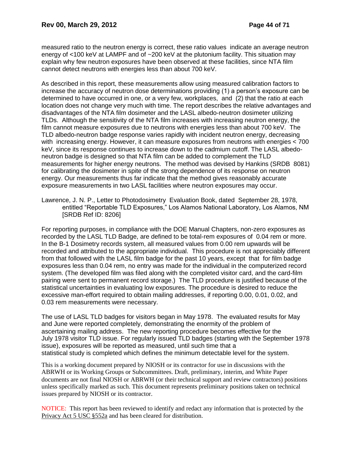measured ratio to the neutron energy is correct, these ratio values indicate an average neutron energy of <100 keV at LAMPF and of ~200 keV at the plutonium facility. This situation may explain why few neutron exposures have been observed at these facilities, since NTA film cannot detect neutrons with energies less than about 700 keV.

As described in this report, these measurements allow using measured calibration factors to increase the accuracy of neutron dose determinations providing (1) a person's exposure can be determined to have occurred in one, or a very few, workplaces, and (2) that the ratio at each location does not change very much with time. The report describes the relative advantages and disadvantages of the NTA film dosimeter and the LASL albedo-neutron dosimeter utilizing TLDs. Although the sensitivity of the NTA film increases with increasing neutron energy, the film cannot measure exposures due to neutrons with energies less than about 700 keV. The TLD albedo-neutron badge response varies rapidly with incident neutron energy, decreasing with increasing energy. However, it can measure exposures from neutrons with energies < 700 keV, since its response continues to increase down to the cadmium cutoff. The LASL albedoneutron badge is designed so that NTA film can be added to complement the TLD measurements for higher energy neutrons. The method was devised by Hankins (SRDB 8081) for calibrating the dosimeter in spite of the strong dependence of its response on neutron energy. Our measurements thus far indicate that the method gives reasonably accurate exposure measurements in two LASL facilities where neutron exposures may occur.

Lawrence, J. N. P., Letter to Photodosimetry Evaluation Book, dated September 28, 1978, entitled "Reportable TLD Exposures," Los Alamos National Laboratory, Los Alamos, NM [SRDB Ref ID: 8206]

For reporting purposes, in compliance with the DOE Manual Chapters, non-zero exposures as recorded by the LASL TLD Badge, are defined to be total-rem exposures of 0.04 rem or more. In the B-1 Dosimetry records system, all measured values from 0.00 rem upwards will be recorded and attributed to the appropriate individual. This procedure is not appreciably different from that followed with the LASL film badge for the past 10 years, except that for film badge exposures less than 0.04 rem, no entry was made for the individual in the computerized record system. (The developed film was filed along with the completed visitor card, and the card-film pairing were sent to permanent record storage.) The TLD procedure is justified because of the statistical uncertainties in evaluating low exposures. The procedure is desired to reduce the excessive man-effort required to obtain mailing addresses, if reporting 0.00, 0.01, 0.02, and 0.03 rem measurements were necessary.

The use of LASL TLD badges for visitors began in May 1978. The evaluated results for May and June were reported completely, demonstrating the enormity of the problem of ascertaining mailing address. The new reporting procedure becomes effective for the July 1978 visitor TLD issue. For regularly issued TLD badges (starting with the September 1978 issue), exposures will be reported as measured, until such time that a statistical study is completed which defines the minimum detectable level for the system.

This is a working document prepared by NIOSH or its contractor for use in discussions with the ABRWH or its Working Groups or Subcommittees. Draft, preliminary, interim, and White Paper documents are not final NIOSH or ABRWH (or their technical support and review contractors) positions unless specifically marked as such. This document represents preliminary positions taken on technical issues prepared by NIOSH or its contractor.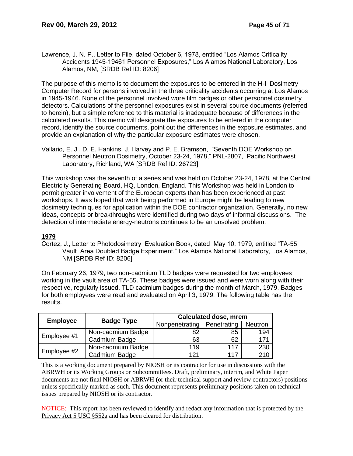Lawrence, J. N. P., Letter to File, dated October 6, 1978, entitled "Los Alamos Criticality Accidents 1945-19461 Personnel Exposures," Los Alamos National Laboratory, Los Alamos, NM, [SRDB Ref ID: 8206]

The purpose of this memo is to document the exposures to be entered in the H-l Dosimetry Computer Record for persons involved in the three criticality accidents occurring at Los Alamos in 1945-1946. None of the personnel involved wore film badges or other personnel dosimetry detectors. Calculations of the personnel exposures exist in several source documents (referred to herein), but a simple reference to this material is inadequate because of differences in the calculated results. This memo will designate the exposures to be entered in the computer record, identify the source documents, point out the differences in the exposure estimates, and provide an explanation of why the particular exposure estimates were chosen.

Vallario, E. J., D. E. Hankins, J. Harvey and P. E. Bramson, "Seventh DOE Workshop on Personnel Neutron Dosimetry, October 23-24, 1978," PNL-2807, Pacific Northwest Laboratory, Richland, WA [SRDB Ref ID: 26723]

This workshop was the seventh of a series and was held on October 23-24, 1978, at the Central Electricity Generating Board, HQ, London, England. This Workshop was held in London to permit greater involvement of the European experts than has been experienced at past workshops. It was hoped that work being performed in Europe might be leading to new dosimetry techniques for application within the DOE contractor organization. Generally, no new ideas, concepts or breakthroughs were identified during two days of informal discussions. The detection of intermediate energy-neutrons continues to be an unsolved problem.

# **1979**

Cortez, J., Letter to Photodosimetry Evaluation Book, dated May 10, 1979, entitled "TA-55 Vault Area Doubled Badge Experiment," Los Alamos National Laboratory, Los Alamos, NM [SRDB Ref ID: 8206]

On February 26, 1979, two non-cadmium TLD badges were requested for two employees working in the vault area of TA-55. These badges were issued and were worn along with their respective, regularly issued, TLD cadmium badges during the month of March, 1979. Badges for both employees were read and evaluated on April 3, 1979. The following table has the results.

|                 |                   | <b>Calculated dose, mrem</b> |             |                  |  |  |  |
|-----------------|-------------------|------------------------------|-------------|------------------|--|--|--|
| <b>Employee</b> | <b>Badge Type</b> | Nonpenetrating               | Penetrating | Neutron          |  |  |  |
|                 | Non-cadmium Badge | 82                           | 85          | 194              |  |  |  |
| Employee #1     | Cadmium Badge     | 63                           | 62          | 171              |  |  |  |
|                 | Non-cadmium Badge | 119                          | 117         | 230              |  |  |  |
| Employee #2     | Cadmium Badge     | 121                          | 117         | $\overline{210}$ |  |  |  |

This is a working document prepared by NIOSH or its contractor for use in discussions with the ABRWH or its Working Groups or Subcommittees. Draft, preliminary, interim, and White Paper documents are not final NIOSH or ABRWH (or their technical support and review contractors) positions unless specifically marked as such. This document represents preliminary positions taken on technical issues prepared by NIOSH or its contractor.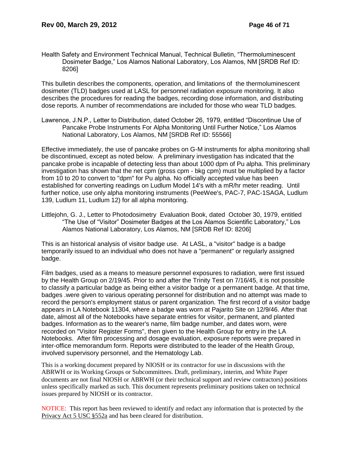Health Safety and Environment Technical Manual, Technical Bulletin, "Thermoluminescent Dosimeter Badge," Los Alamos National Laboratory, Los Alamos, NM [SRDB Ref ID: 8206]

This bulletin describes the components, operation, and limitations of the thermoluminescent dosimeter (TLD) badges used at LASL for personnel radiation exposure monitoring. It also describes the procedures for reading the badges, recording dose information, and distributing dose reports. A number of recommendations are included for those who wear TLD badges.

Lawrence, J.N.P., Letter to Distribution, dated October 26, 1979, entitled "Discontinue Use of Pancake Probe Instruments For Alpha Monitoring Until Further Notice," Los Alamos National Laboratory, Los Alamos, NM [SRDB Ref ID: 55566]

Effective immediately, the use of pancake probes on G-M instruments for alpha monitoring shall be discontinued, except as noted below. A preliminary investigation has indicated that the pancake probe is incapable of detecting less than about 1000 dpm of Pu alpha. This preliminary investigation has shown that the net cpm (gross cpm - bkg cpm) must be multiplied by a factor from 10 to 20 to convert to "dpm" for Pu alpha. No officially accepted value has been established for converting readings on Ludlum Model 14's with a mR/hr meter reading. Until further notice, use only alpha monitoring instruments (PeeWee's, PAC-7, PAC-1SAGA, Ludlum 139, Ludlum 11, Ludlum 12) for all alpha monitoring.

Littlejohn, G. J., Letter to Photodosimetry Evaluation Book, dated October 30, 1979, entitled "The Use of "Visitor" Dosimeter Badges at the Los Alamos Scientific Laboratory," Los Alamos National Laboratory, Los Alamos, NM [SRDB Ref ID: 8206]

This is an historical analysis of visitor badge use. At LASL, a "visitor" badge is a badge temporarily issued to an individual who does not have a "permanent" or regularly assigned badge.

Film badges, used as a means to measure personnel exposures to radiation, were first issued by the Health Group on 2/19/45. Prior to and after the Trinity Test on 7/16/45, it is not possible to classify a particular badge as being either a visitor badge or a permanent badge. At that time, badges .were given to various operating personnel for distribution and no attempt was made to record the person's employment status or parent organization. The first record of a visitor badge appears in LA Notebook 11304, where a badge was worn at Pajarito Site on 12/9/46. After that date, almost all of the Notebooks have separate entries for visitor, permanent, and planted badges. Information as to the wearer's name, film badge number, and dates worn, were recorded on "Visitor Register Forms", then given to the Health Group for entry in the LA Notebooks. After film processing and dosage evaluation, exposure reports were prepared in inter-office memorandum form. Reports were distributed to the leader of the Health Group, involved supervisory personnel, and the Hematology Lab.

This is a working document prepared by NIOSH or its contractor for use in discussions with the ABRWH or its Working Groups or Subcommittees. Draft, preliminary, interim, and White Paper documents are not final NIOSH or ABRWH (or their technical support and review contractors) positions unless specifically marked as such. This document represents preliminary positions taken on technical issues prepared by NIOSH or its contractor.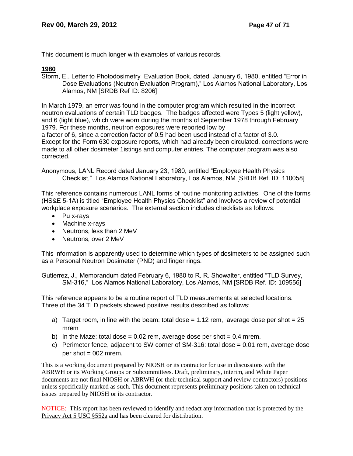This document is much longer with examples of various records.

# **1980**

Storm, E., Letter to Photodosimetry Evaluation Book, dated January 6, 1980, entitled "Error in Dose Evaluations (Neutron Evaluation Program)," Los Alamos National Laboratory, Los Alamos, NM [SRDB Ref ID: 8206]

In March 1979, an error was found in the computer program which resulted in the incorrect neutron evaluations of certain TLD badges. The badges affected were Types 5 (light yellow), and 6 (light blue), which were worn during the months of September 1978 through February 1979. For these months, neutron exposures were reported low by a factor of 6, since a correction factor of 0.5 had been used instead of a factor of 3.0. Except for the Form 630 exposure reports, which had already been circulated, corrections were made to all other dosimeter 1istings and computer entries. The computer program was also corrected.

Anonymous, LANL Record dated January 23, 1980, entitled "Employee Health Physics Checklist," Los Alamos National Laboratory, Los Alamos, NM [SRDB Ref. ID: 110058]

This reference contains numerous LANL forms of routine monitoring activities. One of the forms (HS&E 5-1A) is titled "Employee Health Physics Checklist" and involves a review of potential workplace exposure scenarios. The external section includes checklists as follows:

- Pu x-rays
- Machine x-rays
- Neutrons, less than 2 MeV
- Neutrons, over 2 MeV

This information is apparently used to determine which types of dosimeters to be assigned such as a Personal Neutron Dosimeter (PND) and finger rings.

Gutierrez, J., Memorandum dated February 6, 1980 to R. R. Showalter, entitled "TLD Survey, SM-316," Los Alamos National Laboratory, Los Alamos, NM [SRDB Ref. ID: 109556]

This reference appears to be a routine report of TLD measurements at selected locations. Three of the 34 TLD packets showed positive results described as follows:

- a) Target room, in line with the beam: total dose  $= 1.12$  rem, average dose per shot  $= 25$ mrem
- b) In the Maze: total dose =  $0.02$  rem, average dose per shot =  $0.4$  mrem.
- c) Perimeter fence, adjacent to SW corner of SM-316: total dose  $= 0.01$  rem, average dose per shot  $= 002$  mrem.

This is a working document prepared by NIOSH or its contractor for use in discussions with the ABRWH or its Working Groups or Subcommittees. Draft, preliminary, interim, and White Paper documents are not final NIOSH or ABRWH (or their technical support and review contractors) positions unless specifically marked as such. This document represents preliminary positions taken on technical issues prepared by NIOSH or its contractor.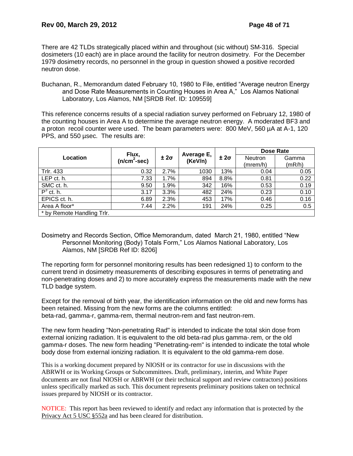There are 42 TLDs strategically placed within and throughout (sic without) SM-316. Special dosimeters (10 each) are in place around the facility for neutron dosimetry. For the December 1979 dosimetry records, no personnel in the group in question showed a positive recorded neutron dose.

Buchanan, R., Memorandum dated February 10, 1980 to File, entitled "Average neutron Energy and Dose Rate Measurements in Counting Houses in Area A," Los Alamos National Laboratory, Los Alamos, NM [SRDB Ref. ID: 109559]

This reference concerns results of a special radiation survey performed on February 12, 1980 of the counting houses in Area A to determine the average neutron energy. A moderated BF3 and a proton recoil counter were used. The beam parameters were: 800 MeV, 560 µA at A-1, 120 PPS, and 550 usec. The results are:

|                            |                        | $±2\sigma$ |                       |            | Dose Rate      |        |  |
|----------------------------|------------------------|------------|-----------------------|------------|----------------|--------|--|
| Location                   | Flux,<br>$(n/cm2-sec)$ |            | Average E,<br>(KeV/n) | $±2\sigma$ | <b>Neutron</b> | Gamma  |  |
|                            |                        |            |                       |            | (mrem/h)       | (mR/h) |  |
| Trlr. 433                  | 0.32                   | 2.7%       | 1030                  | 13%        | 0.04           | 0.05   |  |
| LEP ct. h.                 | 7.33                   | 1.7%       | 894                   | 8.8%       | 0.81           | 0.22   |  |
| SMC ct. h.                 | 9.50                   | 1.9%       | 342                   | 16%        | 0.53           | 0.19   |  |
| $P^3$ ct. h.               | 3.17                   | 3.3%       | 482                   | 24%        | 0.23           | 0.10   |  |
| EPICS ct. h.               | 6.89                   | 2.3%       | 453                   | 17%        | 0.46           | 0.16   |  |
| Area A floor*              | 7.44                   | 2.2%       | 191                   | 24%        | 0.25           | 0.5    |  |
| * by Remote Handling Trlr. |                        |            |                       |            |                |        |  |

Dosimetry and Records Section, Office Memorandum, dated March 21, 1980, entitled "New Personnel Monitoring (Body) Totals Form," Los Alamos National Laboratory, Los Alamos, NM [SRDB Ref ID: 8206]

The reporting form for personnel monitoring results has been redesigned 1) to conform to the current trend in dosimetry measurements of describing exposures in terms of penetrating and non-penetrating doses and 2) to more accurately express the measurements made with the new TLD badge system.

Except for the removal of birth year, the identification information on the old and new forms has been retained. Missing from the new forms are the columns entitled: beta-rad, gamma-r, gamma-rem, thermal neutron-rem and fast neutron-rem.

The new form heading "Non-penetrating Rad" is intended to indicate the total skin dose from external ionizing radiation. It is equivalent to the old beta-rad plus gamma-.rem, or the old gamma-r doses. The new form heading "Penetrating-rem" is intended to indicate the total whole body dose from external ionizing radiation. It is equivalent to the old gamma-rem dose.

This is a working document prepared by NIOSH or its contractor for use in discussions with the ABRWH or its Working Groups or Subcommittees. Draft, preliminary, interim, and White Paper documents are not final NIOSH or ABRWH (or their technical support and review contractors) positions unless specifically marked as such. This document represents preliminary positions taken on technical issues prepared by NIOSH or its contractor.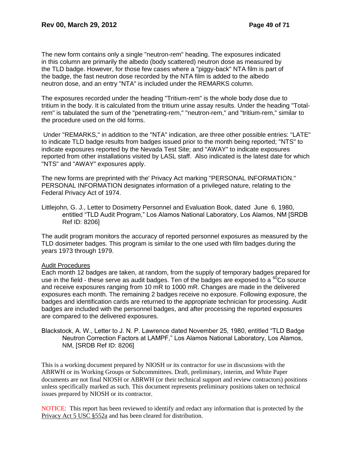The new form contains only a single "neutron-rem" heading. The exposures indicated in this column are primarily the albedo (body scattered) neutron dose as measured by the TLD badge. However, for those few cases where a "piggy-back" NTA film is part of the badge, the fast neutron dose recorded by the NTA film is added to the albedo neutron dose, and an entry "NTA" is included under the REMARKS column.

The exposures recorded under the heading "Tritium-rem" is the whole body dose due to tritium in the body. It is calculated from the tritium urine assay results. Under the heading "Totalrem" is tabulated the sum of the "penetrating-rem," "neutron-rem," and "tritium-rem," similar to the procedure used on the old forms.

Under "REMARKS," in addition to the "NTA" indication, are three other possible entries: "LATE" to indicate TLD badge results from badges issued prior to the month being reported; "NTS" to indicate exposures reported by the Nevada Test Site; and "AWAY" to indicate exposures reported from other installations visited by LASL staff. Also indicated is the latest date for which "NTS" and "AWAY" exposures apply.

The new forms are preprinted with the' Privacy Act marking "PERSONAL INFORMATION." PERSONAL INFORMATION designates information of a privileged nature, relating to the Federal Privacy Act of 1974.

Littlejohn, G. J., Letter to Dosimetry Personnel and Evaluation Book, dated June 6, 1980, entitled "TLD Audit Program," Los Alamos National Laboratory, Los Alamos, NM [SRDB Ref ID: 8206]

The audit program monitors the accuracy of reported personnel exposures as measured by the TLD dosimeter badges. This program is similar to the one used with film badges during the years 1973 through 1979.

#### Audit Procedures

Each month 12 badges are taken, at random, from the supply of temporary badges prepared for use in the field - these serve as audit badges. Ten of the badges are exposed to a  ${}^{60}$ Co source and receive exposures ranging from 10 mR to 1000 mR. Changes are made in the delivered exposures each month. The remaining 2 badges receive no exposure. Following exposure, the badges and identification cards are returned to the appropriate technician for processing. Audit badges are included with the personnel badges, and after processing the reported exposures are compared to the delivered exposures.

Blackstock, A. W., Letter to J. N. P. Lawrence dated November 25, 1980, entitled "TLD Badge Neutron Correction Factors at LAMPF," Los Alamos National Laboratory, Los Alamos, NM, [SRDB Ref ID: 8206]

This is a working document prepared by NIOSH or its contractor for use in discussions with the ABRWH or its Working Groups or Subcommittees. Draft, preliminary, interim, and White Paper documents are not final NIOSH or ABRWH (or their technical support and review contractors) positions unless specifically marked as such. This document represents preliminary positions taken on technical issues prepared by NIOSH or its contractor.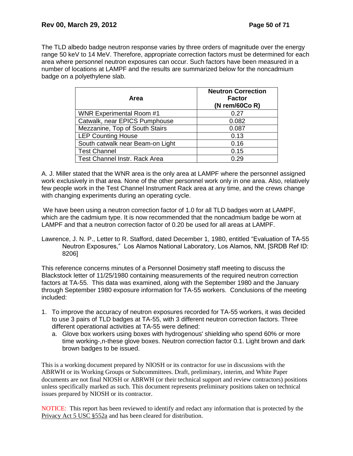The TLD albedo badge neutron response varies by three orders of magnitude over the energy range 50 keV to 14 MeV. Therefore, appropriate correction factors must be determined for each area where personnel neutron exposures can occur. Such factors have been measured in a number of locations at LAMPF and the results are summarized below for the noncadmium badge on a polyethylene slab.

| Area                             | <b>Neutron Correction</b><br><b>Factor</b><br>(N rem/60Co $R$ ) |
|----------------------------------|-----------------------------------------------------------------|
| <b>WNR Experimental Room #1</b>  | 0.27                                                            |
| Catwalk, near EPICS Pumphouse    | 0.082                                                           |
| Mezzanine, Top of South Stairs   | 0.087                                                           |
| <b>LEP Counting House</b>        | 0.13                                                            |
| South catwalk near Beam-on Light | 0.16                                                            |
| <b>Test Channel</b>              | 0.15                                                            |
| Test Channel Instr. Rack Area    | 0.29                                                            |

A. J. Miller stated that the WNR area is the only area at LAMPF where the personnel assigned work exclusively in that area. None of the other personnel work only in one area. Also, relatively few people work in the Test Channel Instrument Rack area at any time, and the crews change with changing experiments during an operating cycle.

We have been using a neutron correction factor of 1.0 for all TLD badges worn at LAMPF. which are the cadmium type. It is now recommended that the noncadmium badge be worn at LAMPF and that a neutron correction factor of 0.20 be used for all areas at LAMPF.

Lawrence, J. N. P., Letter to R. Stafford, dated December 1, 1980, entitled "Evaluation of TA-55 Neutron Exposures," Los Alamos National Laboratory, Los Alamos, NM, [SRDB Ref ID: 8206]

This reference concerns minutes of a Personnel Dosimetry staff meeting to discuss the Blackstock letter of 11/25/1980 containing measurements of the required neutron correction factors at TA-55. This data was examined, along with the September 1980 and the January through September 1980 exposure information for TA-55 workers. Conclusions of the meeting included:

- 1. To improve the accuracy of neutron exposures recorded for TA-55 workers, it was decided to use 3 pairs of TLD badges at TA-55, with 3 different neutron correction factors. Three different operational activities at TA-55 were defined:
	- a. Glove box workers using boxes with hydrogenous' shielding who spend 60% or more time working-,n-these glove boxes. Neutron correction factor 0.1. Light brown and dark brown badges to be issued.

This is a working document prepared by NIOSH or its contractor for use in discussions with the ABRWH or its Working Groups or Subcommittees. Draft, preliminary, interim, and White Paper documents are not final NIOSH or ABRWH (or their technical support and review contractors) positions unless specifically marked as such. This document represents preliminary positions taken on technical issues prepared by NIOSH or its contractor.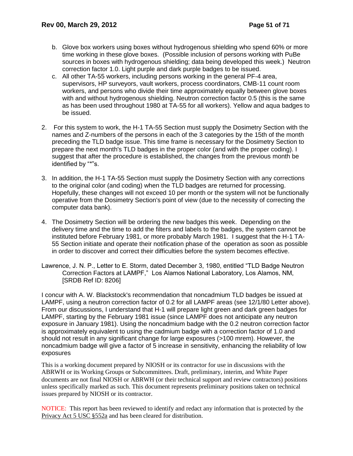- b. Glove box workers using boxes without hydrogenous shielding who spend 60% or more time working in these glove boxes. (Possible inclusion of persons working with PuBe sources in boxes with hydrogenous shielding; data being developed this week.) Neutron correction factor 1.0. Light purple and dark purple badges to be issued.
- c. All other TA-55 workers, including persons working in the general PF-4 area, supervisors, HP surveyors, vault workers, process coordinators, CMB-11 count room workers, and persons who divide their time approximately equally between glove boxes with and without hydrogenous shielding. Neutron correction factor 0.5 (this is the same as has been used throughout 1980 at TA-55 for all workers). Yellow and aqua badges to be issued.
- 2. For this system to work, the H-1 TA-55 Section must supply the Dosimetry Section with the names and Z-numbers of the persons in each of the 3 categories by the 15th of the month preceding the TLD badge issue. This time frame is necessary for the Dosimetry Section to prepare the next month's TLD badges in the proper color (and with the proper coding). I suggest that after the procedure is established, the changes from the previous month be identified by "\*"s.
- 3. In addition, the H-1 TA-55 Section must supply the Dosimetry Section with any corrections to the original color (and coding) when the TLD badges are returned for processing. Hopefully, these changes will not exceed 10 per month or the system will not be functionally operative from the Dosimetry Section's point of view (due to the necessity of correcting the computer data bank).
- 4. The Dosimetry Section will be ordering the new badges this week. Depending on the delivery time and the time to add the filters and labels to the badges, the system cannot be instituted before February 1981, or more probably March 1981. I suggest that the H-1 TA-55 Section initiate and operate their notification phase of the operation as soon as possible in order to discover and correct their difficulties before the system becomes effective.

Lawrence, J. N. P., Letter to E. Storm, dated December 3, 1980, entitled "TLD Badge Neutron Correction Factors at LAMPF," Los Alamos National Laboratory, Los Alamos, NM, [SRDB Ref ID: 8206]

I concur with A. W. Blackstock's recommendation that noncadmium TLD badges be issued at LAMPF, using a neutron correction factor of 0.2 for all LAMPF areas (see 12/1/80 Letter above). From our discussions, I understand that H-1 will prepare light green and dark green badges for LAMPF, starting by the February 1981 issue (since LAMPF does not anticipate any neutron exposure in January 1981). Using the noncadmium badge with the 0.2 neutron correction factor is approximately equivalent to using the cadmium badge with a correction factor of 1.0 and should not result in any significant change for large exposures (>100 mrem). However, the noncadmium badge will give a factor of 5 increase in sensitivity, enhancing the reliability of low exposures

This is a working document prepared by NIOSH or its contractor for use in discussions with the ABRWH or its Working Groups or Subcommittees. Draft, preliminary, interim, and White Paper documents are not final NIOSH or ABRWH (or their technical support and review contractors) positions unless specifically marked as such. This document represents preliminary positions taken on technical issues prepared by NIOSH or its contractor.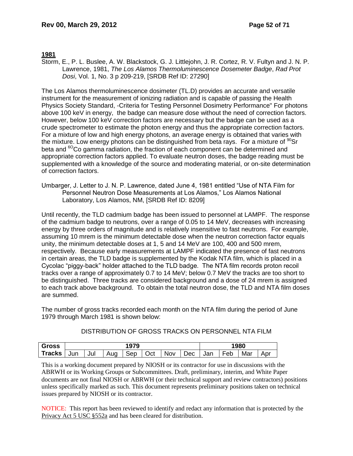### **1981**

Storm, E., P. L. Buslee, A. W. Blackstock, G. J. Littlejohn, J. R. Cortez, R. V. Fultyn and J. N. P. Lawrence, 1981, *The Los Alamos Thermoluminescence Dosemeter Badge*, *Rad Prot Dosi*, Vol. 1, No. 3 p 209-219, [SRDB Ref ID: 27290]

The Los Alamos thermoluminescence dosimeter (TL.D) provides an accurate and versatile instrument for the measurement of ionizing radiation and is capable of passing the Health Physics Society Standard, -Criteria for Testing Personnel Dosimetry Performance" For photons above 100 keV in energy, the badge can measure dose without the need of correction factors. However, below 100 keV correction factors are necessary but the badge can be used as a crude spectrometer to estimate the photon energy and thus the appropriate correction factors. For a mixture of low and high energy photons, an average energy is obtained that varies with the mixture. Low energy photons can be distinguished from beta rays. For a mixture of  $90$ Sr beta and  ${}^{60}$ Co gamma radiation, the fraction of each component can be determined and appropriate correction factors applied. To evaluate neutron doses, the badge reading must be supplemented with a knowledge of the source and moderating material, or on-site determination of correction factors.

Umbarger, J. Letter to J. N. P. Lawrence, dated June 4, 1981 entitled "Use of NTA Film for Personnel Neutron Dose Measurements at Los Alamos," Los Alamos National Laboratory, Los Alamos, NM, [SRDB Ref ID: 8209]

Until recently, the TLD cadmium badge has been issued to personnel at LAMPF. The response of the cadmium badge to neutrons, over a range of 0.05 to 14 MeV, decreases with increasing energy by three orders of magnitude and is relatively insensitive to fast neutrons. For example, assuming 10 mrem is the minimum detectable dose when the neutron correction factor equals unity, the minimum detectable doses at 1, 5 and 14 MeV are 100, 400 and 500 mrem, respectively. Because early measurements at LAMPF indicated the presence of fast neutrons in certain areas, the TLD badge is supplemented by the Kodak NTA film, which is placed in a Cycolac "piggy-back" holder attached to the TLD badge. The NTA film records proton recoil tracks over a range of approximately 0.7 to 14 MeV; below 0.7 MeV the tracks are too short to be distinguished. Three tracks are considered background and a dose of 24 mrem is assigned to each track above background. To obtain the total neutron dose, the TLD and NTA film doses are summed.

The number of gross tracks recorded each month on the NTA film during the period of June 1979 through March 1981 is shown below:

| <b>Gross</b>                                                         | 1979 |  |  |  |  | 1980 |  |  |  |  |
|----------------------------------------------------------------------|------|--|--|--|--|------|--|--|--|--|
| Tracks Jun Jul   Aug   Sep   Oct   Nov   Dec   Jan   Feb   Mar   Apr |      |  |  |  |  |      |  |  |  |  |

DISTRIBUTION OF GROSS TRACKS ON PERSONNEL NTA FILM

This is a working document prepared by NIOSH or its contractor for use in discussions with the ABRWH or its Working Groups or Subcommittees. Draft, preliminary, interim, and White Paper documents are not final NIOSH or ABRWH (or their technical support and review contractors) positions unless specifically marked as such. This document represents preliminary positions taken on technical issues prepared by NIOSH or its contractor.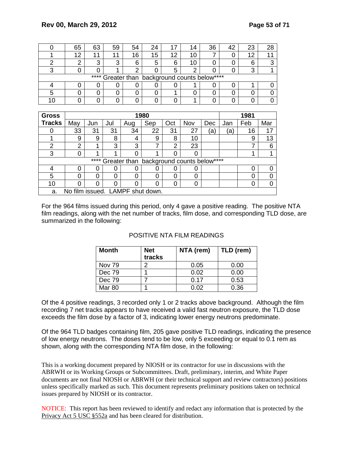| 65                                            | 63 | 59 | 54 | 24 |     | 14 | 36 |  | 23 | 28 |
|-----------------------------------------------|----|----|----|----|-----|----|----|--|----|----|
| 12                                            | -1 | 11 | 16 | 15 | 12  |    |    |  | C  |    |
|                                               |    | ົ  | 6  | 5  | ี่ค | 10 |    |  | 6  |    |
|                                               |    |    |    |    |     |    |    |  |    |    |
| **** Greater than background counts below**** |    |    |    |    |     |    |    |  |    |    |
|                                               |    |    |    |    |     |    |    |  |    |    |
|                                               |    |    |    |    |     |    |    |  |    |    |
|                                               |    |    |    |    |     |    |    |  |    |    |

| <b>Gross</b>  |                |      |          |                                  | 1980 |     |                                          |     |     | 1981 |     |
|---------------|----------------|------|----------|----------------------------------|------|-----|------------------------------------------|-----|-----|------|-----|
| <b>Tracks</b> | May            | Jun  | Jul      | Aug                              | Sep  | Oct | Nov                                      | Dec | Jan | Feb  | Mar |
|               | 33             | 31   | 31       | 34                               | 22   | 31  | 27                                       | ā   | ΄a, | 16   | 17  |
|               | 9              | 9    | 8        | 4                                | 9    | 8   | 10                                       |     |     | 9    | 13  |
| 2             | $\overline{2}$ | 1    | 3        | 3                                |      | 2   | 23                                       |     |     |      |     |
| 3             |                | и    |          | 0                                |      |     |                                          |     |     |      |     |
|               |                | **** |          |                                  |      |     | Greater than background counts below**** |     |     |      |     |
|               |                | 0    | 0        | 0                                | O    |     |                                          |     |     | O    |     |
| 5             |                | 0    | $\Omega$ | 0                                | 0    | ი   | 0                                        |     |     | ი    |     |
| 10            |                | 0    | 0        | 0                                | 0    | ი   |                                          |     |     | 0    |     |
| a.            |                |      |          | No film issued. LAMPF shut down. |      |     |                                          |     |     |      |     |

For the 964 films issued during this period, only 4 gave a positive reading. The positive NTA film readings, along with the net number of tracks, film dose, and corresponding TLD dose, are summarized in the following:

| Month         | <b>Net</b><br>tracks | NTA (rem) | TLD (rem) |
|---------------|----------------------|-----------|-----------|
| <b>Nov 79</b> |                      | 0.05      | 0.00      |
| Dec 79        |                      | 0.02      | 0.00      |
| Dec 79        |                      | 0.17      | 0.53      |
| Mar 80        |                      | በ በ2      | 0.36      |

### POSITIVE NTA FILM READINGS

Of the 4 positive readings, 3 recorded only 1 or 2 tracks above background. Although the film recording 7 net tracks appears to have received a valid fast neutron exposure, the TLD dose exceeds the film dose by a factor of 3, indicating lower energy neutrons predominate.

Of the 964 TLD badges containing film, 205 gave positive TLD readings, indicating the presence of low energy neutrons. The doses tend to be low, only 5 exceeding or equal to 0.1 rem as shown, along with the corresponding NTA film dose, in the following:

This is a working document prepared by NIOSH or its contractor for use in discussions with the ABRWH or its Working Groups or Subcommittees. Draft, preliminary, interim, and White Paper documents are not final NIOSH or ABRWH (or their technical support and review contractors) positions unless specifically marked as such. This document represents preliminary positions taken on technical issues prepared by NIOSH or its contractor.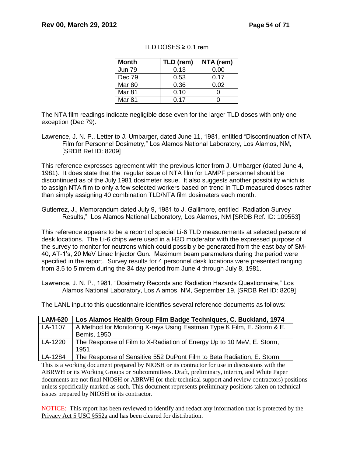| <b>Month</b>  | TLD (rem) | NTA (rem) |
|---------------|-----------|-----------|
| <b>Jun 79</b> | 0.13      | 0.00      |
| Dec 79        | 0.53      | 0.17      |
| <b>Mar 80</b> | 0.36      | 0.02      |
| Mar 81        | 0.10      |           |
| Mar 81        | 0.17      |           |

### TLD DOSES  $\geq$  0.1 rem

The NTA film readings indicate negligible dose even for the larger TLD doses with only one exception (Dec 79).

This reference expresses agreement with the previous letter from J. Umbarger (dated June 4, 1981). It does state that the regular issue of NTA film for LAMPF personnel should be discontinued as of the July 1981 dosimeter issue. It also suggests another possibility which is to assign NTA film to only a few selected workers based on trend in TLD measured doses rather than simply assigning 40 combination TLD/NTA film dosimeters each month.

Gutierrez, J., Memorandum dated July 9, 1981 to J. Gallimore, entitled "Radiation Survey Results," Los Alamos National Laboratory, Los Alamos, NM [SRDB Ref. ID: 109553]

This reference appears to be a report of special Li-6 TLD measurements at selected personnel desk locations. The Li-6 chips were used in a H2O moderator with the expressed purpose of the survey to monitor for neutrons which could possibly be generated from the east bay of SM-40, AT-1's, 20 MeV Linac Injector Gun. Maximum beam parameters during the period were specified in the report. Survey results for 4 personnel desk locations were presented ranging from 3.5 to 5 mrem during the 34 day period from June 4 through July 8, 1981.

Lawrence, J. N. P., 1981, "Dosimetry Records and Radiation Hazards Questionnaire," Los Alamos National Laboratory, Los Alamos, NM, September 19, [SRDB Ref ID: 8209]

The LANL input to this questionnaire identifies several reference documents as follows:

| <b>LAM-620</b> | Los Alamos Health Group Film Badge Techniques, C. Buckland, 1974        |
|----------------|-------------------------------------------------------------------------|
| LA-1107        | A Method for Monitoring X-rays Using Eastman Type K Film, E. Storm & E. |
|                | <b>Bemis, 1950</b>                                                      |
| LA-1220        | The Response of Film to X-Radiation of Energy Up to 10 MeV, E. Storm,   |
|                | 1951                                                                    |
| LA-1284        | The Response of Sensitive 552 DuPont Film to Beta Radiation, E. Storm,  |

This is a working document prepared by NIOSH or its contractor for use in discussions with the ABRWH or its Working Groups or Subcommittees. Draft, preliminary, interim, and White Paper documents are not final NIOSH or ABRWH (or their technical support and review contractors) positions unless specifically marked as such. This document represents preliminary positions taken on technical issues prepared by NIOSH or its contractor.

Lawrence, J. N. P., Letter to J. Umbarger, dated June 11, 1981, entitled "Discontinuation of NTA Film for Personnel Dosimetry," Los Alamos National Laboratory, Los Alamos, NM, [SRDB Ref ID: 8209]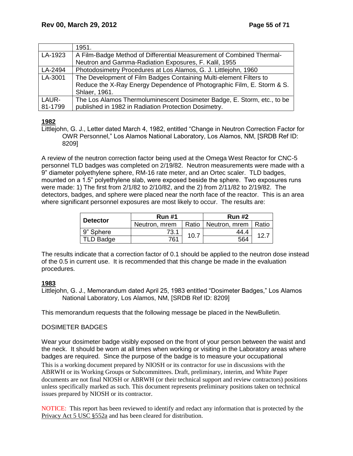|         | 1951.                                                                   |
|---------|-------------------------------------------------------------------------|
| LA-1923 | A Film-Badge Method of Differential Measurement of Combined Thermal-    |
|         | Neutron and Gamma-Radiation Exposures, F. Kalil, 1955                   |
| LA-2494 | Photodosimetry Procedures at Los Alamos, G. J. Littlejohn, 1960         |
| LA-3001 | The Development of Film Badges Containing Multi-element Filters to      |
|         | Reduce the X-Ray Energy Dependence of Photographic Film, E. Storm & S.  |
|         | Shlaer, 1961.                                                           |
| LAUR-   | The Los Alamos Thermoluminescent Dosimeter Badge, E. Storm, etc., to be |
| 81-1799 | published in 1982 in Radiation Protection Dosimetry.                    |

# **1982**

Littlejohn, G. J., Letter dated March 4, 1982, entitled "Change in Neutron Correction Factor for OWR Personnel," Los Alamos National Laboratory, Los Alamos, NM, [SRDB Ref ID: 8209]

A review of the neutron correction factor being used at the Omega West Reactor for CNC-5 personnel TLD badges was completed on 2/19/82. Neutron measurements were made with a 9" diameter polyethylene sphere, RM-16 rate meter, and an Ortec scaler. TLD badges, mounted on a 1.5" polyethylene slab, were exposed beside the sphere. Two exposures runs were made: 1) The first from 2/1/82 to 2/10/82, and the 2) from 2/11/82 to 2/19/82. The detectors, badges, and sphere were placed near the north face of the reactor. This is an area where significant personnel exposures are most likely to occur. The results are:

| <b>Detector</b>  | <b>Run #1</b> |      | <b>Run #2</b>                 |     |  |
|------------------|---------------|------|-------------------------------|-----|--|
|                  | Neutron, mrem |      | Ratio   Neutron, mrem   Ratio |     |  |
| 9" Sphere        | 73.1          | 10.7 | 44.4                          | 12. |  |
| <b>TLD Badge</b> | 761           |      | 564                           |     |  |

The results indicate that a correction factor of 0.1 should be applied to the neutron dose instead of the 0.5 in current use. It is recommended that this change be made in the evaluation procedures.

# **1983**

Littlejohn, G. J., Memorandum dated April 25, 1983 entitled "Dosimeter Badges," Los Alamos National Laboratory, Los Alamos, NM, [SRDB Ref ID: 8209]

This memorandum requests that the following message be placed in the NewBulletin.

# DOSIMETER BADGES

This is a working document prepared by NIOSH or its contractor for use in discussions with the Wear your dosimeter badge visibly exposed on the front of your person between the waist and the neck. It should be worn at all times when working or visiting in the Laboratory areas where badges are required. Since the purpose of the badge is to measure your occupational

ABRWH or its Working Groups or Subcommittees. Draft, preliminary, interim, and White Paper documents are not final NIOSH or ABRWH (or their technical support and review contractors) positions unless specifically marked as such. This document represents preliminary positions taken on technical issues prepared by NIOSH or its contractor.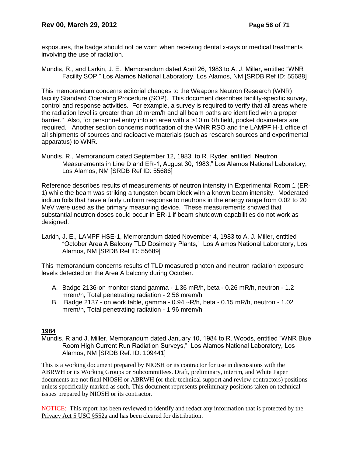exposures, the badge should not be worn when receiving dental x-rays or medical treatments involving the use of radiation.

Mundis, R., and Larkin, J. E., Memorandum dated April 26, 1983 to A. J. Miller, entitled "WNR Facility SOP," Los Alamos National Laboratory, Los Alamos, NM [SRDB Ref ID: 55688]

This memorandum concerns editorial changes to the Weapons Neutron Research (WNR) facility Standard Operating Procedure (SOP). This document describes facility-specific survey, control and response activities. For example, a survey is required to verify that all areas where the radiation level is greater than 10 mrem/h and all beam paths are identified with a proper barrier." Also, for personnel entry into an area with a >10 mR/h field, pocket dosimeters are required. Another section concerns notification of the WNR RSO and the LAMPF H-1 office of all shipments of sources and radioactive materials (such as research sources and experimental apparatus) to WNR.

Mundis, R., Memorandum dated September 12, 1983 to R. Ryder, entitled "Neutron Measurements in Line D and ER-1, August 30, 1983," Los Alamos National Laboratory, Los Alamos, NM [SRDB Ref ID: 55686]

Reference describes results of measurements of neutron intensity in Experimental Room 1 (ER-1) while the beam was striking a tungsten beam block with a known beam intensity. Moderated indium foils that have a fairly uniform response to neutrons in the energy range from 0.02 to 20 MeV were used as the primary measuring device. These measurements showed that substantial neutron doses could occur in ER-1 if beam shutdown capabilities do not work as designed.

Larkin, J. E., LAMPF HSE-1, Memorandum dated November 4, 1983 to A. J. Miller, entitled "October Area A Balcony TLD Dosimetry Plants," Los Alamos National Laboratory, Los Alamos, NM [SRDB Ref ID: 55689]

This memorandum concerns results of TLD measured photon and neutron radiation exposure levels detected on the Area A balcony during October.

- A. Badge 2136-on monitor stand gamma 1.36 mR/h, beta 0.26 mR/h, neutron 1.2 mrem/h, Total penetrating radiation - 2.56 mrem/h
- B. Badge 2137 on work table, gamma 0.94 ~R/h, beta 0.15 mR/h, neutron 1.02 mrem/h, Total penetrating radiation - 1.96 mrem/h

### **1984**

Mundis, R and J. Miller, Memorandum dated January 10, 1984 to R. Woods, entitled "WNR Blue Room High Current Run Radiation Surveys," Los Alamos National Laboratory, Los Alamos, NM [SRDB Ref. ID: 109441]

This is a working document prepared by NIOSH or its contractor for use in discussions with the ABRWH or its Working Groups or Subcommittees. Draft, preliminary, interim, and White Paper documents are not final NIOSH or ABRWH (or their technical support and review contractors) positions unless specifically marked as such. This document represents preliminary positions taken on technical issues prepared by NIOSH or its contractor.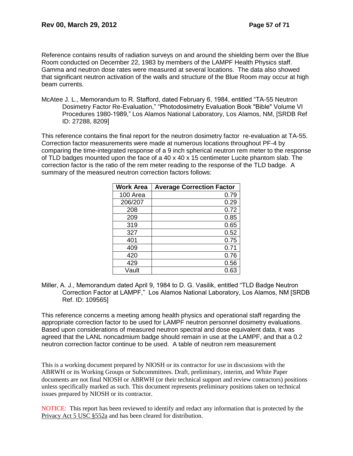Reference contains results of radiation surveys on and around the shielding berm over the Blue Room conducted on December 22, 1983 by members of the LAMPF Health Physics staff. Gamma and neutron dose rates were measured at several locations. The data also showed that significant neutron activation of the walls and structure of the Blue Room may occur at high beam currents.

McAtee J. L., Memorandum to R. Stafford, dated February 6, 1984, entitled "TA-55 Neutron Dosimetry Factor Re-Evaluation," "Photodosimetry Evaluation Book "Bible" Volume VI Procedures 1980-1989," Los Alamos National Laboratory, Los Alamos, NM, [SRDB Ref ID: 27288, 8209]

This reference contains the final report for the neutron dosimetry factor re-evaluation at TA-55. Correction factor measurements were made at numerous locations throughout PF-4 by comparing the time-integrated response of a 9 inch spherical neutron rem meter to the response of TLD badges mounted upon the face of a 40 x 40 x 15 centimeter Lucite phantom slab. The correction factor is the ratio of the rem meter reading to the response of the TLD badge. A summary of the measured neutron correction factors follows:

| <b>Work Area</b> | <b>Average Correction Factor</b> |
|------------------|----------------------------------|
| 100 Area         | 0.79                             |
| 206/207          | 0.29                             |
| 208              | 0.72                             |
| 209              | 0.85                             |
| 319              | 0.65                             |
| 327              | 0.52                             |
| 401              | 0.75                             |
| 409              | 0.71                             |
| 420              | 0.76                             |
| 429              | 0.56                             |
| Vault            | 0.63                             |

Miller, A. J., Memorandum dated April 9, 1984 to D. G. Vasilik, entitled "TLD Badge Neutron Correction Factor at LAMPF," Los Alamos National Laboratory, Los Alamos, NM [SRDB Ref. ID: 109565]

This reference concerns a meeting among health physics and operational staff regarding the appropriate correction factor to be used for LAMPF neutron personnel dosimetry evaluations. Based upon considerations of measured neutron spectral and dose equivalent data, it was agreed that the LANL noncadmium badge should remain in use at the LAMPF, and that a 0.2 neutron correction factor continue to be used. A table of neutron rem measurement

This is a working document prepared by NIOSH or its contractor for use in discussions with the ABRWH or its Working Groups or Subcommittees. Draft, preliminary, interim, and White Paper documents are not final NIOSH or ABRWH (or their technical support and review contractors) positions unless specifically marked as such. This document represents preliminary positions taken on technical issues prepared by NIOSH or its contractor.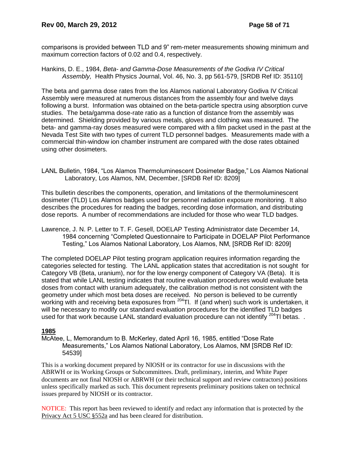comparisons is provided between TLD and 9" rem-meter measurements showing minimum and maximum correction factors of 0.02 and 0.4, respectively.

Hankins, D. E., 1984, *Beta- and Gamma-Dose Measurements of the Godiva IV Critical Assembly,* Health Physics Journal, Vol. 46, No. 3, pp 561-579, [SRDB Ref ID: 35110]

The beta and gamma dose rates from the los Alamos national Laboratory Godiva IV Critical Assembly were measured at numerous distances from the assembly four and twelve days following a burst. Information was obtained on the beta-particle spectra using absorption curve studies. The beta/gamma dose-rate ratio as a function of distance from the assembly was determined. Shielding provided by various metals, gloves and clothing was measured. The beta- and gamma-ray doses measured were compared with a film packet used in the past at the Nevada Test Site with two types of current TLD personnel badges. Measurements made with a commercial thin-window ion chamber instrument are compared with the dose rates obtained using other dosimeters.

LANL Bulletin, 1984, "Los Alamos Thermoluminescent Dosimeter Badge," Los Alamos National Laboratory, Los Alamos, NM, December, [SRDB Ref ID: 8209]

This bulletin describes the components, operation, and limitations of the thermoluminescent dosimeter (TLD) Los Alamos badges used for personnel radiation exposure monitoring. It also describes the procedures for reading the badges, recording dose information, and distributing dose reports. A number of recommendations are included for those who wear TLD badges.

Lawrence, J. N. P. Letter to T. F. Gesell, DOELAP Testing Administrator date December 14, 1984 concerning "Completed Questionnaire to Participate in DOELAP Pilot Performance Testing," Los Alamos National Laboratory, Los Alamos, NM, [SRDB Ref ID: 8209]

The completed DOELAP Pilot testing program application requires information regarding the categories selected for testing. The LANL application states that accreditation is not sought for Category VB (Beta, uranium), nor for the low energy component of Category VA (Beta). It is stated that while LANL testing indicates that routine evaluation procedures would evaluate beta doses from contact with uranium adequately, the calibration method is not consistent with the geometry under which most beta doses are received. No person is believed to be currently working with and receiving beta exposures from <sup>204</sup>Tl. If (and when) such work is undertaken, it will be necessary to modify our standard evaluation procedures for the identified TLD badges used for that work because LANL standard evaluation procedure can not identify  $^{204}$ TI betas...

### **1985**

McAtee, L, Memorandum to B. McKerley, dated April 16, 1985, entitled "Dose Rate Measurements," Los Alamos National Laboratory, Los Alamos, NM [SRDB Ref ID: 54539]

This is a working document prepared by NIOSH or its contractor for use in discussions with the ABRWH or its Working Groups or Subcommittees. Draft, preliminary, interim, and White Paper documents are not final NIOSH or ABRWH (or their technical support and review contractors) positions unless specifically marked as such. This document represents preliminary positions taken on technical issues prepared by NIOSH or its contractor.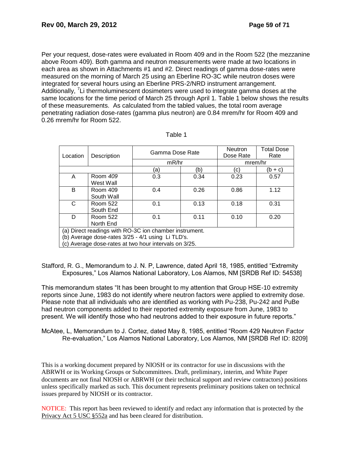Per your request, dose-rates were evaluated in Room 409 and in the Room 522 (the mezzanine above Room 409). Both gamma and neutron measurements were made at two locations in each area as shown in Attachments #1 and #2. Direct readings of gamma dose-rates were measured on the morning of March 25 using an Eberline RO-3C while neutron doses were integrated for several hours using an Eberline PRS-2/NRD instrument arrangement. Additionally, <sup>7</sup>Li thermoluminescent dosimeters were used to integrate gamma doses at the same locations for the time period of March 25 through April 1. Table 1 below shows the results of these measurements. As calculated from the tabled values, the total room average penetrating radiation dose-rates (gamma plus neutron) are 0.84 mrem/hr for Room 409 and 0.26 mrem/hr for Room 522.

| Location                                                                                                    | Description            | Gamma Dose Rate |      | <b>Neutron</b><br>Dose Rate | <b>Total Dose</b><br>Rate |
|-------------------------------------------------------------------------------------------------------------|------------------------|-----------------|------|-----------------------------|---------------------------|
|                                                                                                             |                        | mR/hr           |      | mrem/hr                     |                           |
|                                                                                                             |                        | 'a)             | (b)  | (c)                         | (b + c)                   |
| A                                                                                                           | Room 409<br>West Wall  | 0.3             | 0.34 | 0.23                        | 0.57                      |
| B                                                                                                           | Room 409<br>South Wall | 0.4             | 0.26 | 0.86                        | 1.12                      |
| C                                                                                                           | Room 522<br>South End  | 0.1             | 0.13 | 0.18                        | 0.31                      |
| D                                                                                                           | Room 522<br>North End  | 0.1             | 0.11 | 0.10                        | 0.20                      |
| (a) Direct readings with RO-3C ion chamber instrument.<br>(b) Average dose-rates 3/25 - 4/1 using Li TLD's. |                        |                 |      |                             |                           |
| (c) Average dose-rates at two hour intervals on 3/25.                                                       |                        |                 |      |                             |                           |

| `able |  |  |  |  |  |
|-------|--|--|--|--|--|
|-------|--|--|--|--|--|

Stafford, R. G., Memorandum to J. N. P, Lawrence, dated April 18, 1985, entitled "Extremity Exposures," Los Alamos National Laboratory, Los Alamos, NM [SRDB Ref ID: 54538]

This memorandum states "It has been brought to my attention that Group HSE-10 extremity reports since June, 1983 do not identify where neutron factors were applied to extremity dose. Please note that all individuals who are identified as working with Pu-238, Pu-242 and PuBe had neutron components added to their reported extremity exposure from June, 1983 to present. We will identify those who had neutrons added to their exposure in future reports."

McAtee, L, Memorandum to J. Cortez, dated May 8, 1985, entitled "Room 429 Neutron Factor Re-evaluation," Los Alamos National Laboratory, Los Alamos, NM [SRDB Ref ID: 8209]

This is a working document prepared by NIOSH or its contractor for use in discussions with the ABRWH or its Working Groups or Subcommittees. Draft, preliminary, interim, and White Paper documents are not final NIOSH or ABRWH (or their technical support and review contractors) positions unless specifically marked as such. This document represents preliminary positions taken on technical issues prepared by NIOSH or its contractor.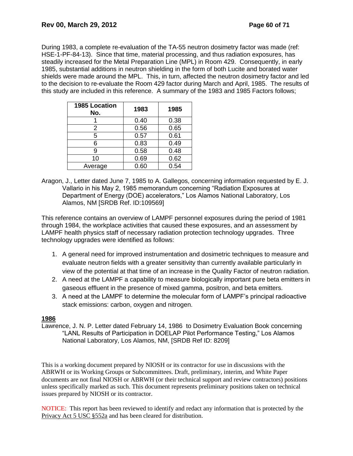During 1983, a complete re-evaluation of the TA-55 neutron dosimetry factor was made (ref: HSE-1-PF-84-13). Since that time, material processing, and thus radiation exposures, has steadily increased for the Metal Preparation Line (MPL) in Room 429. Consequently, in early 1985, substantial additions in neutron shielding in the form of both Lucite and borated water shields were made around the MPL. This, in turn, affected the neutron dosimetry factor and led to the decision to re-evaluate the Room 429 factor during March and April, 1985. The results of this study are included in this reference. A summary of the 1983 and 1985 Factors follows;

| <b>1985 Location</b><br>No. | 1983 | 1985 |
|-----------------------------|------|------|
|                             | 0.40 | 0.38 |
| 2                           | 0.56 | 0.65 |
| 5                           | 0.57 | 0.61 |
| 6                           | 0.83 | 0.49 |
| 9                           | 0.58 | 0.48 |
| 10                          | 0.69 | 0.62 |
| Average                     | 0.60 | 0.54 |

Aragon, J., Letter dated June 7, 1985 to A. Gallegos, concerning information requested by E. J. Vallario in his May 2, 1985 memorandum concerning "Radiation Exposures at Department of Energy (DOE) accelerators," Los Alamos National Laboratory, Los Alamos, NM [SRDB Ref. ID:109569]

This reference contains an overview of LAMPF personnel exposures during the period of 1981 through 1984, the workplace activities that caused these exposures, and an assessment by LAMPF health physics staff of necessary radiation protection technology upgrades. Three technology upgrades were identified as follows:

- 1. A general need for improved instrumentation and dosimetric techniques to measure and evaluate neutron fields with a greater sensitivity than currently available particularly in view of the potential at that time of an increase in the Quality Factor of neutron radiation.
- 2. A need at the LAMPF a capability to measure biologically important pure beta emitters in gaseous effluent in the presence of mixed gamma, positron, and beta emitters.
- 3. A need at the LAMPF to determine the molecular form of LAMPF's principal radioactive stack emissions: carbon, oxygen and nitrogen.

### **1986**

Lawrence, J. N. P. Letter dated February 14, 1986 to Dosimetry Evaluation Book concerning "LANL Results of Participation in DOELAP Pilot Performance Testing," Los Alamos National Laboratory, Los Alamos, NM, [SRDB Ref ID: 8209]

This is a working document prepared by NIOSH or its contractor for use in discussions with the ABRWH or its Working Groups or Subcommittees. Draft, preliminary, interim, and White Paper documents are not final NIOSH or ABRWH (or their technical support and review contractors) positions unless specifically marked as such. This document represents preliminary positions taken on technical issues prepared by NIOSH or its contractor.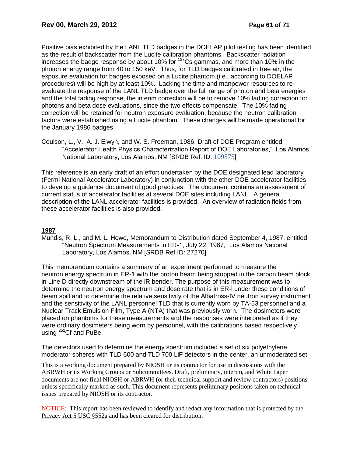Positive bias exhibited by the LANL TLD badges in the DOELAP pilot testing has been identified as the result of backscatter from the Lucite calibration phantoms. Backscatter radiation increases the badge response by about 10% for  $137$ Cs gammas, and more than 10% in the photon energy range from 40 to 150 keV. Thus, for TLD badges calibrated in free air, the exposure evaluation for badges exposed on a Lucite phantom (i.e., according to DOELAP procedures) will be high by at least 10%. Lacking the time and manpower resources to reevaluate the response of the LANL TLD badge over the full range of photon and beta energies and the total fading response, the interim correction will be to remove 10% fading correction for photons and beta dose evaluations, since the two effects compensate. The 10% fading correction will be retained for neutron exposure evaluation, because the neutron calibration factors were established using a Lucite phantom. These changes will be made operational for the January 1986 badges.

Coulson, L., V., A. J. Elwyn, and W. S. Freeman, 1986, Draft of DOE Program entitled "Accelerator Health Physics Characterization Report of DOE Laboratories," Los Alamos National Laboratory, Los Alamos, NM [SRDB Ref. ID: 109575]

This reference is an early draft of an effort undertaken by the DOE designated lead laboratory (Fermi National Accelerator Laboratory) in conjunction with the other DOE accelerator facilities to develop a guidance document of good practices. The document contains an assessment of current status of accelerator facilities at several DOE sites including LANL. A general description of the LANL accelerator facilities is provided. An overview of radiation fields from these accelerator facilities is also provided.

# **1987**

Mundis, R. L., and M. L. Howe, Memorandum to Distribution dated September 4, 1987, entitled "Neutron Spectrum Measurements in ER-1, July 22, 1987," Los Alamos National Laboratory, Los Alamos, NM [SRDB Ref ID: 27270]

This memorandum contains a summary of an experiment performed to measure the neutron energy spectrum in ER-1 with the proton beam being stopped in the carbon beam block in Line D directly downstream of the lR bender. The purpose of this measurement was to determine the neutron energy spectrum and dose rate that is in ER-l under these conditions of beam spill and to determine the relative sensitivity of the Albatross-IV neutron survey instrument and the sensitivity of the LANL personnel TLD that is currently worn by TA-53 personnel and a Nuclear Track Emulsion Film, Type A (NTA) that was previously worn. The dosimeters were placed on phantoms for these measurements and the responses were interpreted as if they were ordinary dosimeters being worn by personnel, with the calibrations based respectively using <sup>252</sup>Cf and PuBe.

The detectors used to determine the energy spectrum included a set of six polyethylene moderator spheres with TLD 600 and TLD 700 LiF detectors in the center, an unmoderated set

This is a working document prepared by NIOSH or its contractor for use in discussions with the ABRWH or its Working Groups or Subcommittees. Draft, preliminary, interim, and White Paper documents are not final NIOSH or ABRWH (or their technical support and review contractors) positions unless specifically marked as such. This document represents preliminary positions taken on technical issues prepared by NIOSH or its contractor.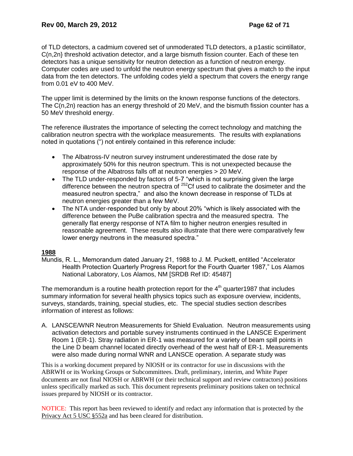of TLD detectors, a cadmium covered set of unmoderated TLD detectors, a p1astic scintillator, C(n,2n} threshold activation detector, and a large bismuth fission counter. Each of these ten detectors has a unique sensitivity for neutron detection as a function of neutron energy. Computer codes are used to unfold the neutron energy spectrum that gives a match to the input data from the ten detectors. The unfolding codes yield a spectrum that covers the energy range from 0.01 eV to 400 MeV.

The upper limit is determined by the limits on the known response functions of the detectors. The C(n,2n) reaction has an energy threshold of 20 MeV, and the bismuth fission counter has a 50 MeV threshold energy.

The reference illustrates the importance of selecting the correct technology and matching the calibration neutron spectra with the workplace measurements. The results with explanations noted in quotations (") not entirely contained in this reference include:

- The Albatross-IV neutron survey instrument underestimated the dose rate by approximately 50% for this neutron spectrum. This is not unexpected because the response of the Albatross falls off at neutron energies > 20 MeV.
- The TLD under-responded by factors of 5-7 "which is not surprising given the large difference between the neutron spectra of <sup>252</sup>Cf used to calibrate the dosimeter and the measured neutron spectra," and also the known decrease in response of TLDs at neutron energies greater than a few MeV.
- The NTA under-responded but only by about 20% "which is likely associated with the difference between the PuBe calibration spectra and the measured spectra. The generally flat energy response of NTA film to higher neutron energies resulted in reasonable agreement. These results also illustrate that there were comparatively few lower energy neutrons in the measured spectra."

# **1988**

Mundis, R. L., Memorandum dated January 21, 1988 to J. M. Puckett, entitled "Accelerator Health Protection Quarterly Progress Report for the Fourth Quarter 1987," Los Alamos National Laboratory, Los Alamos, NM [SRDB Ref ID: 45487]

The memorandum is a routine health protection report for the  $4<sup>th</sup>$  quarter 1987 that includes summary information for several health physics topics such as exposure overview, incidents, surveys, standards, training, special studies, etc. The special studies section describes information of interest as follows:

A. LANSCE/WNR Neutron Measurements for Shield Evaluation. Neutron measurements using activation detectors and portable survey instruments continued in the LANSCE Experiment Room 1 (ER-1). Stray radiation in ER-1 was measured for a variety of beam spill points in the Line D beam channel located directly overhead of the west half of ER-1. Measurements were also made during normal WNR and LANSCE operation. A separate study was

This is a working document prepared by NIOSH or its contractor for use in discussions with the ABRWH or its Working Groups or Subcommittees. Draft, preliminary, interim, and White Paper documents are not final NIOSH or ABRWH (or their technical support and review contractors) positions unless specifically marked as such. This document represents preliminary positions taken on technical issues prepared by NIOSH or its contractor.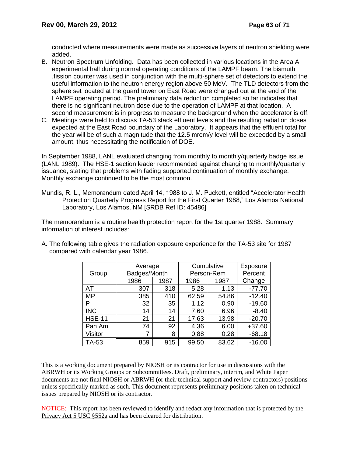conducted where measurements were made as successive layers of neutron shielding were added.

- B. Neutron Spectrum Unfolding. Data has been collected in various locations in the Area A experimental hall during normal operating conditions of the LAMPF beam. The bismuth .fission counter was used in conjunction with the multi-sphere set of detectors to extend the useful information to the neutron energy region above 50 MeV. The TLD detectors from the sphere set located at the guard tower on East Road were changed out at the end of the LAMPF operating period. The preliminary data reduction completed so far indicates that there is no significant neutron dose due to the operation of LAMPF at that location. A second measurement is in progress to measure the background when the accelerator is off.
- C. Meetings were held to discuss TA-53 stack effluent levels and the resulting radiation doses expected at the East Road boundary of the Laboratory. It appears that the effluent total for the year will be of such a magnitude that the 12.5 mrem/y level will be exceeded by a small amount, thus necessitating the notification of DOE.

In September 1988, LANL evaluated changing from monthly to monthly/quarterly badge issue (LANL 1989). The HSE-1 section leader recommended against changing to monthly/quarterly issuance, stating that problems with fading supported continuation of monthly exchange. Monthly exchange continued to be the most common.

Mundis, R. L., Memorandum dated April 14, 1988 to J. M. Puckett, entitled "Accelerator Health Protection Quarterly Progress Report for the First Quarter 1988," Los Alamos National Laboratory, Los Alamos, NM [SRDB Ref ID: 45486]

The memorandum is a routine health protection report for the 1st quarter 1988. Summary information of interest includes:

|               | Average      |      | Cumulative |            | Exposure |
|---------------|--------------|------|------------|------------|----------|
| Group         | Badges/Month |      |            | Person-Rem | Percent  |
|               | 1986         | 1987 | 1986       | 1987       | Change   |
| AT            | 307          | 318  | 5.28       | 1.13       | $-77.70$ |
| <b>MP</b>     | 385          | 410  | 62.59      | 54.86      | $-12.40$ |
| P             | 32           | 35   | 1.12       | 0.90       | $-19.60$ |
| <b>INC</b>    | 14           | 14   | 7.60       | 6.96       | $-8.40$  |
| <b>HSE-11</b> | 21           | 21   | 17.63      | 13.98      | $-20.70$ |
| Pan Am        | 74           | 92   | 4.36       | 6.00       | $+37.60$ |
| Visitor       |              | 8    | 0.88       | 0.28       | $-68.18$ |
| TA-53         | 859          | 915  | 99.50      | 83.62      | $-16.00$ |

A. The following table gives the radiation exposure experience for the TA-53 site for 1987 compared with calendar year 1986.

This is a working document prepared by NIOSH or its contractor for use in discussions with the ABRWH or its Working Groups or Subcommittees. Draft, preliminary, interim, and White Paper documents are not final NIOSH or ABRWH (or their technical support and review contractors) positions unless specifically marked as such. This document represents preliminary positions taken on technical issues prepared by NIOSH or its contractor.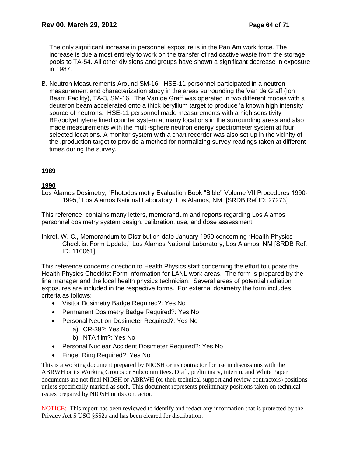The only significant increase in personnel exposure is in the Pan Am work force. The increase is due almost entirely to work on the transfer of radioactive waste from the storage pools to TA-54. All other divisions and groups have shown a significant decrease in exposure in 1987.

B. Neutron Measurements Around SM-16. HSE-11 personnel participated in a neutron measurement and characterization study in the areas surrounding the Van de Graff (Ion Beam Facility), TA-3, SM-16. The Van de Graff was operated in two different modes with a deuteron beam accelerated onto a thick beryllium target to produce 'a known high intensity source of neutrons. HSE-11 personnel made measurements with a high sensitivity BF<sub>3</sub>/polyethylene lined counter system at many locations in the surrounding areas and also made measurements with the multi-sphere neutron energy spectrometer system at four selected locations. A monitor system with a chart recorder was also set up in the vicinity of the .production target to provide a method for normalizing survey readings taken at different times during the survey.

# **1989**

### **1990**

Los Alamos Dosimetry, "Photodosimetry Evaluation Book "Bible" Volume VII Procedures 1990- 1995," Los Alamos National Laboratory, Los Alamos, NM, [SRDB Ref ID: 27273]

This reference contains many letters, memorandum and reports regarding Los Alamos personnel dosimetry system design, calibration, use, and dose assessment.

Inkret, W. C., Memorandum to Distribution date January 1990 concerning "Health Physics Checklist Form Update," Los Alamos National Laboratory, Los Alamos, NM [SRDB Ref. ID: 110061]

This reference concerns direction to Health Physics staff concerning the effort to update the Health Physics Checklist Form information for LANL work areas. The form is prepared by the line manager and the local health physics technician. Several areas of potential radiation exposures are included in the respective forms. For external dosimetry the form includes criteria as follows:

- Visitor Dosimetry Badge Required?: Yes No
- Permanent Dosimetry Badge Required?: Yes No
- Personal Neutron Dosimeter Required?: Yes No
	- a) CR-39?: Yes No
	- b) NTA film?: Yes No
- Personal Nuclear Accident Dosimeter Required?: Yes No
- Finger Ring Required?: Yes No

This is a working document prepared by NIOSH or its contractor for use in discussions with the ABRWH or its Working Groups or Subcommittees. Draft, preliminary, interim, and White Paper documents are not final NIOSH or ABRWH (or their technical support and review contractors) positions unless specifically marked as such. This document represents preliminary positions taken on technical issues prepared by NIOSH or its contractor.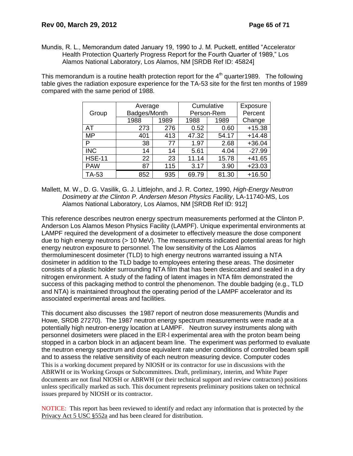Mundis, R. L., Memorandum dated January 19, 1990 to J. M. Puckett, entitled "Accelerator Health Protection Quarterly Progress Report for the Fourth Quarter of 1989," Los Alamos National Laboratory, Los Alamos, NM [SRDB Ref ID: 45824]

This memorandum is a routine health protection report for the  $4<sup>th</sup>$  quarter1989. The following table gives the radiation exposure experience for the TA-53 site for the first ten months of 1989 compared with the same period of 1988.

|               | Average      |      | Cumulative |       | Exposure |
|---------------|--------------|------|------------|-------|----------|
| Group         | Badges/Month |      | Person-Rem |       | Percent  |
|               | 1988         | 1989 | 1988       | 1989  | Change   |
| AT            | 273          | 276  | 0.52       | 0.60  | $+15.38$ |
| <b>MP</b>     | 401          | 413  | 47.32      | 54.17 | $+14.48$ |
| P             | 38           | 77   | 1.97       | 2.68  | $+36.04$ |
| <b>INC</b>    | 14           | 14   | 5.61       | 4.04  | $-27.99$ |
| <b>HSE-11</b> | 22           | 23   | 11.14      | 15.78 | $+41.65$ |
| <b>PAW</b>    | 87           | 115  | 3.17       | 3.90  | $+23.03$ |
| TA-53         | 852          | 935  | 69.79      | 81.30 | $+16.50$ |

Mallett, M. W., D. G. Vasilik, G. J. Littlejohn, and J. R. Cortez, 1990, *High-Energy Neutron Dosimetry at the Clinton P. Andersen Meson Physics Facility*, LA-11740-MS, Los Alamos National Laboratory, Los Alamos, NM [SRDB Ref ID: 912]

This reference describes neutron energy spectrum measurements performed at the Clinton P. Anderson Los Alamos Meson Physics Facility (LAMPF). Unique experimental environments at LAMPF required the development of a dosimeter to effectively measure the dose component due to high energy neutrons (> 10 MeV). The measurements indicated potential areas for high energy neutron exposure to personnel. The low sensitivity of the Los Alamos thermoluminescent dosimeter (TLD) to high energy neutrons warranted issuing a NTA dosimeter in addition to the TLD badge to employees entering these areas. The dosimeter consists of a plastic holder surrounding NTA film that has been desiccated and sealed in a dry nitrogen environment. A study of the fading of latent images in NTA film demonstrated the success of this packaging method to control the phenomenon. The double badging (e.g., TLD and NTA) is maintained throughout the operating period of the LAMPF accelerator and its associated experimental areas and facilities.

This is a working document prepared by NIOSH or its contractor for use in discussions with the ABRWH or its Working Groups or Subcommittees. Draft, preliminary, interim, and White Paper documents are not final NIOSH or ABRWH (or their technical support and review contractors) positions unless specifically marked as such. This document represents preliminary positions taken on technical issues prepared by NIOSH or its contractor. This document also discusses the 1987 report of neutron dose measurements (Mundis and Howe, SRDB 27270). The 1987 neutron energy spectrum measurements were made at a potentially high neutron-energy location at LAMPF. Neutron survey instruments along with personnel dosimeters were placed in the ER-l experimental area with the proton beam being stopped in a carbon block in an adjacent beam line. The experiment was performed to evaluate the neutron energy spectrum and dose equivalent rate under conditions of controlled beam spill and to assess the relative sensitivity of each neutron measuring device. Computer codes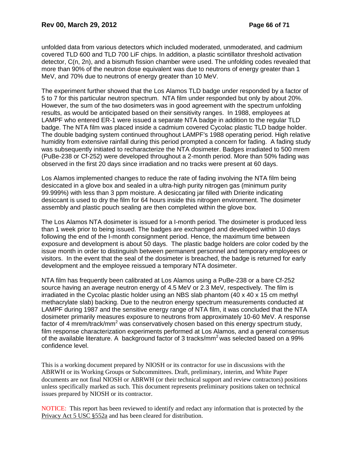unfolded data from various detectors which included moderated, unmoderated, and cadmium covered TLD 600 and TLD 700 LiF chips. In addition, a plastic scintillator threshold activation detector, C(n, 2n), and a bismuth fission chamber were used. The unfolding codes revealed that more than 90% of the neutron dose equivalent was due to neutrons of energy greater than 1 MeV, and 70% due to neutrons of energy greater than 10 MeV.

The experiment further showed that the Los Alamos TLD badge under responded by a factor of 5 to 7 for this particular neutron spectrum. NTA film under responded but only by about 20%. However, the sum of the two dosimeters was in good agreement with the spectrum unfolding results, as would be anticipated based on their sensitivity ranges. In 1988, employees at LAMPF who entered ER-1 were issued a separate NTA badge in addition to the regular TLD badge. The NTA film was placed inside a cadmium covered Cycolac plastic TLD badge holder. The double badging system continued throughout LAMPF's 1988 operating period. High relative humidity from extensive rainfall during this period prompted a concern for fading. A fading study was subsequently initiated to recharacterize the NTA dosimeter. Badges irradiated to 500 mrem (PuBe-238 or Cf-252) were developed throughout a 2-month period. More than 50% fading was observed in the first 20 days since irradiation and no tracks were present at 60 days.

Los Alamos implemented changes to reduce the rate of fading involving the NTA film being desiccated in a glove box and sealed in a ultra-high purity nitrogen gas (minimum purity 99.999%) with less than 3 ppm moisture. A desiccating jar filled with Drierite indicating desiccant is used to dry the film for 64 hours inside this nitrogen environment. The dosimeter assembly and plastic pouch sealing are then completed within the glove box.

The Los Alamos NTA dosimeter is issued for a I-month period. The dosimeter is produced less than 1 week prior to being issued. The badges are exchanged and developed within 10 days following the end of the I-month consignment period. Hence, the maximum time between exposure and development is about 50 days. The plastic badge holders are color coded by the issue month in order to distinguish between permanent personnel and temporary employees or visitors. In the event that the seal of the dosimeter is breached, the badge is returned for early development and the employee reissued a temporary NTA dosimeter.

NTA film has frequently been calibrated at Los Alamos using a PuBe-238 or a bare Cf-252 source having an average neutron energy of 4.5 MeV or 2.3 MeV, respectively. The film is irradiated in the Cycolac plastic holder using an NBS slab phantom (40 x 40 x 15 cm methyl methacrylate slab) backing. Due to the neutron energy spectrum measurements conducted at LAMPF during 1987 and the sensitive energy range of NTA film, it was concluded that the NTA dosimeter primarily measures exposure to neutrons from approximately 10-60 MeV. A response factor of 4 mrem/track/mm<sup>2</sup> was conservatively chosen based on this energy spectrum study, film response characterization experiments performed at Los Alamos, and a general consensus of the available literature. A background factor of 3 tracks/ $mm<sup>2</sup>$  was selected based on a 99% confidence level.

This is a working document prepared by NIOSH or its contractor for use in discussions with the ABRWH or its Working Groups or Subcommittees. Draft, preliminary, interim, and White Paper documents are not final NIOSH or ABRWH (or their technical support and review contractors) positions unless specifically marked as such. This document represents preliminary positions taken on technical issues prepared by NIOSH or its contractor.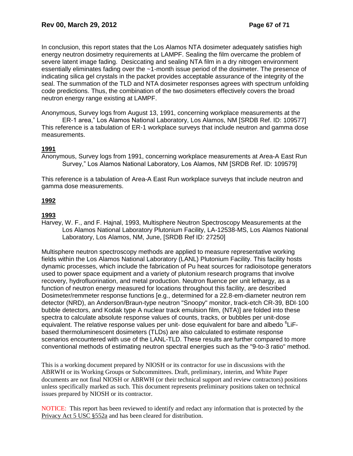In conclusion, this report states that the Los Alamos NTA dosimeter adequately satisfies high energy neutron dosimetry requirements at LAMPF. Sealing the film overcame the problem of severe latent image fading. Desiccating and sealing NTA film in a dry nitrogen environment essentially eliminates fading over the ~1-month issue period of the dosimeter. The presence of indicating silica gel crystals in the packet provides acceptable assurance of the integrity of the seal. The summation of the TLD and NTA dosimeter responses agrees with spectrum unfolding code predictions. Thus, the combination of the two dosimeters effectively covers the broad neutron energy range existing at LAMPF.

Anonymous, Survey logs from August 13, 1991, concerning workplace measurements at the

ER-1 area," Los Alamos National Laboratory, Los Alamos, NM [SRDB Ref. ID: 109577] This reference is a tabulation of ER-1 workplace surveys that include neutron and gamma dose measurements.

# **1991**

Anonymous, Survey logs from 1991, concerning workplace measurements at Area-A East Run Survey," Los Alamos National Laboratory, Los Alamos, NM [SRDB Ref. ID: 109579]

This reference is a tabulation of Area-A East Run workplace surveys that include neutron and gamma dose measurements.

# **1992**

# **1993**

Harvey, W. F., and F. Hajnal, 1993, Multisphere Neutron Spectroscopy Measurements at the Los Alamos National Laboratory Plutonium Facility, LA-12538-MS, Los Alamos National Laboratory, Los Alamos, NM, June, [SRDB Ref ID: 27250]

Multisphere neutron spectroscopy methods are applied to measure representative working fields within the Los Alamos National Laboratory (LANL) Plutonium Facility. This facility hosts dynamic processes, which include the fabrication of Pu heat sources for radioisotope generators used to power space equipment and a variety of plutonium research programs that involve recovery, hydrofluorination, and metal production. Neutron fluence per unit lethargy, as a function of neutron energy measured for locations throughout this facility, are described Dosimeter/remmeter response functions [e.g., determined for a 22.8-em-diameter neutron rem detector (NRD), an Anderson/Braun-type neutron "Snoopy" monitor, track-etch CR-39, BDI·100 bubble detectors, and Kodak type A nuclear track emulsion film, (NTA)] are folded into these spectra to calculate absolute response values of counts, tracks, or bubbles per unit-dose equivalent. The relative response values per unit- dose equivalent for bare and albedo <sup>6</sup>LiFbased thermoluminescent dosimeters (TLDs) are also calculated to estimate response scenarios encountered with use of the LANL-TLD. These results are further compared to more conventional methods of estimating neutron spectral energies such as the "9-to-3 ratio" method.

This is a working document prepared by NIOSH or its contractor for use in discussions with the ABRWH or its Working Groups or Subcommittees. Draft, preliminary, interim, and White Paper documents are not final NIOSH or ABRWH (or their technical support and review contractors) positions unless specifically marked as such. This document represents preliminary positions taken on technical issues prepared by NIOSH or its contractor.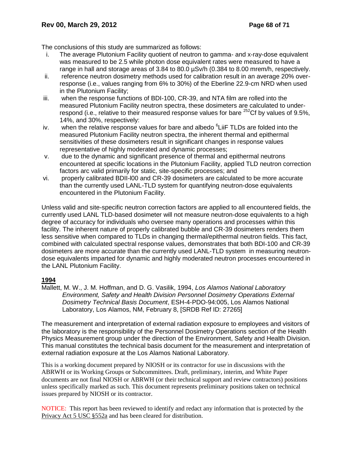The conclusions of this study are summarized as follows:

- i. The average Plutonium Facility quotient of neutron to gamma- and x-ray-dose equivalent was measured to be 2.5 while photon dose equivalent rates were measured to have a range in hall and storage areas of 3.84 to 80.0 µSv/h (0.384 to 8.00 mrem/h, respectively.
- ii. reference neutron dosimetry methods used for calibration result in an average 20% overresponse (i.e., values ranging from 6% to 30%) of the Eberline 22.9-cm NRD when used in the Plutonium Facility;
- iii. when the response functions of BDI-100, CR-39, and NTA film are rolled into the measured Plutonium Facility neutron spectra, these dosimeters are calculated to underrespond (i.e., relative to their measured response values for bare  $^{252}$ Cf by values of 9.5%, 14%, and 30%, respectively:
- iv. when the relative response values for bare and albedo <sup>6</sup> LiiF TLDs are folded into the measured Plutonium Facility neutron spectra, the inherent thermal and epithermal sensitivities of these dosimeters result in significant changes in response values representative of highly moderated and dynamic processes;
- v. due to the dynamic and significant presence of thermal and epithermal neutrons encountered at specific locations in the Plutonium Facility, applied TLD neutron correction factors arc valid primarily for static, site-specific processes; and
- vi. properly calibrated BDII-l00 and CR-39 dosimeters are calculated to be more accurate than the currently used LANL-TLD system for quantifying neutron-dose equivalents encountered in the Plutonium Facility.

Unless valid and site-specific neutron correction factors are applied to all encountered fields, the currently used LANL TLD-based dosimeter will not measure neutron-dose equivalents to a high degree of accuracy for individuals who oversee many operations and processes within this facility. The inherent nature of properly calibrated bubble and CR-39 dosimeters renders them less sensitive when compared to TLDs in changing thermal/epithermal neutron fields. This fact, combined with calculated spectral response values, demonstrates that both BDI-100 and CR-39 dosimeters are more accurate than the currently used LANL-TLD system in measuring neutrondose equivalents imparted for dynamic and highly moderated neutron processes encountered in the LANL Plutonium Facility.

### **1994**

Mallett, M. W., J. M. Hoffman, and D. G. Vasilik, 1994, *Los Alamos National Laboratory Environment, Safety and Health Division Personnel Dosimetry Operations External Dosimetry Technical Basis Document*, ESH-4-PDO-94:005, Los Alamos National Laboratory, Los Alamos, NM, February 8, [SRDB Ref ID: 27265]

The measurement and interpretation of external radiation exposure to employees and visitors of the laboratory is the responsibility of the Personnel Dosimetry Operations section of the Health Physics Measurement group under the direction of the Environment, Safety and Health Division. This manual constitutes the technical basis document for the measurement and interpretation of external radiation exposure at the Los Alamos National Laboratory.

This is a working document prepared by NIOSH or its contractor for use in discussions with the ABRWH or its Working Groups or Subcommittees. Draft, preliminary, interim, and White Paper documents are not final NIOSH or ABRWH (or their technical support and review contractors) positions unless specifically marked as such. This document represents preliminary positions taken on technical issues prepared by NIOSH or its contractor.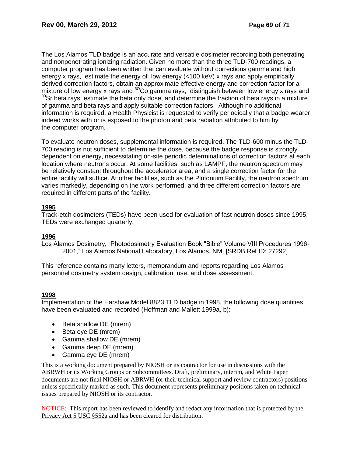The Los Alamos TLD badge is an accurate and versatile dosimeter recording both penetrating and nonpenetrating ionizing radiation. Given no more than the three TLD-700 readings, a computer program has been written that can evaluate without corrections gamma and high energy x rays, estimate the energy of low energy (<100 keV) x rays and apply empirically derived correction factors, obtain an approximate effective energy and correction factor for a mixture of low energy x rays and  ${}^{60}$ Co gamma rays, distinguish between low energy x rays and  $90$ Sr beta rays, estimate the beta only dose, and determine the fraction of beta rays in a mixture of gamma and beta rays and apply suitable correction factors. Although no additional information is required, a Health Physicist is requested to verify periodically that a badge wearer indeed works with or is exposed to the photon and beta radiation attributed to him by the computer program.

To evaluate neutron doses, supplemental information is required. The TLD-600 minus the TLD-700 reading is not sufficient to determine the dose, because the badge response is strongly dependent on energy, necessitating on-site periodic determinations of correction factors at each location where neutrons occur. At some facilities, such as LAMPF, the neutron spectrum may be relatively constant throughout the accelerator area, and a single correction factor for the entire facility will suffice. At other facilities, such as the Plutonium Facility, the neutron spectrum varies markedly, depending on the work performed, and three different correction factors are required in different parts of the facility.

### **1995**

Track-etch dosimeters (TEDs) have been used for evaluation of fast neutron doses since 1995. TEDs were exchanged quarterly.

### **1996**

Los Alamos Dosimetry, "Photodosimetry Evaluation Book "Bible" Volume VIII Procedures 1996- 2001," Los Alamos National Laboratory, Los Alamos, NM, [SRDB Ref ID: 27292]

This reference contains many letters, memorandum and reports regarding Los Alamos personnel dosimetry system design, calibration, use, and dose assessment.

### **1998**

Implementation of the Harshaw Model 8823 TLD badge in 1998, the following dose quantities have been evaluated and recorded (Hoffman and Mallett 1999a, b):

- Beta shallow DE (mrem)
- Beta eye DE (mrem)
- Gamma shallow DE (mrem)
- Gamma deep DE (mrem)
- Gamma eye DE (mrem)

This is a working document prepared by NIOSH or its contractor for use in discussions with the ABRWH or its Working Groups or Subcommittees. Draft, preliminary, interim, and White Paper documents are not final NIOSH or ABRWH (or their technical support and review contractors) positions unless specifically marked as such. This document represents preliminary positions taken on technical issues prepared by NIOSH or its contractor.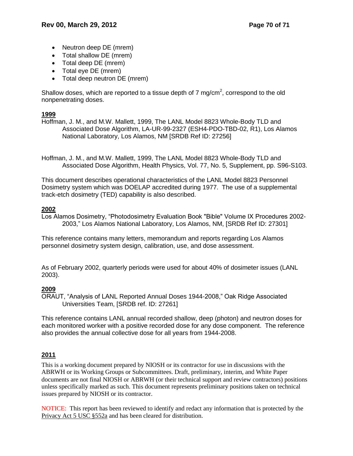- Neutron deep DE (mrem)
- Total shallow DE (mrem)
- Total deep DE (mrem)
- Total eye DE (mrem)
- Total deep neutron DE (mrem)

Shallow doses, which are reported to a tissue depth of 7 mg/cm<sup>2</sup>, correspond to the old nonpenetrating doses.

# **1999**

Hoffman, J. M., and M.W. Mallett, 1999, The LANL Model 8823 Whole-Body TLD and Associated Dose Algorithm, LA-UR-99-2327 (ESH4-PDO-TBD-02, R1), Los Alamos National Laboratory, Los Alamos, NM [SRDB Ref ID: 27256]

Hoffman, J. M., and M.W. Mallett, 1999, The LANL Model 8823 Whole-Body TLD and Associated Dose Algorithm, Health Physics, Vol. 77, No. 5, Supplement, pp. S96-S103.

This document describes operational characteristics of the LANL Model 8823 Personnel Dosimetry system which was DOELAP accredited during 1977. The use of a supplemental track-etch dosimetry (TED) capability is also described.

# **2002**

Los Alamos Dosimetry, "Photodosimetry Evaluation Book "Bible" Volume IX Procedures 2002- 2003," Los Alamos National Laboratory, Los Alamos, NM, [SRDB Ref ID: 27301]

This reference contains many letters, memorandum and reports regarding Los Alamos personnel dosimetry system design, calibration, use, and dose assessment.

As of February 2002, quarterly periods were used for about 40% of dosimeter issues (LANL 2003).

# **2009**

ORAUT, "Analysis of LANL Reported Annual Doses 1944-2008," Oak Ridge Associated Universities Team, [SRDB ref. ID: 27261]

This reference contains LANL annual recorded shallow, deep (photon) and neutron doses for each monitored worker with a positive recorded dose for any dose component. The reference also provides the annual collective dose for all years from 1944-2008.

# **2011**

This is a working document prepared by NIOSH or its contractor for use in discussions with the ABRWH or its Working Groups or Subcommittees. Draft, preliminary, interim, and White Paper documents are not final NIOSH or ABRWH (or their technical support and review contractors) positions unless specifically marked as such. This document represents preliminary positions taken on technical issues prepared by NIOSH or its contractor.